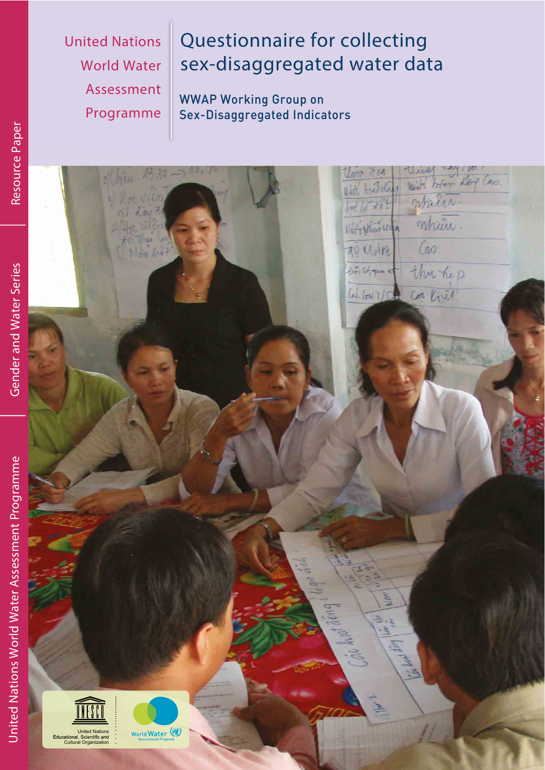**United Nations World Water** Assessment Programme

# Questionnaire for collecting sex-disaggregated water data

**WWAP Working Group on** Sex-Disaggregated Indicators

| 2 Him B 30 -> 10,                                                                     |                                           |
|---------------------------------------------------------------------------------------|-------------------------------------------|
|                                                                                       |                                           |
| $57$ day $7$                                                                          | White treated with bear day Can.          |
|                                                                                       | Witighting mpier.                         |
| Now Got                                                                               | (a)<br>前从机                                |
|                                                                                       | stationer that hep                        |
|                                                                                       | When Ich Com Kist.                        |
|                                                                                       |                                           |
|                                                                                       |                                           |
|                                                                                       |                                           |
|                                                                                       |                                           |
|                                                                                       |                                           |
|                                                                                       |                                           |
|                                                                                       |                                           |
|                                                                                       |                                           |
|                                                                                       |                                           |
|                                                                                       |                                           |
|                                                                                       |                                           |
|                                                                                       |                                           |
| <b>Called</b>                                                                         | $\mathbb{R}^{\infty}$                     |
| <b>CONTRACTOR</b>                                                                     | NØN                                       |
|                                                                                       | <u>속</u>                                  |
|                                                                                       |                                           |
|                                                                                       | Care had dong!<br><b>Alley Party 2004</b> |
|                                                                                       |                                           |
|                                                                                       |                                           |
|                                                                                       |                                           |
| World Water<br>United Nations<br>Educational, Scientific and<br>Cultural Organization |                                           |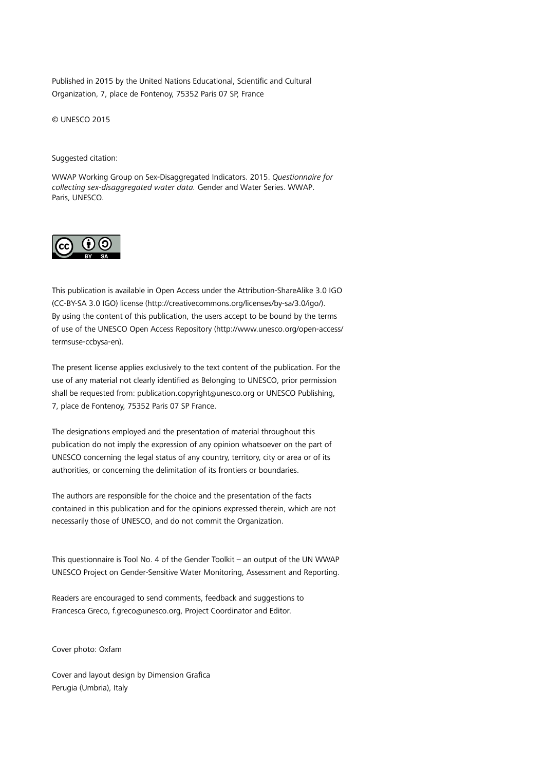Published in 2015 by the United Nations Educational, Scientific and Cultural Organization, 7, place de Fontenoy, 75352 Paris 07 SP, France

© UNESCO 2015

#### Suggested citation:

WWAP Working Group on Sex-Disaggregated Indicators. 2015. *Questionnaire for collecting sex-disaggregated water data.* Gender and Water Series. WWAP. Paris, UNESCO.



This publication is available in Open Access under the Attribution-ShareAlike 3.0 IGO (CC-BY-SA 3.0 IGO) license (http://creativecommons.org/licenses/by-sa/3.0/igo/). By using the content of this publication, the users accept to be bound by the terms of use of the UNESCO Open Access Repository [\(http://www.unesco.org/open-access/](http://www.unesco.org/open-access/termsuse-ccbysa-en) [termsuse-ccbysa-en](http://www.unesco.org/open-access/termsuse-ccbysa-en)).

The present license applies exclusively to the text content of the publication. For the use of any material not clearly identified as Belonging to UNESCO, prior permission shall be requested from: publication.copyright@unesco.org or UNESCO Publishing, 7, place de Fontenoy, 75352 Paris 07 SP France.

The designations employed and the presentation of material throughout this publication do not imply the expression of any opinion whatsoever on the part of UNESCO concerning the legal status of any country, territory, city or area or of its authorities, or concerning the delimitation of its frontiers or boundaries.

The authors are responsible for the choice and the presentation of the facts contained in this publication and for the opinions expressed therein, which are not necessarily those of UNESCO, and do not commit the Organization.

This questionnaire is Tool No. 4 of the Gender Toolkit – an output of the UN WWAP UNESCO Project on Gender-Sensitive Water Monitoring, Assessment and Reporting.

Readers are encouraged to send comments, feedback and suggestions to Francesca Greco, [f.greco@unesco.org](mailto:f.greco@unesco.org), Project Coordinator and Editor.

Cover photo: Oxfam

Cover and layout design by Dimension Grafica Perugia (Umbria), Italy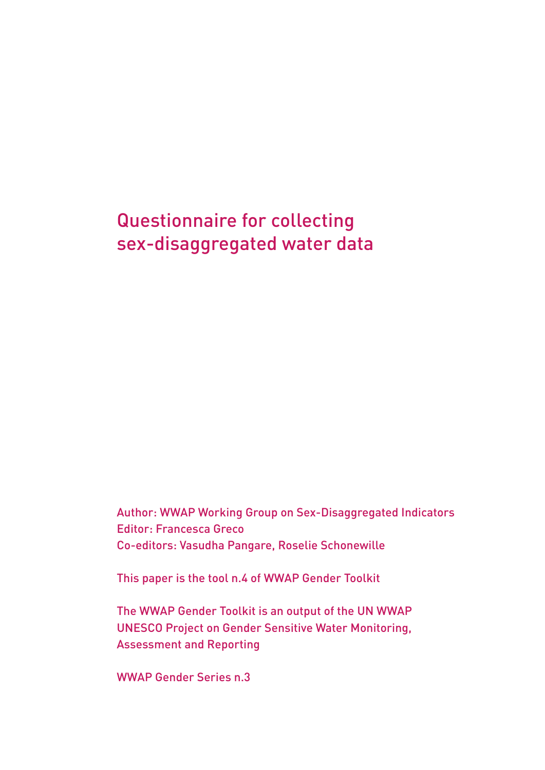### Questionnaire for collecting sex-disaggregated water data

Author: WWAP Working Group on Sex-Disaggregated Indicators Editor: Francesca Greco Co-editors: Vasudha Pangare, Roselie Schonewille

This paper is the tool n.4 of WWAP Gender Toolkit

The WWAP Gender Toolkit is an output of the UN WWAP UNESCO Project on Gender Sensitive Water Monitoring, Assessment and Reporting

WWAP Gender Series n.3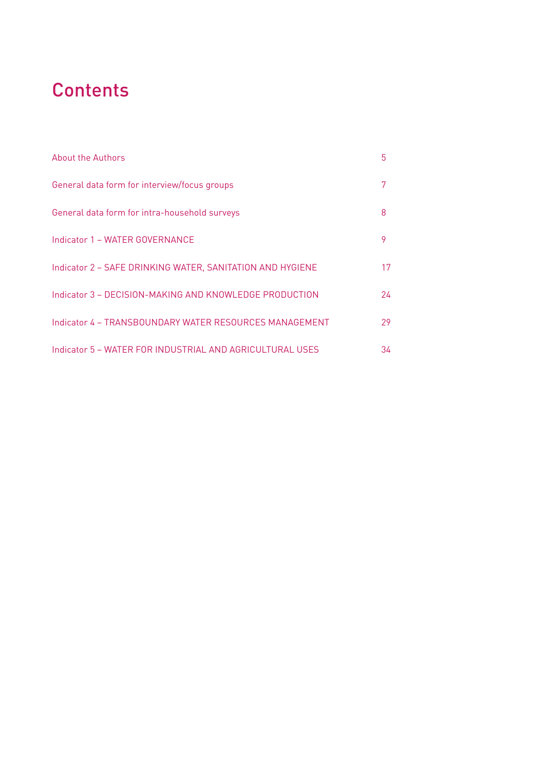## **Contents**

| <b>About the Authors</b>                                  | 5  |
|-----------------------------------------------------------|----|
| General data form for interview/focus groups              | 7  |
| General data form for intra-household surveys             | 8  |
| Indicator 1 - WATER GOVERNANCE                            | 9  |
| Indicator 2 - SAFE DRINKING WATER, SANITATION AND HYGIENE | 17 |
| Indicator 3 - DECISION-MAKING AND KNOWLEDGE PRODUCTION    | 24 |
| Indicator 4 - TRANSBOUNDARY WATER RESOURCES MANAGEMENT    | 29 |
| Indicator 5 - WATER FOR INDUSTRIAL AND AGRICULTURAL USES  | 34 |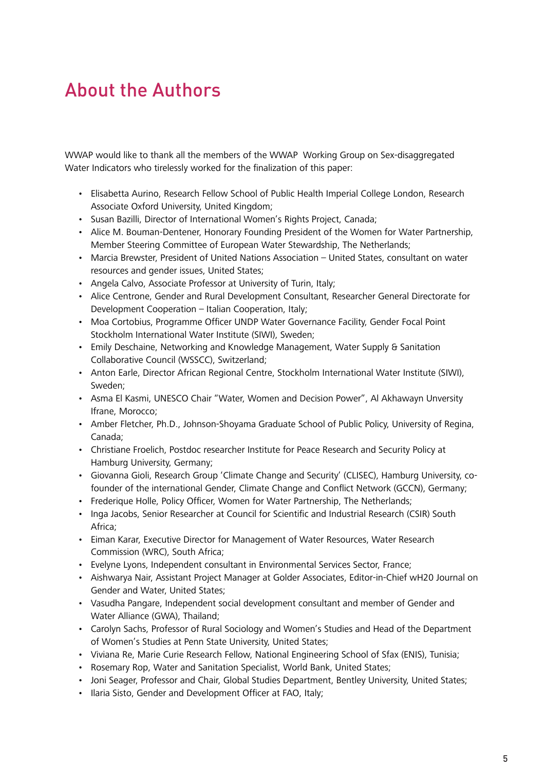### About the Authors

WWAP would like to thank all the members of the WWAP Working Group on Sex-disaggregated Water Indicators who tirelessly worked for the finalization of this paper:

- Elisabetta Aurino, Research Fellow School of Public Health Imperial College London, Research Associate Oxford University, United Kingdom;
- Susan Bazilli, Director of International Women's Rights Project, Canada;
- Alice M. Bouman-Dentener, Honorary Founding President of the Women for Water Partnership, Member Steering Committee of European Water Stewardship, The Netherlands;
- Marcia Brewster, President of United Nations Association United States, consultant on water resources and gender issues, United States;
- Angela Calvo, Associate Professor at University of Turin, Italy;
- Alice Centrone, Gender and Rural Development Consultant, Researcher General Directorate for Development Cooperation – Italian Cooperation, Italy;
- Moa Cortobius, Programme Officer UNDP Water Governance Facility, Gender Focal Point Stockholm International Water Institute (SIWI), Sweden;
- Emily Deschaine, Networking and Knowledge Management, Water Supply & Sanitation Collaborative Council (WSSCC), Switzerland;
- Anton Earle, Director African Regional Centre, Stockholm International Water Institute (SIWI), Sweden;
- Asma El Kasmi, UNESCO Chair "Water, Women and Decision Power", Al Akhawayn Unversity Ifrane, Morocco;
- Amber Fletcher, Ph.D., Johnson-Shoyama Graduate School of Public Policy, University of Regina, Canada;
- Christiane Froelich, Postdoc researcher Institute for Peace Research and Security Policy at Hamburg University, Germany;
- Giovanna Gioli, Research Group 'Climate Change and Security' (CLISEC), Hamburg University, cofounder of the international Gender, Climate Change and Conflict Network (GCCN), Germany;
- Frederique Holle, Policy Officer, Women for Water Partnership, The Netherlands;
- Inga Jacobs, Senior Researcher at Council for Scientific and Industrial Research (CSIR) South Africa;
- Eiman Karar, Executive Director for Management of Water Resources, Water Research Commission (WRC), South Africa;
- Evelyne Lyons, Independent consultant in Environmental Services Sector, France;
- Aishwarya Nair, Assistant Project Manager at Golder Associates, Editor-in-Chief wH20 Journal on Gender and Water, United States;
- Vasudha Pangare, Independent social development consultant and member of Gender and Water Alliance (GWA), Thailand;
- Carolyn Sachs, Professor of Rural Sociology and Women's Studies and Head of the Department of Women's Studies at Penn State University, United States;
- Viviana Re, Marie Curie Research Fellow, National Engineering School of Sfax (ENIS), Tunisia;
- Rosemary Rop, Water and Sanitation Specialist, World Bank, United States;
- Joni Seager, Professor and Chair, Global Studies Department, Bentley University, United States;
- Ilaria Sisto, Gender and Development Officer at FAO, Italy;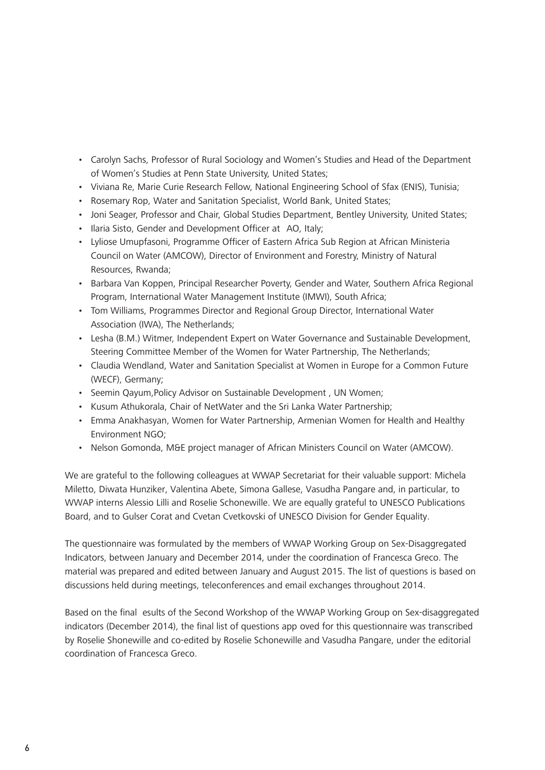- Carolyn Sachs, Professor of Rural Sociology and Women's Studies and Head of the Department of Women's Studies at Penn State University, United States;
- Viviana Re, Marie Curie Research Fellow, National Engineering School of Sfax (ENIS), Tunisia;
- Rosemary Rop, Water and Sanitation Specialist, World Bank, United States;
- Joni Seager, Professor and Chair, Global Studies Department, Bentley University, United States;
- Ilaria Sisto, Gender and Development Officer at AO, Italy;
- Lyliose Umupfasoni, Programme Officer of Eastern Africa Sub Region at African Ministeria Council on Water (AMCOW), Director of Environment and Forestry, Ministry of Natural Resources, Rwanda;
- Barbara Van Koppen, Principal Researcher Poverty, Gender and Water, Southern Africa Regional Program, International Water Management Institute (IMWI), South Africa;
- Tom Williams, Programmes Director and Regional Group Director, International Water Association (IWA), The Netherlands;
- Lesha (B.M.) Witmer, Independent Expert on Water Governance and Sustainable Development, Steering Committee Member of the Women for Water Partnership, The Netherlands;
- Claudia Wendland, Water and Sanitation Specialist at Women in Europe for a Common Future (WECF), Germany;
- Seemin Qayum,Policy Advisor on Sustainable Development , UN Women;
- Kusum Athukorala, Chair of NetWater and the Sri Lanka Water Partnership;
- Emma Anakhasyan, Women for Water Partnership, Armenian Women for Health and Healthy Environment NGO;
- Nelson Gomonda, M&E project manager of African Ministers Council on Water (AMCOW).

We are grateful to the following colleagues at WWAP Secretariat for their valuable support: Michela Miletto, Diwata Hunziker, Valentina Abete, Simona Gallese, Vasudha Pangare and, in particular, to WWAP interns Alessio Lilli and Roselie Schonewille. We are equally grateful to UNESCO Publications Board, and to Gulser Corat and Cvetan Cvetkovski of UNESCO Division for Gender Equality.

The questionnaire was formulated by the members of WWAP Working Group on Sex-Disaggregated Indicators, between January and December 2014, under the coordination of Francesca Greco. The material was prepared and edited between January and August 2015. The list of questions is based on discussions held during meetings, teleconferences and email exchanges throughout 2014.

Based on the final esults of the Second Workshop of the WWAP Working Group on Sex-disaggregated indicators (December 2014), the final list of questions app oved for this questionnaire was transcribed by Roselie Shonewille and co-edited by Roselie Schonewille and Vasudha Pangare, under the editorial coordination of Francesca Greco.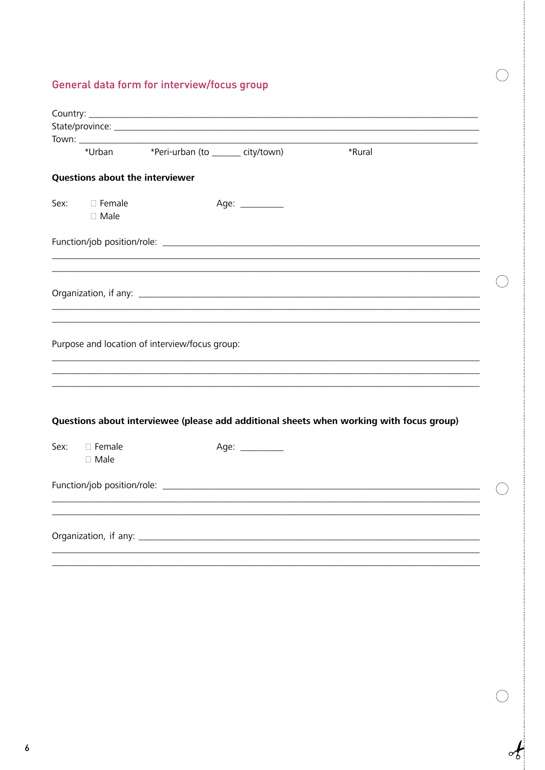### General data form for interview/focus group

|                                 | *Urban *Peri-urban (to _______ city/town)                                                | *Rural |
|---------------------------------|------------------------------------------------------------------------------------------|--------|
| Questions about the interviewer |                                                                                          |        |
| Sex: Female<br>$\square$ Male   | Age: __________                                                                          |        |
|                                 |                                                                                          |        |
|                                 |                                                                                          |        |
|                                 |                                                                                          |        |
|                                 |                                                                                          |        |
|                                 |                                                                                          |        |
|                                 |                                                                                          |        |
|                                 | Purpose and location of interview/focus group:                                           |        |
|                                 |                                                                                          |        |
|                                 |                                                                                          |        |
|                                 | Questions about interviewee (please add additional sheets when working with focus group) |        |
| Sex: □ Female                   | Age: __________                                                                          |        |
| $\square$ Male                  |                                                                                          |        |
|                                 |                                                                                          |        |
|                                 |                                                                                          |        |
|                                 |                                                                                          |        |

 $\bigcirc$ 

 $\begin{matrix} 1 & 0 & 0 \\ 0 & 0 & 0 \\ 0 & 0 & 0 \\ 0 & 0 & 0 \\ 0 & 0 & 0 \\ 0 & 0 & 0 \\ 0 & 0 & 0 \\ 0 & 0 & 0 \\ 0 & 0 & 0 \\ 0 & 0 & 0 & 0 \\ 0 & 0 & 0 & 0 \\ 0 & 0 & 0 & 0 \\ 0 & 0 & 0 & 0 \\ 0 & 0 & 0 & 0 & 0 \\ 0 & 0 & 0 & 0 & 0 \\ 0 & 0 & 0 & 0 & 0 \\ 0 & 0 & 0 & 0 & 0 & 0 \\ 0 & 0 & 0 & 0 & 0 & 0 \\ 0 & 0$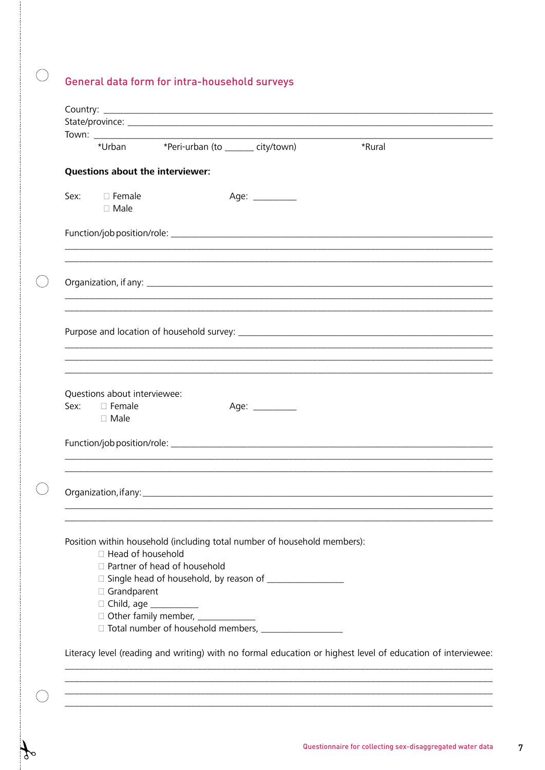### General data form for intra-household surveys

 $\bigcirc$ 

 $\mathcal{L}$ 

|      | *Urban                                                       | *Peri-urban (to _______ city/town)                                                                                                                                           |                 | *Rural                                                                                                      |  |
|------|--------------------------------------------------------------|------------------------------------------------------------------------------------------------------------------------------------------------------------------------------|-----------------|-------------------------------------------------------------------------------------------------------------|--|
|      |                                                              | Questions about the interviewer:                                                                                                                                             |                 |                                                                                                             |  |
|      | Sex: □ Female<br>$\square$ Male                              |                                                                                                                                                                              | Age: __________ |                                                                                                             |  |
|      |                                                              |                                                                                                                                                                              |                 |                                                                                                             |  |
|      |                                                              |                                                                                                                                                                              |                 |                                                                                                             |  |
|      |                                                              |                                                                                                                                                                              |                 |                                                                                                             |  |
| Sex: | Questions about interviewee:<br>$\Box$ Female<br>$\Box$ Male |                                                                                                                                                                              | Age: _________  |                                                                                                             |  |
|      |                                                              |                                                                                                                                                                              |                 |                                                                                                             |  |
|      | $\Box$ Head of household<br>□ Grandparent                    | Position within household (including total number of household members):<br>□ Partner of head of household<br>□ Child, age ___________<br>Other family member, _____________ |                 |                                                                                                             |  |
|      |                                                              |                                                                                                                                                                              |                 | Literacy level (reading and writing) with no formal education or highest level of education of interviewee: |  |
|      |                                                              |                                                                                                                                                                              |                 |                                                                                                             |  |
|      |                                                              |                                                                                                                                                                              |                 |                                                                                                             |  |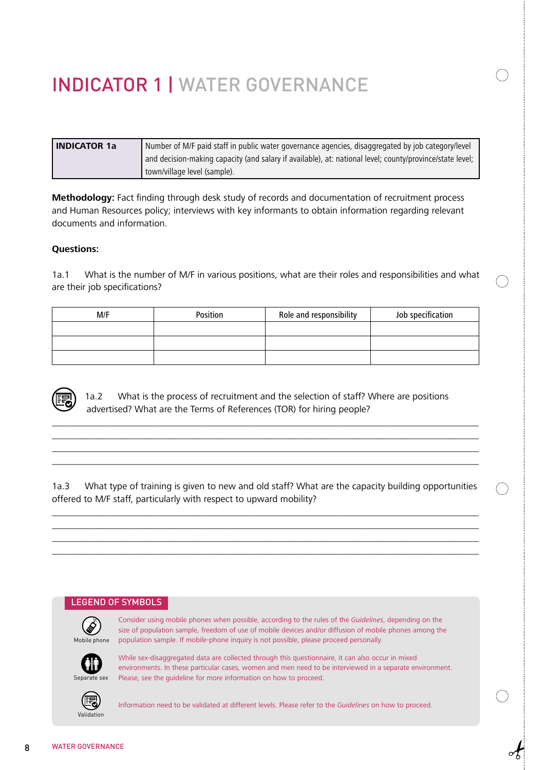# INDICATOR 1 | WATER GOVERNANCE

| l INDICATOR 1a | Number of M/F paid staff in public water governance agencies, disaggregated by job category/level        |  |  |  |  |  |
|----------------|----------------------------------------------------------------------------------------------------------|--|--|--|--|--|
|                | and decision-making capacity (and salary if available), at: national level; county/province/state level; |  |  |  |  |  |
|                | town/village level (sample).                                                                             |  |  |  |  |  |

**Methodology:** Fact finding through desk study of records and documentation of recruitment process and Human Resources policy; interviews with key informants to obtain information regarding relevant documents and information.

#### **Questions:**

1a.1 What is the number of M/F in various positions, what are their roles and responsibilities and what are their job specifications?

| M/F | Position | Role and responsibility | Job specification |
|-----|----------|-------------------------|-------------------|
|     |          |                         |                   |
|     |          |                         |                   |
|     |          |                         |                   |

 1a.2 What is the process of recruitment and the selection of staff? Where are positions advertised? What are the Terms of References (TOR) for hiring people?

\_\_\_\_\_\_\_\_\_\_\_\_\_\_\_\_\_\_\_\_\_\_\_\_\_\_\_\_\_\_\_\_\_\_\_\_\_\_\_\_\_\_\_\_\_\_\_\_\_\_\_\_\_\_\_\_\_\_\_\_\_\_\_\_\_\_\_\_\_\_\_\_\_\_\_\_\_\_\_\_\_\_\_\_\_\_\_\_ \_\_\_\_\_\_\_\_\_\_\_\_\_\_\_\_\_\_\_\_\_\_\_\_\_\_\_\_\_\_\_\_\_\_\_\_\_\_\_\_\_\_\_\_\_\_\_\_\_\_\_\_\_\_\_\_\_\_\_\_\_\_\_\_\_\_\_\_\_\_\_\_\_\_\_\_\_\_\_\_\_\_\_\_\_\_\_\_ \_\_\_\_\_\_\_\_\_\_\_\_\_\_\_\_\_\_\_\_\_\_\_\_\_\_\_\_\_\_\_\_\_\_\_\_\_\_\_\_\_\_\_\_\_\_\_\_\_\_\_\_\_\_\_\_\_\_\_\_\_\_\_\_\_\_\_\_\_\_\_\_\_\_\_\_\_\_\_\_\_\_\_\_\_\_\_\_ \_\_\_\_\_\_\_\_\_\_\_\_\_\_\_\_\_\_\_\_\_\_\_\_\_\_\_\_\_\_\_\_\_\_\_\_\_\_\_\_\_\_\_\_\_\_\_\_\_\_\_\_\_\_\_\_\_\_\_\_\_\_\_\_\_\_\_\_\_\_\_\_\_\_\_\_\_\_\_\_\_\_\_\_\_\_\_\_

1a.3 What type of training is given to new and old staff? What are the capacity building opportunities offered to M/F staff, particularly with respect to upward mobility?

\_\_\_\_\_\_\_\_\_\_\_\_\_\_\_\_\_\_\_\_\_\_\_\_\_\_\_\_\_\_\_\_\_\_\_\_\_\_\_\_\_\_\_\_\_\_\_\_\_\_\_\_\_\_\_\_\_\_\_\_\_\_\_\_\_\_\_\_\_\_\_\_\_\_\_\_\_\_\_\_\_\_\_\_\_\_\_\_ \_\_\_\_\_\_\_\_\_\_\_\_\_\_\_\_\_\_\_\_\_\_\_\_\_\_\_\_\_\_\_\_\_\_\_\_\_\_\_\_\_\_\_\_\_\_\_\_\_\_\_\_\_\_\_\_\_\_\_\_\_\_\_\_\_\_\_\_\_\_\_\_\_\_\_\_\_\_\_\_\_\_\_\_\_\_\_\_ \_\_\_\_\_\_\_\_\_\_\_\_\_\_\_\_\_\_\_\_\_\_\_\_\_\_\_\_\_\_\_\_\_\_\_\_\_\_\_\_\_\_\_\_\_\_\_\_\_\_\_\_\_\_\_\_\_\_\_\_\_\_\_\_\_\_\_\_\_\_\_\_\_\_\_\_\_\_\_\_\_\_\_\_\_\_\_\_ \_\_\_\_\_\_\_\_\_\_\_\_\_\_\_\_\_\_\_\_\_\_\_\_\_\_\_\_\_\_\_\_\_\_\_\_\_\_\_\_\_\_\_\_\_\_\_\_\_\_\_\_\_\_\_\_\_\_\_\_\_\_\_\_\_\_\_\_\_\_\_\_\_\_\_\_\_\_\_\_\_\_\_\_\_\_\_\_

#### LEGEND OF SYMBOLS



Consider using mobile phones when possible, according to the rules of the *Guidelines*, depending on the size of population sample, freedom of use of mobile devices and/or diffusion of mobile phones among the population sample. If mobile-phone inquiry is not possible, please proceed personally.



While sex-disaggregated data are collected through this questionnaire, it can also occur in mixed environments. In these particular cases, women and men need to be interviewed in a separate environment. Please, see the guideline for more information on how to proceed.



Information need to be validated at different levels. Please refer to the *Guidelines* on how to proceed.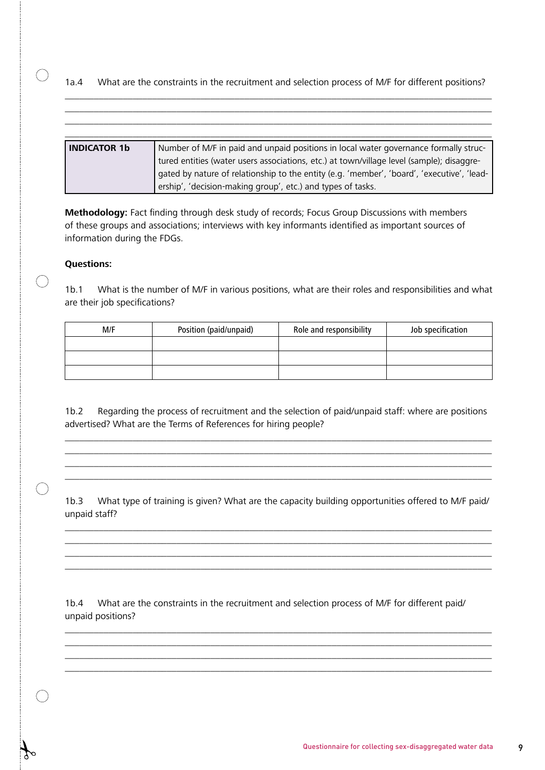#### 1a.4 What are the constraints in the recruitment and selection process of M/F for different positions? \_\_\_\_\_\_\_\_\_\_\_\_\_\_\_\_\_\_\_\_\_\_\_\_\_\_\_\_\_\_\_\_\_\_\_\_\_\_\_\_\_\_\_\_\_\_\_\_\_\_\_\_\_\_\_\_\_\_\_\_\_\_\_\_\_\_\_\_\_\_\_\_\_\_\_\_\_\_\_\_\_\_\_\_\_\_\_\_

\_\_\_\_\_\_\_\_\_\_\_\_\_\_\_\_\_\_\_\_\_\_\_\_\_\_\_\_\_\_\_\_\_\_\_\_\_\_\_\_\_\_\_\_\_\_\_\_\_\_\_\_\_\_\_\_\_\_\_\_\_\_\_\_\_\_\_\_\_\_\_\_\_\_\_\_\_\_\_\_\_\_\_\_\_\_\_\_

| <b>INDICATOR 1b</b> | Number of M/F in paid and unpaid positions in local water governance formally struc-       |
|---------------------|--------------------------------------------------------------------------------------------|
|                     | tured entities (water users associations, etc.) at town/village level (sample); disaggre-  |
|                     | gated by nature of relationship to the entity (e.g. 'member', 'board', 'executive', 'lead- |
|                     | ership', 'decision-making group', etc.) and types of tasks.                                |

**Methodology:** Fact finding through desk study of records; Focus Group Discussions with members of these groups and associations; interviews with key informants identified as important sources of information during the FDGs.

#### **Questions:**

 $\bigcap$ 

 $\bigcap$ 

1b.1 What is the number of M/F in various positions, what are their roles and responsibilities and what are their job specifications?

| M/F | Position (paid/unpaid) | Role and responsibility | Job specification |
|-----|------------------------|-------------------------|-------------------|
|     |                        |                         |                   |
|     |                        |                         |                   |
|     |                        |                         |                   |

1b.2 Regarding the process of recruitment and the selection of paid/unpaid staff: where are positions advertised? What are the Terms of References for hiring people?

\_\_\_\_\_\_\_\_\_\_\_\_\_\_\_\_\_\_\_\_\_\_\_\_\_\_\_\_\_\_\_\_\_\_\_\_\_\_\_\_\_\_\_\_\_\_\_\_\_\_\_\_\_\_\_\_\_\_\_\_\_\_\_\_\_\_\_\_\_\_\_\_\_\_\_\_\_\_\_\_\_\_\_\_\_\_\_\_ \_\_\_\_\_\_\_\_\_\_\_\_\_\_\_\_\_\_\_\_\_\_\_\_\_\_\_\_\_\_\_\_\_\_\_\_\_\_\_\_\_\_\_\_\_\_\_\_\_\_\_\_\_\_\_\_\_\_\_\_\_\_\_\_\_\_\_\_\_\_\_\_\_\_\_\_\_\_\_\_\_\_\_\_\_\_\_\_ \_\_\_\_\_\_\_\_\_\_\_\_\_\_\_\_\_\_\_\_\_\_\_\_\_\_\_\_\_\_\_\_\_\_\_\_\_\_\_\_\_\_\_\_\_\_\_\_\_\_\_\_\_\_\_\_\_\_\_\_\_\_\_\_\_\_\_\_\_\_\_\_\_\_\_\_\_\_\_\_\_\_\_\_\_\_\_\_ \_\_\_\_\_\_\_\_\_\_\_\_\_\_\_\_\_\_\_\_\_\_\_\_\_\_\_\_\_\_\_\_\_\_\_\_\_\_\_\_\_\_\_\_\_\_\_\_\_\_\_\_\_\_\_\_\_\_\_\_\_\_\_\_\_\_\_\_\_\_\_\_\_\_\_\_\_\_\_\_\_\_\_\_\_\_\_\_

1b.3 What type of training is given? What are the capacity building opportunities offered to M/F paid/ unpaid staff?

\_\_\_\_\_\_\_\_\_\_\_\_\_\_\_\_\_\_\_\_\_\_\_\_\_\_\_\_\_\_\_\_\_\_\_\_\_\_\_\_\_\_\_\_\_\_\_\_\_\_\_\_\_\_\_\_\_\_\_\_\_\_\_\_\_\_\_\_\_\_\_\_\_\_\_\_\_\_\_\_\_\_\_\_\_\_\_\_ \_\_\_\_\_\_\_\_\_\_\_\_\_\_\_\_\_\_\_\_\_\_\_\_\_\_\_\_\_\_\_\_\_\_\_\_\_\_\_\_\_\_\_\_\_\_\_\_\_\_\_\_\_\_\_\_\_\_\_\_\_\_\_\_\_\_\_\_\_\_\_\_\_\_\_\_\_\_\_\_\_\_\_\_\_\_\_\_ \_\_\_\_\_\_\_\_\_\_\_\_\_\_\_\_\_\_\_\_\_\_\_\_\_\_\_\_\_\_\_\_\_\_\_\_\_\_\_\_\_\_\_\_\_\_\_\_\_\_\_\_\_\_\_\_\_\_\_\_\_\_\_\_\_\_\_\_\_\_\_\_\_\_\_\_\_\_\_\_\_\_\_\_\_\_\_\_ \_\_\_\_\_\_\_\_\_\_\_\_\_\_\_\_\_\_\_\_\_\_\_\_\_\_\_\_\_\_\_\_\_\_\_\_\_\_\_\_\_\_\_\_\_\_\_\_\_\_\_\_\_\_\_\_\_\_\_\_\_\_\_\_\_\_\_\_\_\_\_\_\_\_\_\_\_\_\_\_\_\_\_\_\_\_\_\_

1b.4 What are the constraints in the recruitment and selection process of M/F for different paid/ unpaid positions?

\_\_\_\_\_\_\_\_\_\_\_\_\_\_\_\_\_\_\_\_\_\_\_\_\_\_\_\_\_\_\_\_\_\_\_\_\_\_\_\_\_\_\_\_\_\_\_\_\_\_\_\_\_\_\_\_\_\_\_\_\_\_\_\_\_\_\_\_\_\_\_\_\_\_\_\_\_\_\_\_\_\_\_\_\_\_\_\_ \_\_\_\_\_\_\_\_\_\_\_\_\_\_\_\_\_\_\_\_\_\_\_\_\_\_\_\_\_\_\_\_\_\_\_\_\_\_\_\_\_\_\_\_\_\_\_\_\_\_\_\_\_\_\_\_\_\_\_\_\_\_\_\_\_\_\_\_\_\_\_\_\_\_\_\_\_\_\_\_\_\_\_\_\_\_\_\_ \_\_\_\_\_\_\_\_\_\_\_\_\_\_\_\_\_\_\_\_\_\_\_\_\_\_\_\_\_\_\_\_\_\_\_\_\_\_\_\_\_\_\_\_\_\_\_\_\_\_\_\_\_\_\_\_\_\_\_\_\_\_\_\_\_\_\_\_\_\_\_\_\_\_\_\_\_\_\_\_\_\_\_\_\_\_\_\_ \_\_\_\_\_\_\_\_\_\_\_\_\_\_\_\_\_\_\_\_\_\_\_\_\_\_\_\_\_\_\_\_\_\_\_\_\_\_\_\_\_\_\_\_\_\_\_\_\_\_\_\_\_\_\_\_\_\_\_\_\_\_\_\_\_\_\_\_\_\_\_\_\_\_\_\_\_\_\_\_\_\_\_\_\_\_\_\_

Questionnaire for collecting sex-disaggregated water data 9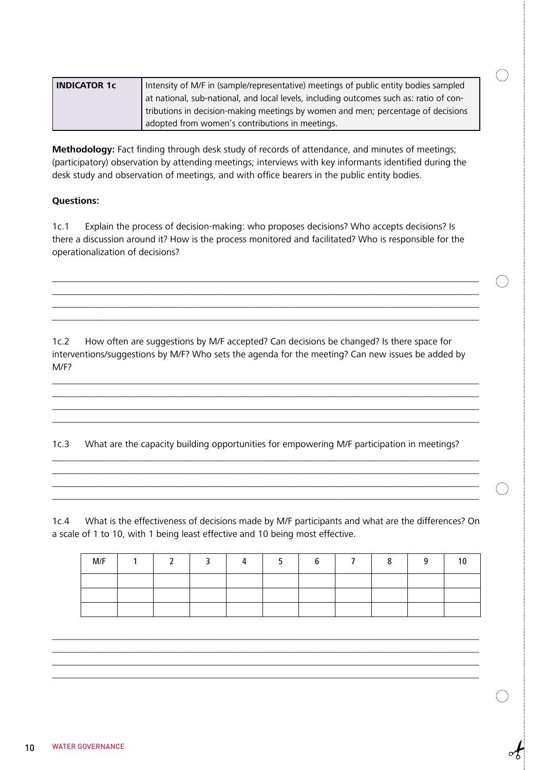| <b>INDICATOR 1c</b> | Intensity of M/F in (sample/representative) meetings of public entity bodies sampled   |  |
|---------------------|----------------------------------------------------------------------------------------|--|
|                     | at national, sub-national, and local levels, including outcomes such as: ratio of con- |  |
|                     | tributions in decision-making meetings by women and men; percentage of decisions       |  |
|                     | adopted from women's contributions in meetings.                                        |  |

**Methodology:** Fact finding through desk study of records of attendance, and minutes of meetings; (participatory) observation by attending meetings; interviews with key informants identified during the desk study and observation of meetings, and with office bearers in the public entity bodies.

#### **Questions:**

1c.1 Explain the process of decision-making: who proposes decisions? Who accepts decisions? Is there a discussion around it? How is the process monitored and facilitated? Who is responsible for the operationalization of decisions?

\_\_\_\_\_\_\_\_\_\_\_\_\_\_\_\_\_\_\_\_\_\_\_\_\_\_\_\_\_\_\_\_\_\_\_\_\_\_\_\_\_\_\_\_\_\_\_\_\_\_\_\_\_\_\_\_\_\_\_\_\_\_\_\_\_\_\_\_\_\_\_\_\_\_\_\_\_\_\_\_\_\_\_\_\_\_\_\_ \_\_\_\_\_\_\_\_\_\_\_\_\_\_\_\_\_\_\_\_\_\_\_\_\_\_\_\_\_\_\_\_\_\_\_\_\_\_\_\_\_\_\_\_\_\_\_\_\_\_\_\_\_\_\_\_\_\_\_\_\_\_\_\_\_\_\_\_\_\_\_\_\_\_\_\_\_\_\_\_\_\_\_\_\_\_\_\_ \_\_\_\_\_\_\_\_\_\_\_\_\_\_\_\_\_\_\_\_\_\_\_\_\_\_\_\_\_\_\_\_\_\_\_\_\_\_\_\_\_\_\_\_\_\_\_\_\_\_\_\_\_\_\_\_\_\_\_\_\_\_\_\_\_\_\_\_\_\_\_\_\_\_\_\_\_\_\_\_\_\_\_\_\_\_\_\_ \_\_\_\_\_\_\_\_\_\_\_\_\_\_\_\_\_\_\_\_\_\_\_\_\_\_\_\_\_\_\_\_\_\_\_\_\_\_\_\_\_\_\_\_\_\_\_\_\_\_\_\_\_\_\_\_\_\_\_\_\_\_\_\_\_\_\_\_\_\_\_\_\_\_\_\_\_\_\_\_\_\_\_\_\_\_\_\_

1c.2 How often are suggestions by M/F accepted? Can decisions be changed? Is there space for interventions/suggestions by M/F? Who sets the agenda for the meeting? Can new issues be added by M/F?

\_\_\_\_\_\_\_\_\_\_\_\_\_\_\_\_\_\_\_\_\_\_\_\_\_\_\_\_\_\_\_\_\_\_\_\_\_\_\_\_\_\_\_\_\_\_\_\_\_\_\_\_\_\_\_\_\_\_\_\_\_\_\_\_\_\_\_\_\_\_\_\_\_\_\_\_\_\_\_\_\_\_\_\_\_\_\_\_ \_\_\_\_\_\_\_\_\_\_\_\_\_\_\_\_\_\_\_\_\_\_\_\_\_\_\_\_\_\_\_\_\_\_\_\_\_\_\_\_\_\_\_\_\_\_\_\_\_\_\_\_\_\_\_\_\_\_\_\_\_\_\_\_\_\_\_\_\_\_\_\_\_\_\_\_\_\_\_\_\_\_\_\_\_\_\_\_ \_\_\_\_\_\_\_\_\_\_\_\_\_\_\_\_\_\_\_\_\_\_\_\_\_\_\_\_\_\_\_\_\_\_\_\_\_\_\_\_\_\_\_\_\_\_\_\_\_\_\_\_\_\_\_\_\_\_\_\_\_\_\_\_\_\_\_\_\_\_\_\_\_\_\_\_\_\_\_\_\_\_\_\_\_\_\_\_ \_\_\_\_\_\_\_\_\_\_\_\_\_\_\_\_\_\_\_\_\_\_\_\_\_\_\_\_\_\_\_\_\_\_\_\_\_\_\_\_\_\_\_\_\_\_\_\_\_\_\_\_\_\_\_\_\_\_\_\_\_\_\_\_\_\_\_\_\_\_\_\_\_\_\_\_\_\_\_\_\_\_\_\_\_\_\_\_

1c.3 What are the capacity building opportunities for empowering M/F participation in meetings?

\_\_\_\_\_\_\_\_\_\_\_\_\_\_\_\_\_\_\_\_\_\_\_\_\_\_\_\_\_\_\_\_\_\_\_\_\_\_\_\_\_\_\_\_\_\_\_\_\_\_\_\_\_\_\_\_\_\_\_\_\_\_\_\_\_\_\_\_\_\_\_\_\_\_\_\_\_\_\_\_\_\_\_\_\_\_\_\_ \_\_\_\_\_\_\_\_\_\_\_\_\_\_\_\_\_\_\_\_\_\_\_\_\_\_\_\_\_\_\_\_\_\_\_\_\_\_\_\_\_\_\_\_\_\_\_\_\_\_\_\_\_\_\_\_\_\_\_\_\_\_\_\_\_\_\_\_\_\_\_\_\_\_\_\_\_\_\_\_\_\_\_\_\_\_\_\_ \_\_\_\_\_\_\_\_\_\_\_\_\_\_\_\_\_\_\_\_\_\_\_\_\_\_\_\_\_\_\_\_\_\_\_\_\_\_\_\_\_\_\_\_\_\_\_\_\_\_\_\_\_\_\_\_\_\_\_\_\_\_\_\_\_\_\_\_\_\_\_\_\_\_\_\_\_\_\_\_\_\_\_\_\_\_\_\_

1c.4 What is the effectiveness of decisions made by M/F participants and what are the differences? On a scale of 1 to 10, with 1 being least effective and 10 being most effective.

| M/F | ◚ |  | n |  | ົ | $\Omega$ |
|-----|---|--|---|--|---|----------|
|     |   |  |   |  |   |          |
|     |   |  |   |  |   |          |
|     |   |  |   |  |   |          |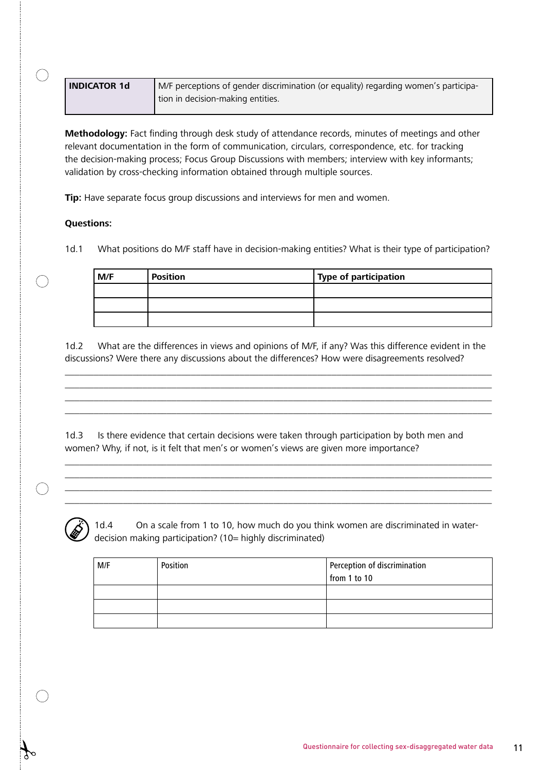| <b>INDICATOR 1d</b> | M/F perceptions of gender discrimination (or equality) regarding women's participa- |
|---------------------|-------------------------------------------------------------------------------------|
|                     | I tion in decision-making entities.                                                 |

**Methodology:** Fact finding through desk study of attendance records, minutes of meetings and other relevant documentation in the form of communication, circulars, correspondence, etc. for tracking the decision-making process; Focus Group Discussions with members; interview with key informants; validation by cross-checking information obtained through multiple sources.

**Tip:** Have separate focus group discussions and interviews for men and women.

#### **Questions:**

1d.1 What positions do M/F staff have in decision-making entities? What is their type of participation?

| M/F | <b>Position</b> | Type of participation |
|-----|-----------------|-----------------------|
|     |                 |                       |
|     |                 |                       |
|     |                 |                       |

1d.2 What are the differences in views and opinions of M/F, if any? Was this difference evident in the discussions? Were there any discussions about the differences? How were disagreements resolved?

\_\_\_\_\_\_\_\_\_\_\_\_\_\_\_\_\_\_\_\_\_\_\_\_\_\_\_\_\_\_\_\_\_\_\_\_\_\_\_\_\_\_\_\_\_\_\_\_\_\_\_\_\_\_\_\_\_\_\_\_\_\_\_\_\_\_\_\_\_\_\_\_\_\_\_\_\_\_\_\_\_\_\_\_\_\_\_\_ \_\_\_\_\_\_\_\_\_\_\_\_\_\_\_\_\_\_\_\_\_\_\_\_\_\_\_\_\_\_\_\_\_\_\_\_\_\_\_\_\_\_\_\_\_\_\_\_\_\_\_\_\_\_\_\_\_\_\_\_\_\_\_\_\_\_\_\_\_\_\_\_\_\_\_\_\_\_\_\_\_\_\_\_\_\_\_\_ \_\_\_\_\_\_\_\_\_\_\_\_\_\_\_\_\_\_\_\_\_\_\_\_\_\_\_\_\_\_\_\_\_\_\_\_\_\_\_\_\_\_\_\_\_\_\_\_\_\_\_\_\_\_\_\_\_\_\_\_\_\_\_\_\_\_\_\_\_\_\_\_\_\_\_\_\_\_\_\_\_\_\_\_\_\_\_\_ \_\_\_\_\_\_\_\_\_\_\_\_\_\_\_\_\_\_\_\_\_\_\_\_\_\_\_\_\_\_\_\_\_\_\_\_\_\_\_\_\_\_\_\_\_\_\_\_\_\_\_\_\_\_\_\_\_\_\_\_\_\_\_\_\_\_\_\_\_\_\_\_\_\_\_\_\_\_\_\_\_\_\_\_\_\_\_\_

1d.3 Is there evidence that certain decisions were taken through participation by both men and women? Why, if not, is it felt that men's or women's views are given more importance?

\_\_\_\_\_\_\_\_\_\_\_\_\_\_\_\_\_\_\_\_\_\_\_\_\_\_\_\_\_\_\_\_\_\_\_\_\_\_\_\_\_\_\_\_\_\_\_\_\_\_\_\_\_\_\_\_\_\_\_\_\_\_\_\_\_\_\_\_\_\_\_\_\_\_\_\_\_\_\_\_\_\_\_\_\_\_\_\_ \_\_\_\_\_\_\_\_\_\_\_\_\_\_\_\_\_\_\_\_\_\_\_\_\_\_\_\_\_\_\_\_\_\_\_\_\_\_\_\_\_\_\_\_\_\_\_\_\_\_\_\_\_\_\_\_\_\_\_\_\_\_\_\_\_\_\_\_\_\_\_\_\_\_\_\_\_\_\_\_\_\_\_\_\_\_\_\_ \_\_\_\_\_\_\_\_\_\_\_\_\_\_\_\_\_\_\_\_\_\_\_\_\_\_\_\_\_\_\_\_\_\_\_\_\_\_\_\_\_\_\_\_\_\_\_\_\_\_\_\_\_\_\_\_\_\_\_\_\_\_\_\_\_\_\_\_\_\_\_\_\_\_\_\_\_\_\_\_\_\_\_\_\_\_\_\_ \_\_\_\_\_\_\_\_\_\_\_\_\_\_\_\_\_\_\_\_\_\_\_\_\_\_\_\_\_\_\_\_\_\_\_\_\_\_\_\_\_\_\_\_\_\_\_\_\_\_\_\_\_\_\_\_\_\_\_\_\_\_\_\_\_\_\_\_\_\_\_\_\_\_\_\_\_\_\_\_\_\_\_\_\_\_\_\_



 1d.4 On a scale from 1 to 10, how much do you think women are discriminated in water decision making participation? (10= highly discriminated)

| M/F | Position | Perception of discrimination |
|-----|----------|------------------------------|
|     |          | from $1$ to $10$             |
|     |          |                              |
|     |          |                              |
|     |          |                              |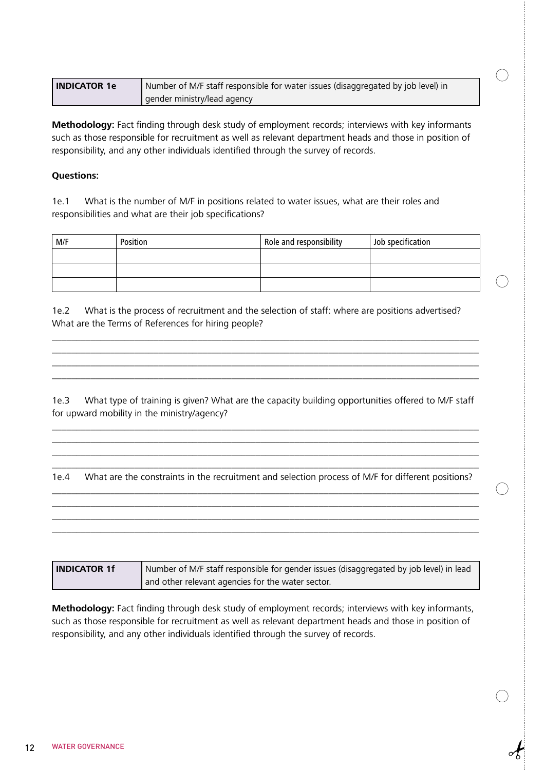| <b>INDICATOR 1e</b> | Number of M/F staff responsible for water issues (disaggregated by job level) in |
|---------------------|----------------------------------------------------------------------------------|
|                     | gender ministry/lead agency                                                      |

 $( \ )$ 

**Methodology:** Fact finding through desk study of employment records; interviews with key informants such as those responsible for recruitment as well as relevant department heads and those in position of responsibility, and any other individuals identified through the survey of records.

#### **Questions:**

1e.1 What is the number of M/F in positions related to water issues, what are their roles and responsibilities and what are their job specifications?

| M/F | Position | Role and responsibility | Job specification |
|-----|----------|-------------------------|-------------------|
|     |          |                         |                   |
|     |          |                         |                   |
|     |          |                         |                   |

1e.2 What is the process of recruitment and the selection of staff: where are positions advertised? What are the Terms of References for hiring people?

\_\_\_\_\_\_\_\_\_\_\_\_\_\_\_\_\_\_\_\_\_\_\_\_\_\_\_\_\_\_\_\_\_\_\_\_\_\_\_\_\_\_\_\_\_\_\_\_\_\_\_\_\_\_\_\_\_\_\_\_\_\_\_\_\_\_\_\_\_\_\_\_\_\_\_\_\_\_\_\_\_\_\_\_\_\_\_\_ \_\_\_\_\_\_\_\_\_\_\_\_\_\_\_\_\_\_\_\_\_\_\_\_\_\_\_\_\_\_\_\_\_\_\_\_\_\_\_\_\_\_\_\_\_\_\_\_\_\_\_\_\_\_\_\_\_\_\_\_\_\_\_\_\_\_\_\_\_\_\_\_\_\_\_\_\_\_\_\_\_\_\_\_\_\_\_\_ \_\_\_\_\_\_\_\_\_\_\_\_\_\_\_\_\_\_\_\_\_\_\_\_\_\_\_\_\_\_\_\_\_\_\_\_\_\_\_\_\_\_\_\_\_\_\_\_\_\_\_\_\_\_\_\_\_\_\_\_\_\_\_\_\_\_\_\_\_\_\_\_\_\_\_\_\_\_\_\_\_\_\_\_\_\_\_\_ \_\_\_\_\_\_\_\_\_\_\_\_\_\_\_\_\_\_\_\_\_\_\_\_\_\_\_\_\_\_\_\_\_\_\_\_\_\_\_\_\_\_\_\_\_\_\_\_\_\_\_\_\_\_\_\_\_\_\_\_\_\_\_\_\_\_\_\_\_\_\_\_\_\_\_\_\_\_\_\_\_\_\_\_\_\_\_\_

1e.3 What type of training is given? What are the capacity building opportunities offered to M/F staff for upward mobility in the ministry/agency?

\_\_\_\_\_\_\_\_\_\_\_\_\_\_\_\_\_\_\_\_\_\_\_\_\_\_\_\_\_\_\_\_\_\_\_\_\_\_\_\_\_\_\_\_\_\_\_\_\_\_\_\_\_\_\_\_\_\_\_\_\_\_\_\_\_\_\_\_\_\_\_\_\_\_\_\_\_\_\_\_\_\_\_\_\_\_\_\_ \_\_\_\_\_\_\_\_\_\_\_\_\_\_\_\_\_\_\_\_\_\_\_\_\_\_\_\_\_\_\_\_\_\_\_\_\_\_\_\_\_\_\_\_\_\_\_\_\_\_\_\_\_\_\_\_\_\_\_\_\_\_\_\_\_\_\_\_\_\_\_\_\_\_\_\_\_\_\_\_\_\_\_\_\_\_\_\_ \_\_\_\_\_\_\_\_\_\_\_\_\_\_\_\_\_\_\_\_\_\_\_\_\_\_\_\_\_\_\_\_\_\_\_\_\_\_\_\_\_\_\_\_\_\_\_\_\_\_\_\_\_\_\_\_\_\_\_\_\_\_\_\_\_\_\_\_\_\_\_\_\_\_\_\_\_\_\_\_\_\_\_\_\_\_\_\_

\_\_\_\_\_\_\_\_\_\_\_\_\_\_\_\_\_\_\_\_\_\_\_\_\_\_\_\_\_\_\_\_\_\_\_\_\_\_\_\_\_\_\_\_\_\_\_\_\_\_\_\_\_\_\_\_\_\_\_\_\_\_\_\_\_\_\_\_\_\_\_\_\_\_\_\_\_\_\_\_\_\_\_\_\_\_\_\_ 1e.4 What are the constraints in the recruitment and selection process of M/F for different positions? \_\_\_\_\_\_\_\_\_\_\_\_\_\_\_\_\_\_\_\_\_\_\_\_\_\_\_\_\_\_\_\_\_\_\_\_\_\_\_\_\_\_\_\_\_\_\_\_\_\_\_\_\_\_\_\_\_\_\_\_\_\_\_\_\_\_\_\_\_\_\_\_\_\_\_\_\_\_\_\_\_\_\_\_\_\_\_\_

\_\_\_\_\_\_\_\_\_\_\_\_\_\_\_\_\_\_\_\_\_\_\_\_\_\_\_\_\_\_\_\_\_\_\_\_\_\_\_\_\_\_\_\_\_\_\_\_\_\_\_\_\_\_\_\_\_\_\_\_\_\_\_\_\_\_\_\_\_\_\_\_\_\_\_\_\_\_\_\_\_\_\_\_\_\_\_\_ \_\_\_\_\_\_\_\_\_\_\_\_\_\_\_\_\_\_\_\_\_\_\_\_\_\_\_\_\_\_\_\_\_\_\_\_\_\_\_\_\_\_\_\_\_\_\_\_\_\_\_\_\_\_\_\_\_\_\_\_\_\_\_\_\_\_\_\_\_\_\_\_\_\_\_\_\_\_\_\_\_\_\_\_\_\_\_\_ \_\_\_\_\_\_\_\_\_\_\_\_\_\_\_\_\_\_\_\_\_\_\_\_\_\_\_\_\_\_\_\_\_\_\_\_\_\_\_\_\_\_\_\_\_\_\_\_\_\_\_\_\_\_\_\_\_\_\_\_\_\_\_\_\_\_\_\_\_\_\_\_\_\_\_\_\_\_\_\_\_\_\_\_\_\_\_\_

| <b>INDICATOR 1f</b> | Number of M/F staff responsible for gender issues (disaggregated by job level) in lead |  |
|---------------------|----------------------------------------------------------------------------------------|--|
|                     | and other relevant agencies for the water sector.                                      |  |

**Methodology:** Fact finding through desk study of employment records; interviews with key informants, such as those responsible for recruitment as well as relevant department heads and those in position of responsibility, and any other individuals identified through the survey of records.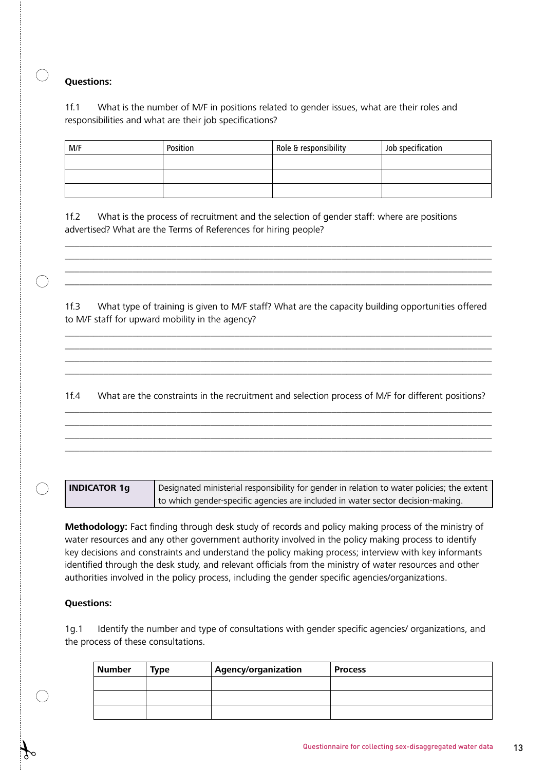1f.1 What is the number of M/F in positions related to gender issues, what are their roles and responsibilities and what are their job specifications?

| M/F | Position | Role & responsibility | Job specification |
|-----|----------|-----------------------|-------------------|
|     |          |                       |                   |
|     |          |                       |                   |
|     |          |                       |                   |

1f.2 What is the process of recruitment and the selection of gender staff: where are positions advertised? What are the Terms of References for hiring people?

1f.3 What type of training is given to M/F staff? What are the capacity building opportunities offered to M/F staff for upward mobility in the agency?

\_\_\_\_\_\_\_\_\_\_\_\_\_\_\_\_\_\_\_\_\_\_\_\_\_\_\_\_\_\_\_\_\_\_\_\_\_\_\_\_\_\_\_\_\_\_\_\_\_\_\_\_\_\_\_\_\_\_\_\_\_\_\_\_\_\_\_\_\_\_\_\_\_\_\_\_\_\_\_\_\_\_\_\_\_\_\_\_ \_\_\_\_\_\_\_\_\_\_\_\_\_\_\_\_\_\_\_\_\_\_\_\_\_\_\_\_\_\_\_\_\_\_\_\_\_\_\_\_\_\_\_\_\_\_\_\_\_\_\_\_\_\_\_\_\_\_\_\_\_\_\_\_\_\_\_\_\_\_\_\_\_\_\_\_\_\_\_\_\_\_\_\_\_\_\_\_ \_\_\_\_\_\_\_\_\_\_\_\_\_\_\_\_\_\_\_\_\_\_\_\_\_\_\_\_\_\_\_\_\_\_\_\_\_\_\_\_\_\_\_\_\_\_\_\_\_\_\_\_\_\_\_\_\_\_\_\_\_\_\_\_\_\_\_\_\_\_\_\_\_\_\_\_\_\_\_\_\_\_\_\_\_\_\_\_ \_\_\_\_\_\_\_\_\_\_\_\_\_\_\_\_\_\_\_\_\_\_\_\_\_\_\_\_\_\_\_\_\_\_\_\_\_\_\_\_\_\_\_\_\_\_\_\_\_\_\_\_\_\_\_\_\_\_\_\_\_\_\_\_\_\_\_\_\_\_\_\_\_\_\_\_\_\_\_\_\_\_\_\_\_\_\_\_

\_\_\_\_\_\_\_\_\_\_\_\_\_\_\_\_\_\_\_\_\_\_\_\_\_\_\_\_\_\_\_\_\_\_\_\_\_\_\_\_\_\_\_\_\_\_\_\_\_\_\_\_\_\_\_\_\_\_\_\_\_\_\_\_\_\_\_\_\_\_\_\_\_\_\_\_\_\_\_\_\_\_\_\_\_\_\_\_ \_\_\_\_\_\_\_\_\_\_\_\_\_\_\_\_\_\_\_\_\_\_\_\_\_\_\_\_\_\_\_\_\_\_\_\_\_\_\_\_\_\_\_\_\_\_\_\_\_\_\_\_\_\_\_\_\_\_\_\_\_\_\_\_\_\_\_\_\_\_\_\_\_\_\_\_\_\_\_\_\_\_\_\_\_\_\_\_ \_\_\_\_\_\_\_\_\_\_\_\_\_\_\_\_\_\_\_\_\_\_\_\_\_\_\_\_\_\_\_\_\_\_\_\_\_\_\_\_\_\_\_\_\_\_\_\_\_\_\_\_\_\_\_\_\_\_\_\_\_\_\_\_\_\_\_\_\_\_\_\_\_\_\_\_\_\_\_\_\_\_\_\_\_\_\_\_

1f.4 What are the constraints in the recruitment and selection process of M/F for different positions? \_\_\_\_\_\_\_\_\_\_\_\_\_\_\_\_\_\_\_\_\_\_\_\_\_\_\_\_\_\_\_\_\_\_\_\_\_\_\_\_\_\_\_\_\_\_\_\_\_\_\_\_\_\_\_\_\_\_\_\_\_\_\_\_\_\_\_\_\_\_\_\_\_\_\_\_\_\_\_\_\_\_\_\_\_\_\_\_

\_\_\_\_\_\_\_\_\_\_\_\_\_\_\_\_\_\_\_\_\_\_\_\_\_\_\_\_\_\_\_\_\_\_\_\_\_\_\_\_\_\_\_\_\_\_\_\_\_\_\_\_\_\_\_\_\_\_\_\_\_\_\_\_\_\_\_\_\_\_\_\_\_\_\_\_\_\_\_\_\_\_\_\_\_\_\_\_ \_\_\_\_\_\_\_\_\_\_\_\_\_\_\_\_\_\_\_\_\_\_\_\_\_\_\_\_\_\_\_\_\_\_\_\_\_\_\_\_\_\_\_\_\_\_\_\_\_\_\_\_\_\_\_\_\_\_\_\_\_\_\_\_\_\_\_\_\_\_\_\_\_\_\_\_\_\_\_\_\_\_\_\_\_\_\_\_ \_\_\_\_\_\_\_\_\_\_\_\_\_\_\_\_\_\_\_\_\_\_\_\_\_\_\_\_\_\_\_\_\_\_\_\_\_\_\_\_\_\_\_\_\_\_\_\_\_\_\_\_\_\_\_\_\_\_\_\_\_\_\_\_\_\_\_\_\_\_\_\_\_\_\_\_\_\_\_\_\_\_\_\_\_\_\_\_

| <b>INDICATOR 1a</b> | pesignated ministerial responsibility for gender in relation to water policies; the extent |
|---------------------|--------------------------------------------------------------------------------------------|
|                     | to which gender-specific agencies are included in water sector decision-making.            |

**Methodology:** Fact finding through desk study of records and policy making process of the ministry of water resources and any other government authority involved in the policy making process to identify key decisions and constraints and understand the policy making process; interview with key informants identified through the desk study, and relevant officials from the ministry of water resources and other authorities involved in the policy process, including the gender specific agencies/organizations.

#### **Questions:**

1g.1 Identify the number and type of consultations with gender specific agencies/ organizations, and the process of these consultations.

| <b>Number</b> | <b>Type</b> | Agency/organization | <b>Process</b> |
|---------------|-------------|---------------------|----------------|
|               |             |                     |                |
|               |             |                     |                |
|               |             |                     |                |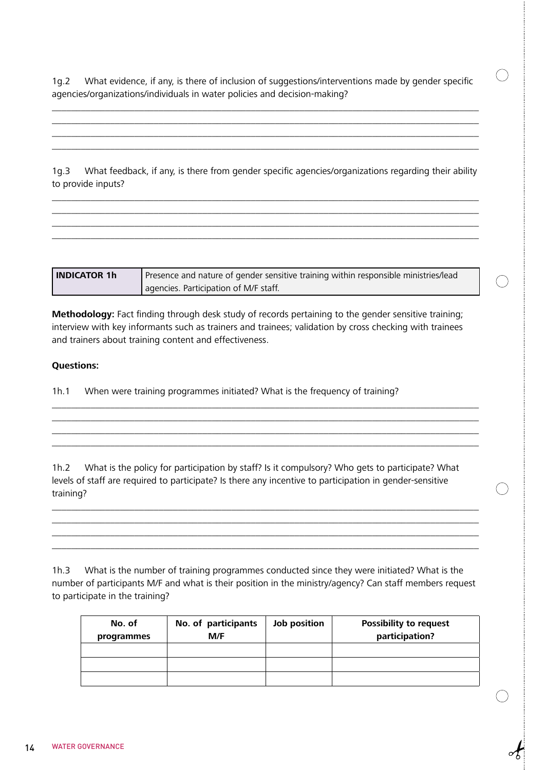1g.2 What evidence, if any, is there of inclusion of suggestions/interventions made by gender specific agencies/organizations/individuals in water policies and decision-making?

 $(\ )$ 

\_\_\_\_\_\_\_\_\_\_\_\_\_\_\_\_\_\_\_\_\_\_\_\_\_\_\_\_\_\_\_\_\_\_\_\_\_\_\_\_\_\_\_\_\_\_\_\_\_\_\_\_\_\_\_\_\_\_\_\_\_\_\_\_\_\_\_\_\_\_\_\_\_\_\_\_\_\_\_\_\_\_\_\_\_\_\_\_ \_\_\_\_\_\_\_\_\_\_\_\_\_\_\_\_\_\_\_\_\_\_\_\_\_\_\_\_\_\_\_\_\_\_\_\_\_\_\_\_\_\_\_\_\_\_\_\_\_\_\_\_\_\_\_\_\_\_\_\_\_\_\_\_\_\_\_\_\_\_\_\_\_\_\_\_\_\_\_\_\_\_\_\_\_\_\_\_ \_\_\_\_\_\_\_\_\_\_\_\_\_\_\_\_\_\_\_\_\_\_\_\_\_\_\_\_\_\_\_\_\_\_\_\_\_\_\_\_\_\_\_\_\_\_\_\_\_\_\_\_\_\_\_\_\_\_\_\_\_\_\_\_\_\_\_\_\_\_\_\_\_\_\_\_\_\_\_\_\_\_\_\_\_\_\_\_ \_\_\_\_\_\_\_\_\_\_\_\_\_\_\_\_\_\_\_\_\_\_\_\_\_\_\_\_\_\_\_\_\_\_\_\_\_\_\_\_\_\_\_\_\_\_\_\_\_\_\_\_\_\_\_\_\_\_\_\_\_\_\_\_\_\_\_\_\_\_\_\_\_\_\_\_\_\_\_\_\_\_\_\_\_\_\_\_

1g.3 What feedback, if any, is there from gender specific agencies/organizations regarding their ability to provide inputs?

\_\_\_\_\_\_\_\_\_\_\_\_\_\_\_\_\_\_\_\_\_\_\_\_\_\_\_\_\_\_\_\_\_\_\_\_\_\_\_\_\_\_\_\_\_\_\_\_\_\_\_\_\_\_\_\_\_\_\_\_\_\_\_\_\_\_\_\_\_\_\_\_\_\_\_\_\_\_\_\_\_\_\_\_\_\_\_\_ \_\_\_\_\_\_\_\_\_\_\_\_\_\_\_\_\_\_\_\_\_\_\_\_\_\_\_\_\_\_\_\_\_\_\_\_\_\_\_\_\_\_\_\_\_\_\_\_\_\_\_\_\_\_\_\_\_\_\_\_\_\_\_\_\_\_\_\_\_\_\_\_\_\_\_\_\_\_\_\_\_\_\_\_\_\_\_\_ \_\_\_\_\_\_\_\_\_\_\_\_\_\_\_\_\_\_\_\_\_\_\_\_\_\_\_\_\_\_\_\_\_\_\_\_\_\_\_\_\_\_\_\_\_\_\_\_\_\_\_\_\_\_\_\_\_\_\_\_\_\_\_\_\_\_\_\_\_\_\_\_\_\_\_\_\_\_\_\_\_\_\_\_\_\_\_\_ \_\_\_\_\_\_\_\_\_\_\_\_\_\_\_\_\_\_\_\_\_\_\_\_\_\_\_\_\_\_\_\_\_\_\_\_\_\_\_\_\_\_\_\_\_\_\_\_\_\_\_\_\_\_\_\_\_\_\_\_\_\_\_\_\_\_\_\_\_\_\_\_\_\_\_\_\_\_\_\_\_\_\_\_\_\_\_\_

**INDICATOR 1h** Presence and nature of gender sensitive training within responsible ministries/lead agencies. Participation of M/F staff.

**Methodology:** Fact finding through desk study of records pertaining to the gender sensitive training; interview with key informants such as trainers and trainees; validation by cross checking with trainees and trainers about training content and effectiveness.

#### **Questions:**

1h.1 When were training programmes initiated? What is the frequency of training?

1h.2 What is the policy for participation by staff? Is it compulsory? Who gets to participate? What levels of staff are required to participate? Is there any incentive to participation in gender-sensitive training?

\_\_\_\_\_\_\_\_\_\_\_\_\_\_\_\_\_\_\_\_\_\_\_\_\_\_\_\_\_\_\_\_\_\_\_\_\_\_\_\_\_\_\_\_\_\_\_\_\_\_\_\_\_\_\_\_\_\_\_\_\_\_\_\_\_\_\_\_\_\_\_\_\_\_\_\_\_\_\_\_\_\_\_\_\_\_\_\_ \_\_\_\_\_\_\_\_\_\_\_\_\_\_\_\_\_\_\_\_\_\_\_\_\_\_\_\_\_\_\_\_\_\_\_\_\_\_\_\_\_\_\_\_\_\_\_\_\_\_\_\_\_\_\_\_\_\_\_\_\_\_\_\_\_\_\_\_\_\_\_\_\_\_\_\_\_\_\_\_\_\_\_\_\_\_\_\_ \_\_\_\_\_\_\_\_\_\_\_\_\_\_\_\_\_\_\_\_\_\_\_\_\_\_\_\_\_\_\_\_\_\_\_\_\_\_\_\_\_\_\_\_\_\_\_\_\_\_\_\_\_\_\_\_\_\_\_\_\_\_\_\_\_\_\_\_\_\_\_\_\_\_\_\_\_\_\_\_\_\_\_\_\_\_\_\_ \_\_\_\_\_\_\_\_\_\_\_\_\_\_\_\_\_\_\_\_\_\_\_\_\_\_\_\_\_\_\_\_\_\_\_\_\_\_\_\_\_\_\_\_\_\_\_\_\_\_\_\_\_\_\_\_\_\_\_\_\_\_\_\_\_\_\_\_\_\_\_\_\_\_\_\_\_\_\_\_\_\_\_\_\_\_\_\_

\_\_\_\_\_\_\_\_\_\_\_\_\_\_\_\_\_\_\_\_\_\_\_\_\_\_\_\_\_\_\_\_\_\_\_\_\_\_\_\_\_\_\_\_\_\_\_\_\_\_\_\_\_\_\_\_\_\_\_\_\_\_\_\_\_\_\_\_\_\_\_\_\_\_\_\_\_\_\_\_\_\_\_\_\_\_\_\_ \_\_\_\_\_\_\_\_\_\_\_\_\_\_\_\_\_\_\_\_\_\_\_\_\_\_\_\_\_\_\_\_\_\_\_\_\_\_\_\_\_\_\_\_\_\_\_\_\_\_\_\_\_\_\_\_\_\_\_\_\_\_\_\_\_\_\_\_\_\_\_\_\_\_\_\_\_\_\_\_\_\_\_\_\_\_\_\_ \_\_\_\_\_\_\_\_\_\_\_\_\_\_\_\_\_\_\_\_\_\_\_\_\_\_\_\_\_\_\_\_\_\_\_\_\_\_\_\_\_\_\_\_\_\_\_\_\_\_\_\_\_\_\_\_\_\_\_\_\_\_\_\_\_\_\_\_\_\_\_\_\_\_\_\_\_\_\_\_\_\_\_\_\_\_\_\_

1h.3 What is the number of training programmes conducted since they were initiated? What is the number of participants M/F and what is their position in the ministry/agency? Can staff members request to participate in the training?

| No. of<br>programmes | No. of participants<br>M/F | Job position | <b>Possibility to request</b><br>participation? |
|----------------------|----------------------------|--------------|-------------------------------------------------|
|                      |                            |              |                                                 |
|                      |                            |              |                                                 |
|                      |                            |              |                                                 |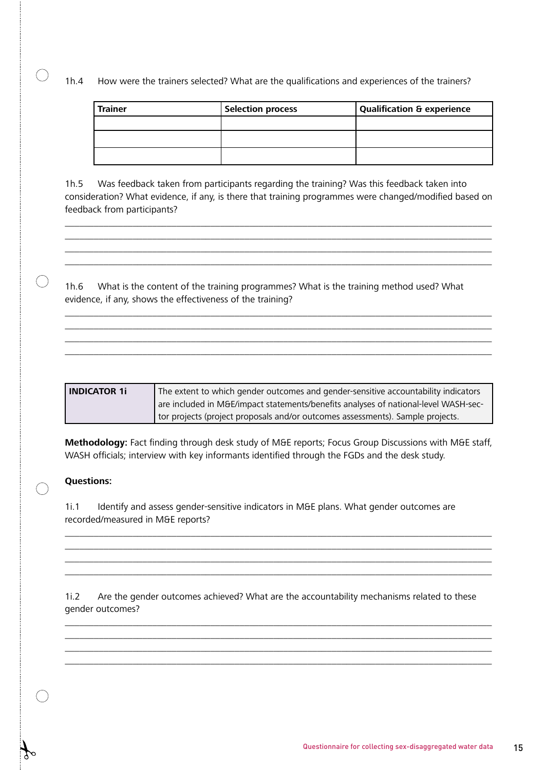1h.4 How were the trainers selected? What are the qualifications and experiences of the trainers?

| <b>Trainer</b> | <b>Selection process</b> | Qualification & experience |
|----------------|--------------------------|----------------------------|
|                |                          |                            |
|                |                          |                            |
|                |                          |                            |

1h.5 Was feedback taken from participants regarding the training? Was this feedback taken into consideration? What evidence, if any, is there that training programmes were changed/modified based on feedback from participants?

\_\_\_\_\_\_\_\_\_\_\_\_\_\_\_\_\_\_\_\_\_\_\_\_\_\_\_\_\_\_\_\_\_\_\_\_\_\_\_\_\_\_\_\_\_\_\_\_\_\_\_\_\_\_\_\_\_\_\_\_\_\_\_\_\_\_\_\_\_\_\_\_\_\_\_\_\_\_\_\_\_\_\_\_\_\_\_\_ \_\_\_\_\_\_\_\_\_\_\_\_\_\_\_\_\_\_\_\_\_\_\_\_\_\_\_\_\_\_\_\_\_\_\_\_\_\_\_\_\_\_\_\_\_\_\_\_\_\_\_\_\_\_\_\_\_\_\_\_\_\_\_\_\_\_\_\_\_\_\_\_\_\_\_\_\_\_\_\_\_\_\_\_\_\_\_\_ \_\_\_\_\_\_\_\_\_\_\_\_\_\_\_\_\_\_\_\_\_\_\_\_\_\_\_\_\_\_\_\_\_\_\_\_\_\_\_\_\_\_\_\_\_\_\_\_\_\_\_\_\_\_\_\_\_\_\_\_\_\_\_\_\_\_\_\_\_\_\_\_\_\_\_\_\_\_\_\_\_\_\_\_\_\_\_\_ \_\_\_\_\_\_\_\_\_\_\_\_\_\_\_\_\_\_\_\_\_\_\_\_\_\_\_\_\_\_\_\_\_\_\_\_\_\_\_\_\_\_\_\_\_\_\_\_\_\_\_\_\_\_\_\_\_\_\_\_\_\_\_\_\_\_\_\_\_\_\_\_\_\_\_\_\_\_\_\_\_\_\_\_\_\_\_\_

1h.6 What is the content of the training programmes? What is the training method used? What evidence, if any, shows the effectiveness of the training?

\_\_\_\_\_\_\_\_\_\_\_\_\_\_\_\_\_\_\_\_\_\_\_\_\_\_\_\_\_\_\_\_\_\_\_\_\_\_\_\_\_\_\_\_\_\_\_\_\_\_\_\_\_\_\_\_\_\_\_\_\_\_\_\_\_\_\_\_\_\_\_\_\_\_\_\_\_\_\_\_\_\_\_\_\_\_\_\_ \_\_\_\_\_\_\_\_\_\_\_\_\_\_\_\_\_\_\_\_\_\_\_\_\_\_\_\_\_\_\_\_\_\_\_\_\_\_\_\_\_\_\_\_\_\_\_\_\_\_\_\_\_\_\_\_\_\_\_\_\_\_\_\_\_\_\_\_\_\_\_\_\_\_\_\_\_\_\_\_\_\_\_\_\_\_\_\_ \_\_\_\_\_\_\_\_\_\_\_\_\_\_\_\_\_\_\_\_\_\_\_\_\_\_\_\_\_\_\_\_\_\_\_\_\_\_\_\_\_\_\_\_\_\_\_\_\_\_\_\_\_\_\_\_\_\_\_\_\_\_\_\_\_\_\_\_\_\_\_\_\_\_\_\_\_\_\_\_\_\_\_\_\_\_\_\_ \_\_\_\_\_\_\_\_\_\_\_\_\_\_\_\_\_\_\_\_\_\_\_\_\_\_\_\_\_\_\_\_\_\_\_\_\_\_\_\_\_\_\_\_\_\_\_\_\_\_\_\_\_\_\_\_\_\_\_\_\_\_\_\_\_\_\_\_\_\_\_\_\_\_\_\_\_\_\_\_\_\_\_\_\_\_\_\_

**INDICATOR 1i** The extent to which gender outcomes and gender-sensitive accountability indicators are included in M&E/impact statements/benefits analyses of national-level WASH-sector projects (project proposals and/or outcomes assessments). Sample projects.

**Methodology:** Fact finding through desk study of M&E reports; Focus Group Discussions with M&E staff, WASH officials; interview with key informants identified through the FGDs and the desk study.

\_\_\_\_\_\_\_\_\_\_\_\_\_\_\_\_\_\_\_\_\_\_\_\_\_\_\_\_\_\_\_\_\_\_\_\_\_\_\_\_\_\_\_\_\_\_\_\_\_\_\_\_\_\_\_\_\_\_\_\_\_\_\_\_\_\_\_\_\_\_\_\_\_\_\_\_\_\_\_\_\_\_\_\_\_\_\_\_ \_\_\_\_\_\_\_\_\_\_\_\_\_\_\_\_\_\_\_\_\_\_\_\_\_\_\_\_\_\_\_\_\_\_\_\_\_\_\_\_\_\_\_\_\_\_\_\_\_\_\_\_\_\_\_\_\_\_\_\_\_\_\_\_\_\_\_\_\_\_\_\_\_\_\_\_\_\_\_\_\_\_\_\_\_\_\_\_ \_\_\_\_\_\_\_\_\_\_\_\_\_\_\_\_\_\_\_\_\_\_\_\_\_\_\_\_\_\_\_\_\_\_\_\_\_\_\_\_\_\_\_\_\_\_\_\_\_\_\_\_\_\_\_\_\_\_\_\_\_\_\_\_\_\_\_\_\_\_\_\_\_\_\_\_\_\_\_\_\_\_\_\_\_\_\_\_ \_\_\_\_\_\_\_\_\_\_\_\_\_\_\_\_\_\_\_\_\_\_\_\_\_\_\_\_\_\_\_\_\_\_\_\_\_\_\_\_\_\_\_\_\_\_\_\_\_\_\_\_\_\_\_\_\_\_\_\_\_\_\_\_\_\_\_\_\_\_\_\_\_\_\_\_\_\_\_\_\_\_\_\_\_\_\_\_

#### **Questions:**

 $\bigcap$ 

1i.1 Identify and assess gender-sensitive indicators in M&E plans. What gender outcomes are recorded/measured in M&E reports?

1i.2 Are the gender outcomes achieved? What are the accountability mechanisms related to these gender outcomes?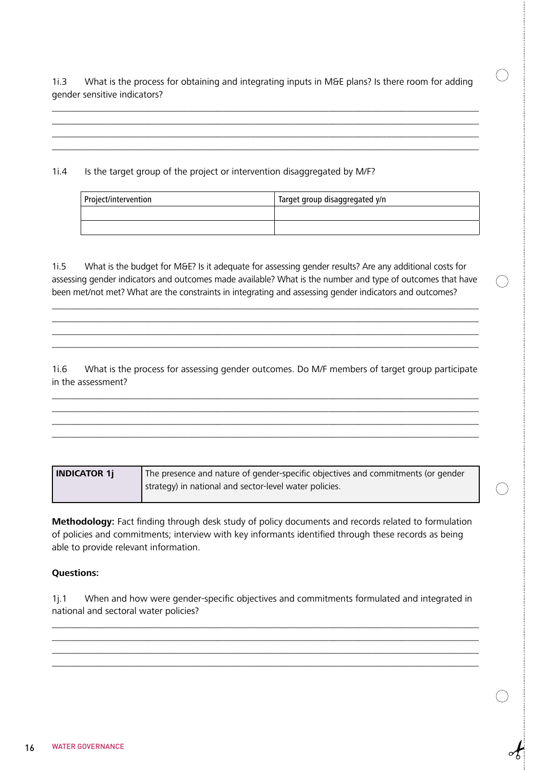1i.3 What is the process for obtaining and integrating inputs in M&E plans? Is there room for adding gender sensitive indicators?

 $\left(\begin{array}{c} \end{array}\right)$ 

\_\_\_\_\_\_\_\_\_\_\_\_\_\_\_\_\_\_\_\_\_\_\_\_\_\_\_\_\_\_\_\_\_\_\_\_\_\_\_\_\_\_\_\_\_\_\_\_\_\_\_\_\_\_\_\_\_\_\_\_\_\_\_\_\_\_\_\_\_\_\_\_\_\_\_\_\_\_\_\_\_\_\_\_\_\_\_\_ \_\_\_\_\_\_\_\_\_\_\_\_\_\_\_\_\_\_\_\_\_\_\_\_\_\_\_\_\_\_\_\_\_\_\_\_\_\_\_\_\_\_\_\_\_\_\_\_\_\_\_\_\_\_\_\_\_\_\_\_\_\_\_\_\_\_\_\_\_\_\_\_\_\_\_\_\_\_\_\_\_\_\_\_\_\_\_\_ \_\_\_\_\_\_\_\_\_\_\_\_\_\_\_\_\_\_\_\_\_\_\_\_\_\_\_\_\_\_\_\_\_\_\_\_\_\_\_\_\_\_\_\_\_\_\_\_\_\_\_\_\_\_\_\_\_\_\_\_\_\_\_\_\_\_\_\_\_\_\_\_\_\_\_\_\_\_\_\_\_\_\_\_\_\_\_\_ \_\_\_\_\_\_\_\_\_\_\_\_\_\_\_\_\_\_\_\_\_\_\_\_\_\_\_\_\_\_\_\_\_\_\_\_\_\_\_\_\_\_\_\_\_\_\_\_\_\_\_\_\_\_\_\_\_\_\_\_\_\_\_\_\_\_\_\_\_\_\_\_\_\_\_\_\_\_\_\_\_\_\_\_\_\_\_\_

1i.4 Is the target group of the project or intervention disaggregated by M/F?

| Project/intervention | Target group disaggregated y/n |
|----------------------|--------------------------------|
|                      |                                |
|                      |                                |

1i.5 What is the budget for M&E? Is it adequate for assessing gender results? Are any additional costs for assessing gender indicators and outcomes made available? What is the number and type of outcomes that have been met/not met? What are the constraints in integrating and assessing gender indicators and outcomes?

\_\_\_\_\_\_\_\_\_\_\_\_\_\_\_\_\_\_\_\_\_\_\_\_\_\_\_\_\_\_\_\_\_\_\_\_\_\_\_\_\_\_\_\_\_\_\_\_\_\_\_\_\_\_\_\_\_\_\_\_\_\_\_\_\_\_\_\_\_\_\_\_\_\_\_\_\_\_\_\_\_\_\_\_\_\_\_\_ \_\_\_\_\_\_\_\_\_\_\_\_\_\_\_\_\_\_\_\_\_\_\_\_\_\_\_\_\_\_\_\_\_\_\_\_\_\_\_\_\_\_\_\_\_\_\_\_\_\_\_\_\_\_\_\_\_\_\_\_\_\_\_\_\_\_\_\_\_\_\_\_\_\_\_\_\_\_\_\_\_\_\_\_\_\_\_\_ \_\_\_\_\_\_\_\_\_\_\_\_\_\_\_\_\_\_\_\_\_\_\_\_\_\_\_\_\_\_\_\_\_\_\_\_\_\_\_\_\_\_\_\_\_\_\_\_\_\_\_\_\_\_\_\_\_\_\_\_\_\_\_\_\_\_\_\_\_\_\_\_\_\_\_\_\_\_\_\_\_\_\_\_\_\_\_\_ \_\_\_\_\_\_\_\_\_\_\_\_\_\_\_\_\_\_\_\_\_\_\_\_\_\_\_\_\_\_\_\_\_\_\_\_\_\_\_\_\_\_\_\_\_\_\_\_\_\_\_\_\_\_\_\_\_\_\_\_\_\_\_\_\_\_\_\_\_\_\_\_\_\_\_\_\_\_\_\_\_\_\_\_\_\_\_\_

1i.6 What is the process for assessing gender outcomes. Do M/F members of target group participate in the assessment?

\_\_\_\_\_\_\_\_\_\_\_\_\_\_\_\_\_\_\_\_\_\_\_\_\_\_\_\_\_\_\_\_\_\_\_\_\_\_\_\_\_\_\_\_\_\_\_\_\_\_\_\_\_\_\_\_\_\_\_\_\_\_\_\_\_\_\_\_\_\_\_\_\_\_\_\_\_\_\_\_\_\_\_\_\_\_\_\_ \_\_\_\_\_\_\_\_\_\_\_\_\_\_\_\_\_\_\_\_\_\_\_\_\_\_\_\_\_\_\_\_\_\_\_\_\_\_\_\_\_\_\_\_\_\_\_\_\_\_\_\_\_\_\_\_\_\_\_\_\_\_\_\_\_\_\_\_\_\_\_\_\_\_\_\_\_\_\_\_\_\_\_\_\_\_\_\_ \_\_\_\_\_\_\_\_\_\_\_\_\_\_\_\_\_\_\_\_\_\_\_\_\_\_\_\_\_\_\_\_\_\_\_\_\_\_\_\_\_\_\_\_\_\_\_\_\_\_\_\_\_\_\_\_\_\_\_\_\_\_\_\_\_\_\_\_\_\_\_\_\_\_\_\_\_\_\_\_\_\_\_\_\_\_\_\_ \_\_\_\_\_\_\_\_\_\_\_\_\_\_\_\_\_\_\_\_\_\_\_\_\_\_\_\_\_\_\_\_\_\_\_\_\_\_\_\_\_\_\_\_\_\_\_\_\_\_\_\_\_\_\_\_\_\_\_\_\_\_\_\_\_\_\_\_\_\_\_\_\_\_\_\_\_\_\_\_\_\_\_\_\_\_\_\_

| <b>INDICATOR 1j</b> | The presence and nature of gender-specific objectives and commitments (or gender |  |
|---------------------|----------------------------------------------------------------------------------|--|
|                     | strategy) in national and sector-level water policies.                           |  |

**Methodology:** Fact finding through desk study of policy documents and records related to formulation of policies and commitments; interview with key informants identified through these records as being able to provide relevant information.

#### **Questions:**

1j.1 When and how were gender-specific objectives and commitments formulated and integrated in national and sectoral water policies?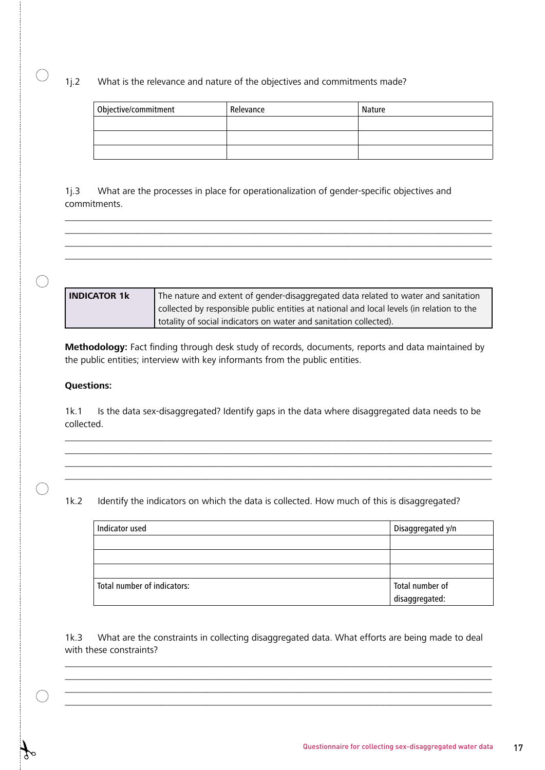1j.2 What is the relevance and nature of the objectives and commitments made?

| Objective/commitment | Relevance | Nature |
|----------------------|-----------|--------|
|                      |           |        |
|                      |           |        |
|                      |           |        |

1j.3 What are the processes in place for operationalization of gender-specific objectives and commitments.



\_\_\_\_\_\_\_\_\_\_\_\_\_\_\_\_\_\_\_\_\_\_\_\_\_\_\_\_\_\_\_\_\_\_\_\_\_\_\_\_\_\_\_\_\_\_\_\_\_\_\_\_\_\_\_\_\_\_\_\_\_\_\_\_\_\_\_\_\_\_\_\_\_\_\_\_\_\_\_\_\_\_\_\_\_\_\_\_ \_\_\_\_\_\_\_\_\_\_\_\_\_\_\_\_\_\_\_\_\_\_\_\_\_\_\_\_\_\_\_\_\_\_\_\_\_\_\_\_\_\_\_\_\_\_\_\_\_\_\_\_\_\_\_\_\_\_\_\_\_\_\_\_\_\_\_\_\_\_\_\_\_\_\_\_\_\_\_\_\_\_\_\_\_\_\_\_ \_\_\_\_\_\_\_\_\_\_\_\_\_\_\_\_\_\_\_\_\_\_\_\_\_\_\_\_\_\_\_\_\_\_\_\_\_\_\_\_\_\_\_\_\_\_\_\_\_\_\_\_\_\_\_\_\_\_\_\_\_\_\_\_\_\_\_\_\_\_\_\_\_\_\_\_\_\_\_\_\_\_\_\_\_\_\_\_ \_\_\_\_\_\_\_\_\_\_\_\_\_\_\_\_\_\_\_\_\_\_\_\_\_\_\_\_\_\_\_\_\_\_\_\_\_\_\_\_\_\_\_\_\_\_\_\_\_\_\_\_\_\_\_\_\_\_\_\_\_\_\_\_\_\_\_\_\_\_\_\_\_\_\_\_\_\_\_\_\_\_\_\_\_\_\_\_

**Methodology:** Fact finding through desk study of records, documents, reports and data maintained by the public entities; interview with key informants from the public entities.

#### **Questions:**

 $\bigcirc$ 

1k.1 Is the data sex-disaggregated? Identify gaps in the data where disaggregated data needs to be collected.

\_\_\_\_\_\_\_\_\_\_\_\_\_\_\_\_\_\_\_\_\_\_\_\_\_\_\_\_\_\_\_\_\_\_\_\_\_\_\_\_\_\_\_\_\_\_\_\_\_\_\_\_\_\_\_\_\_\_\_\_\_\_\_\_\_\_\_\_\_\_\_\_\_\_\_\_\_\_\_\_\_\_\_\_\_\_\_\_ \_\_\_\_\_\_\_\_\_\_\_\_\_\_\_\_\_\_\_\_\_\_\_\_\_\_\_\_\_\_\_\_\_\_\_\_\_\_\_\_\_\_\_\_\_\_\_\_\_\_\_\_\_\_\_\_\_\_\_\_\_\_\_\_\_\_\_\_\_\_\_\_\_\_\_\_\_\_\_\_\_\_\_\_\_\_\_\_ \_\_\_\_\_\_\_\_\_\_\_\_\_\_\_\_\_\_\_\_\_\_\_\_\_\_\_\_\_\_\_\_\_\_\_\_\_\_\_\_\_\_\_\_\_\_\_\_\_\_\_\_\_\_\_\_\_\_\_\_\_\_\_\_\_\_\_\_\_\_\_\_\_\_\_\_\_\_\_\_\_\_\_\_\_\_\_\_ \_\_\_\_\_\_\_\_\_\_\_\_\_\_\_\_\_\_\_\_\_\_\_\_\_\_\_\_\_\_\_\_\_\_\_\_\_\_\_\_\_\_\_\_\_\_\_\_\_\_\_\_\_\_\_\_\_\_\_\_\_\_\_\_\_\_\_\_\_\_\_\_\_\_\_\_\_\_\_\_\_\_\_\_\_\_\_\_

1k.2 Identify the indicators on which the data is collected. How much of this is disaggregated?

| Indicator used              | Disaggregated y/n |
|-----------------------------|-------------------|
|                             |                   |
|                             |                   |
|                             |                   |
| Total number of indicators: | Total number of   |
|                             | disaggregated:    |

1k.3 What are the constraints in collecting disaggregated data. What efforts are being made to deal with these constraints?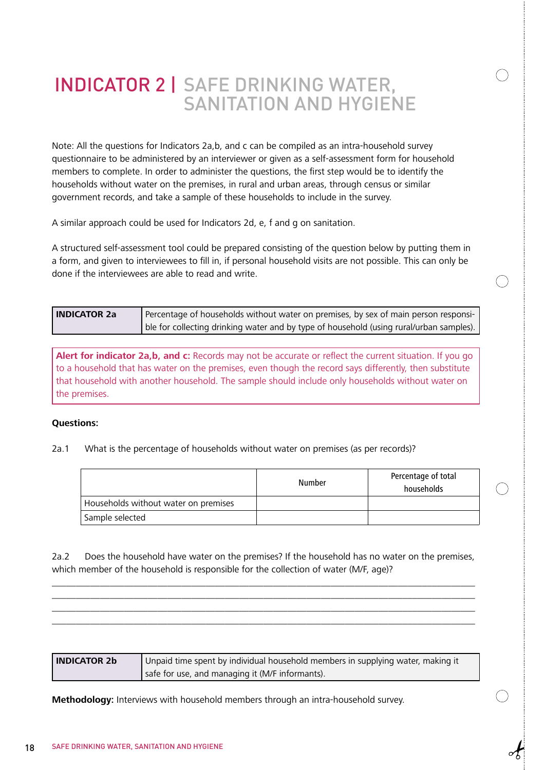### INDICATOR 2 | SAFE DRINKING WATER, SANITATION AND HYGIENE

Note: All the questions for Indicators 2a,b, and c can be compiled as an intra-household survey questionnaire to be administered by an interviewer or given as a self-assessment form for household members to complete. In order to administer the questions, the first step would be to identify the households without water on the premises, in rural and urban areas, through census or similar government records, and take a sample of these households to include in the survey.

A similar approach could be used for Indicators 2d, e, f and g on sanitation.

A structured self-assessment tool could be prepared consisting of the question below by putting them in a form, and given to interviewees to fill in, if personal household visits are not possible. This can only be done if the interviewees are able to read and write.

| <b>INDICATOR 2a</b> | Percentage of households without water on premises, by sex of main person responsi-     |
|---------------------|-----------------------------------------------------------------------------------------|
|                     | ble for collecting drinking water and by type of household (using rural/urban samples). |

**Alert for indicator 2a,b, and c:** Records may not be accurate or reflect the current situation. If you go to a household that has water on the premises, even though the record says differently, then substitute that household with another household. The sample should include only households without water on the premises.

#### **Questions:**

2a.1 What is the percentage of households without water on premises (as per records)?

|                                      | Number | Percentage of total<br>households |
|--------------------------------------|--------|-----------------------------------|
| Households without water on premises |        |                                   |
| Sample selected                      |        |                                   |

2a.2 Does the household have water on the premises? If the household has no water on the premises, which member of the household is responsible for the collection of water (M/F, age)?

\_\_\_\_\_\_\_\_\_\_\_\_\_\_\_\_\_\_\_\_\_\_\_\_\_\_\_\_\_\_\_\_\_\_\_\_\_\_\_\_\_\_\_\_\_\_\_\_\_\_\_\_\_\_\_\_\_\_\_\_\_\_\_\_\_\_\_\_\_\_\_\_\_\_\_\_\_\_\_\_\_\_\_\_\_\_\_\_ \_\_\_\_\_\_\_\_\_\_\_\_\_\_\_\_\_\_\_\_\_\_\_\_\_\_\_\_\_\_\_\_\_\_\_\_\_\_\_\_\_\_\_\_\_\_\_\_\_\_\_\_\_\_\_\_\_\_\_\_\_\_\_\_\_\_\_\_\_\_\_\_\_\_\_\_\_\_\_\_\_\_\_\_\_\_\_\_ \_\_\_\_\_\_\_\_\_\_\_\_\_\_\_\_\_\_\_\_\_\_\_\_\_\_\_\_\_\_\_\_\_\_\_\_\_\_\_\_\_\_\_\_\_\_\_\_\_\_\_\_\_\_\_\_\_\_\_\_\_\_\_\_\_\_\_\_\_\_\_\_\_\_\_\_\_\_\_\_\_\_\_\_\_\_\_\_ \_\_\_\_\_\_\_\_\_\_\_\_\_\_\_\_\_\_\_\_\_\_\_\_\_\_\_\_\_\_\_\_\_\_\_\_\_\_\_\_\_\_\_\_\_\_\_\_\_\_\_\_\_\_\_\_\_\_\_\_\_\_\_\_\_\_\_\_\_\_\_\_\_\_\_\_\_\_\_\_\_\_\_\_\_\_\_\_

| <b>INDICATOR 2b</b> | $\Box$ Unpaid time spent by individual household members in supplying water, making it |
|---------------------|----------------------------------------------------------------------------------------|
|                     | safe for use, and managing it (M/F informants).                                        |

**Methodology:** Interviews with household members through an intra-household survey.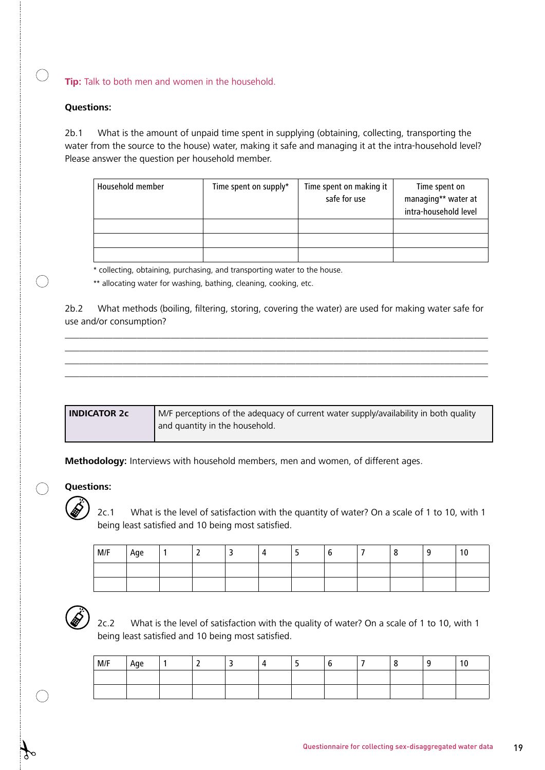**Tip:** Talk to both men and women in the household.

#### **Questions:**

 $\bigcap$ 

 $\left(\begin{array}{c}\right)$ 

2b.1 What is the amount of unpaid time spent in supplying (obtaining, collecting, transporting the water from the source to the house) water, making it safe and managing it at the intra-household level? Please answer the question per household member.

| Household member | Time spent on supply* | Time spent on making it<br>safe for use | Time spent on<br>managing** water at<br>intra-household level |
|------------------|-----------------------|-----------------------------------------|---------------------------------------------------------------|
|                  |                       |                                         |                                                               |
|                  |                       |                                         |                                                               |
|                  |                       |                                         |                                                               |

\* collecting, obtaining, purchasing, and transporting water to the house.

\*\* allocating water for washing, bathing, cleaning, cooking, etc.

2b.2 What methods (boiling, filtering, storing, covering the water) are used for making water safe for use and/or consumption?

\_\_\_\_\_\_\_\_\_\_\_\_\_\_\_\_\_\_\_\_\_\_\_\_\_\_\_\_\_\_\_\_\_\_\_\_\_\_\_\_\_\_\_\_\_\_\_\_\_\_\_\_\_\_\_\_\_\_\_\_\_\_\_\_\_\_\_\_\_\_\_\_\_\_\_\_\_\_\_\_\_\_\_\_\_\_\_\_ \_\_\_\_\_\_\_\_\_\_\_\_\_\_\_\_\_\_\_\_\_\_\_\_\_\_\_\_\_\_\_\_\_\_\_\_\_\_\_\_\_\_\_\_\_\_\_\_\_\_\_\_\_\_\_\_\_\_\_\_\_\_\_\_\_\_\_\_\_\_\_\_\_\_\_\_\_\_\_\_\_\_\_\_\_\_\_\_ \_\_\_\_\_\_\_\_\_\_\_\_\_\_\_\_\_\_\_\_\_\_\_\_\_\_\_\_\_\_\_\_\_\_\_\_\_\_\_\_\_\_\_\_\_\_\_\_\_\_\_\_\_\_\_\_\_\_\_\_\_\_\_\_\_\_\_\_\_\_\_\_\_\_\_\_\_\_\_\_\_\_\_\_\_\_\_\_ \_\_\_\_\_\_\_\_\_\_\_\_\_\_\_\_\_\_\_\_\_\_\_\_\_\_\_\_\_\_\_\_\_\_\_\_\_\_\_\_\_\_\_\_\_\_\_\_\_\_\_\_\_\_\_\_\_\_\_\_\_\_\_\_\_\_\_\_\_\_\_\_\_\_\_\_\_\_\_\_\_\_\_\_\_\_\_\_

| l INDICATOR 2c | M/F perceptions of the adequacy of current water supply/availability in both quality |
|----------------|--------------------------------------------------------------------------------------|
|                | I and quantity in the household.                                                     |

**Methodology:** Interviews with household members, men and women, of different ages.

#### **Questions:**

2c.1 What is the level of satisfaction with the quantity of water? On a scale of 1 to 10, with 1 being least satisfied and 10 being most satisfied.

| $\vert$ M/F | Age |  |  |  |  | 10 |
|-------------|-----|--|--|--|--|----|
|             |     |  |  |  |  |    |
|             |     |  |  |  |  |    |



2c.2 What is the level of satisfaction with the quality of water? On a scale of 1 to 10, with 1 being least satisfied and 10 being most satisfied.

| M/F | . Age |  |  |  |  |  |
|-----|-------|--|--|--|--|--|
|     |       |  |  |  |  |  |
|     |       |  |  |  |  |  |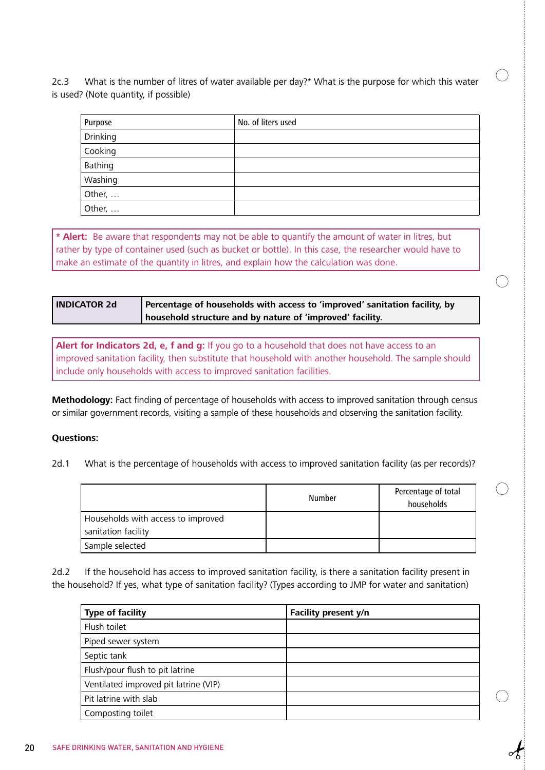2c.3 What is the number of litres of water available per day?\* What is the purpose for which this water is used? (Note quantity, if possible)

| Purpose  | No. of liters used |
|----------|--------------------|
| Drinking |                    |
| Cooking  |                    |
| Bathing  |                    |
| Washing  |                    |
| Other,   |                    |
| Other,   |                    |

**\* Alert:** Be aware that respondents may not be able to quantify the amount of water in litres, but rather by type of container used (such as bucket or bottle). In this case, the researcher would have to make an estimate of the quantity in litres, and explain how the calculation was done.

| <b>INDICATOR 2d</b> | Percentage of households with access to 'improved' sanitation facility, by |
|---------------------|----------------------------------------------------------------------------|
|                     | household structure and by nature of 'improved' facility.                  |

**Alert for Indicators 2d, e, f and g:** If you go to a household that does not have access to an improved sanitation facility, then substitute that household with another household. The sample should include only households with access to improved sanitation facilities.

**Methodology:** Fact finding of percentage of households with access to improved sanitation through census or similar government records, visiting a sample of these households and observing the sanitation facility.

#### **Questions:**

2d.1 What is the percentage of households with access to improved sanitation facility (as per records)?

|                                    | <b>Number</b> | Percentage of total<br>households |
|------------------------------------|---------------|-----------------------------------|
| Households with access to improved |               |                                   |
| sanitation facility                |               |                                   |
| Sample selected                    |               |                                   |

2d.2 If the household has access to improved sanitation facility, is there a sanitation facility present in the household? If yes, what type of sanitation facility? (Types according to JMP for water and sanitation)

| <b>Type of facility</b>               | Facility present y/n |
|---------------------------------------|----------------------|
| Flush toilet                          |                      |
| Piped sewer system                    |                      |
| Septic tank                           |                      |
| Flush/pour flush to pit latrine       |                      |
| Ventilated improved pit latrine (VIP) |                      |
| Pit latrine with slab                 |                      |
| Composting toilet                     |                      |

 $\big)$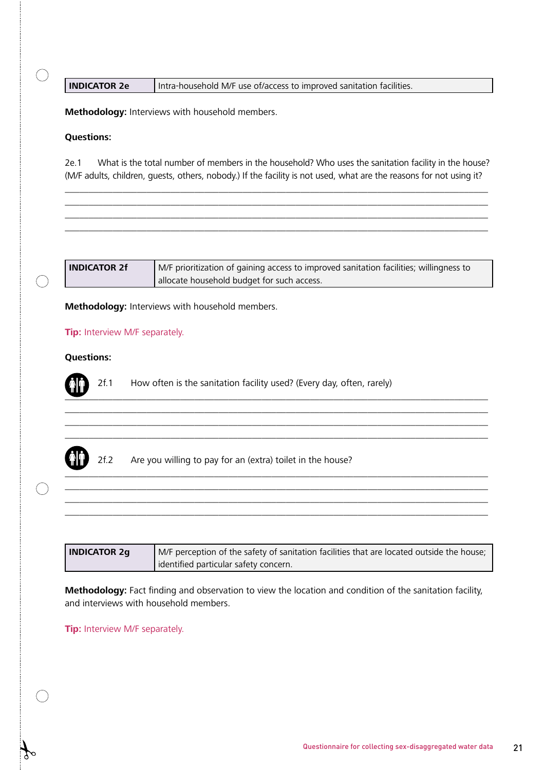#### **INDICATOR 2e** | Intra-household M/F use of/access to improved sanitation facilities.

**Methodology:** Interviews with household members.

#### **Questions:**

2e.1 What is the total number of members in the household? Who uses the sanitation facility in the house? (M/F adults, children, guests, others, nobody.) If the facility is not used, what are the reasons for not using it?

 $\_$  . The contribution of the contribution of the contribution of the contribution of the contribution of the contribution of the contribution of the contribution of the contribution of the contribution of the contributio \_\_\_\_\_\_\_\_\_\_\_\_\_\_\_\_\_\_\_\_\_\_\_\_\_\_\_\_\_\_\_\_\_\_\_\_\_\_\_\_\_\_\_\_\_\_\_\_\_\_\_\_\_\_\_\_\_\_\_\_\_\_\_\_\_\_\_\_\_\_\_\_\_\_\_\_\_\_\_\_\_\_\_\_\_\_\_\_ \_\_\_\_\_\_\_\_\_\_\_\_\_\_\_\_\_\_\_\_\_\_\_\_\_\_\_\_\_\_\_\_\_\_\_\_\_\_\_\_\_\_\_\_\_\_\_\_\_\_\_\_\_\_\_\_\_\_\_\_\_\_\_\_\_\_\_\_\_\_\_\_\_\_\_\_\_\_\_\_\_\_\_\_\_\_\_\_ \_\_\_\_\_\_\_\_\_\_\_\_\_\_\_\_\_\_\_\_\_\_\_\_\_\_\_\_\_\_\_\_\_\_\_\_\_\_\_\_\_\_\_\_\_\_\_\_\_\_\_\_\_\_\_\_\_\_\_\_\_\_\_\_\_\_\_\_\_\_\_\_\_\_\_\_\_\_\_\_\_\_\_\_\_\_\_\_

| <b>INDICATOR 2f</b> | M/F prioritization of gaining access to improved sanitation facilities; willingness to |
|---------------------|----------------------------------------------------------------------------------------|
|                     | allocate household budget for such access.                                             |

\_\_\_\_\_\_\_\_\_\_\_\_\_\_\_\_\_\_\_\_\_\_\_\_\_\_\_\_\_\_\_\_\_\_\_\_\_\_\_\_\_\_\_\_\_\_\_\_\_\_\_\_\_\_\_\_\_\_\_\_\_\_\_\_\_\_\_\_\_\_\_\_\_\_\_\_\_\_\_\_\_\_\_\_\_\_\_\_ \_\_\_\_\_\_\_\_\_\_\_\_\_\_\_\_\_\_\_\_\_\_\_\_\_\_\_\_\_\_\_\_\_\_\_\_\_\_\_\_\_\_\_\_\_\_\_\_\_\_\_\_\_\_\_\_\_\_\_\_\_\_\_\_\_\_\_\_\_\_\_\_\_\_\_\_\_\_\_\_\_\_\_\_\_\_\_\_ \_\_\_\_\_\_\_\_\_\_\_\_\_\_\_\_\_\_\_\_\_\_\_\_\_\_\_\_\_\_\_\_\_\_\_\_\_\_\_\_\_\_\_\_\_\_\_\_\_\_\_\_\_\_\_\_\_\_\_\_\_\_\_\_\_\_\_\_\_\_\_\_\_\_\_\_\_\_\_\_\_\_\_\_\_\_\_\_ \_\_\_\_\_\_\_\_\_\_\_\_\_\_\_\_\_\_\_\_\_\_\_\_\_\_\_\_\_\_\_\_\_\_\_\_\_\_\_\_\_\_\_\_\_\_\_\_\_\_\_\_\_\_\_\_\_\_\_\_\_\_\_\_\_\_\_\_\_\_\_\_\_\_\_\_\_\_\_\_\_\_\_\_\_\_\_\_

**Methodology:** Interviews with household members.

#### **Tip:** Interview M/F separately.

#### **Questions:**

2f.1 How often is the sanitation facility used? (Every day, often, rarely)



2f.2 Are you willing to pay for an (extra) toilet in the house?

| <b>INDICATOR 2g</b> | I M/F perception of the safety of sanitation facilities that are located outside the house; |
|---------------------|---------------------------------------------------------------------------------------------|
|                     | dentified particular safety concern.                                                        |

\_\_\_\_\_\_\_\_\_\_\_\_\_\_\_\_\_\_\_\_\_\_\_\_\_\_\_\_\_\_\_\_\_\_\_\_\_\_\_\_\_\_\_\_\_\_\_\_\_\_\_\_\_\_\_\_\_\_\_\_\_\_\_\_\_\_\_\_\_\_\_\_\_\_\_\_\_\_\_\_\_\_\_\_\_\_\_\_ \_\_\_\_\_\_\_\_\_\_\_\_\_\_\_\_\_\_\_\_\_\_\_\_\_\_\_\_\_\_\_\_\_\_\_\_\_\_\_\_\_\_\_\_\_\_\_\_\_\_\_\_\_\_\_\_\_\_\_\_\_\_\_\_\_\_\_\_\_\_\_\_\_\_\_\_\_\_\_\_\_\_\_\_\_\_\_\_ \_\_\_\_\_\_\_\_\_\_\_\_\_\_\_\_\_\_\_\_\_\_\_\_\_\_\_\_\_\_\_\_\_\_\_\_\_\_\_\_\_\_\_\_\_\_\_\_\_\_\_\_\_\_\_\_\_\_\_\_\_\_\_\_\_\_\_\_\_\_\_\_\_\_\_\_\_\_\_\_\_\_\_\_\_\_\_\_

**Methodology:** Fact finding and observation to view the location and condition of the sanitation facility, and interviews with household members.

**Tip:** Interview M/F separately.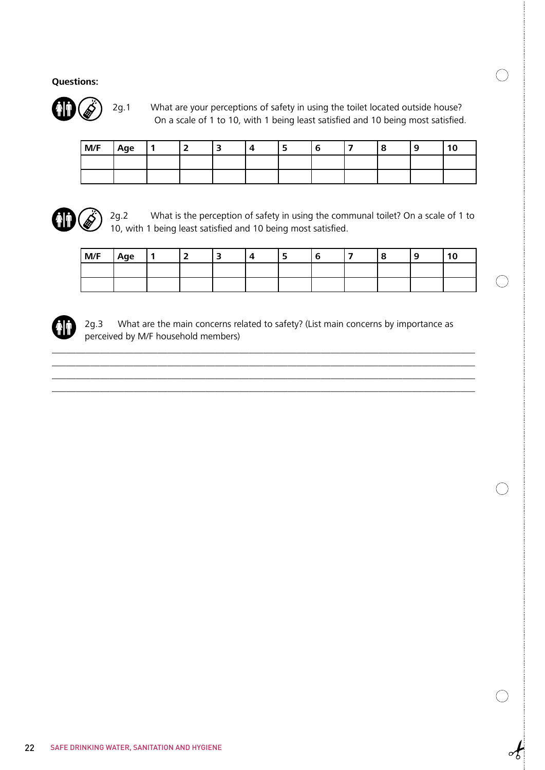

 2g.1 What are your perceptions of safety in using the toilet located outside house? On a scale of 1 to 10, with 1 being least satisfied and 10 being most satisfied.

| M/F | Age | - | 4 |  |  |  |
|-----|-----|---|---|--|--|--|
|     |     |   |   |  |  |  |
|     |     |   |   |  |  |  |



2g.2 What is the perception of safety in using the communal toilet? On a scale of 1 to 10, with 1 being least satisfied and 10 being most satisfied.

| M/F | Age |  |  |  |  |  |
|-----|-----|--|--|--|--|--|
|     |     |  |  |  |  |  |
|     |     |  |  |  |  |  |



2g.3 What are the main concerns related to safety? (List main concerns by importance as perceived by M/F household members)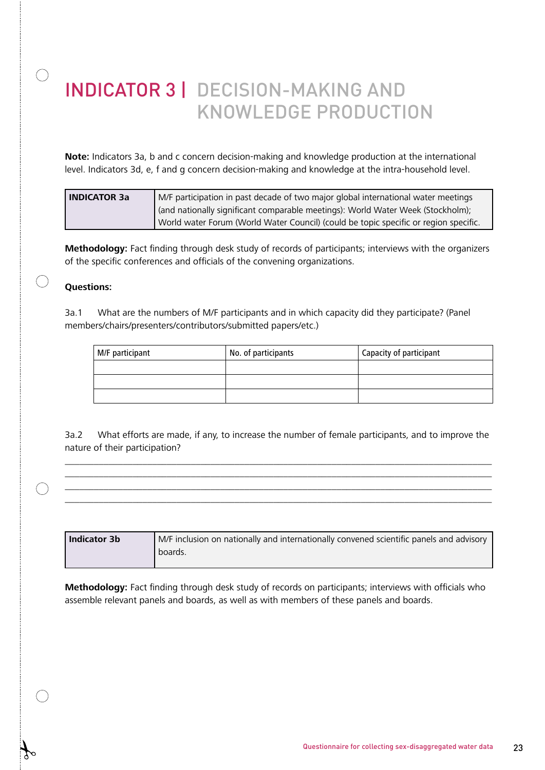## INDICATOR 3 | DECISION-MAKING AND KNOWLEDGE PRODUCTION

**Note:** Indicators 3a, b and c concern decision-making and knowledge production at the international level. Indicators 3d, e, f and g concern decision-making and knowledge at the intra-household level.

| l INDICATOR 3a | M/F participation in past decade of two major global international water meetings    |
|----------------|--------------------------------------------------------------------------------------|
|                | (and nationally significant comparable meetings): World Water Week (Stockholm);      |
|                | World water Forum (World Water Council) (could be topic specific or region specific. |

**Methodology:** Fact finding through desk study of records of participants; interviews with the organizers of the specific conferences and officials of the convening organizations.

### **Questions:**

 $\bigcirc$ 

 $\bigcirc$ 

3a.1 What are the numbers of M/F participants and in which capacity did they participate? (Panel members/chairs/presenters/contributors/submitted papers/etc.)

| M/F participant | No. of participants | Capacity of participant |
|-----------------|---------------------|-------------------------|
|                 |                     |                         |
|                 |                     |                         |
|                 |                     |                         |

3a.2 What efforts are made, if any, to increase the number of female participants, and to improve the nature of their participation?

\_\_\_\_\_\_\_\_\_\_\_\_\_\_\_\_\_\_\_\_\_\_\_\_\_\_\_\_\_\_\_\_\_\_\_\_\_\_\_\_\_\_\_\_\_\_\_\_\_\_\_\_\_\_\_\_\_\_\_\_\_\_\_\_\_\_\_\_\_\_\_\_\_\_\_\_\_\_\_\_\_\_\_\_\_\_\_\_ \_\_\_\_\_\_\_\_\_\_\_\_\_\_\_\_\_\_\_\_\_\_\_\_\_\_\_\_\_\_\_\_\_\_\_\_\_\_\_\_\_\_\_\_\_\_\_\_\_\_\_\_\_\_\_\_\_\_\_\_\_\_\_\_\_\_\_\_\_\_\_\_\_\_\_\_\_\_\_\_\_\_\_\_\_\_\_\_ \_\_\_\_\_\_\_\_\_\_\_\_\_\_\_\_\_\_\_\_\_\_\_\_\_\_\_\_\_\_\_\_\_\_\_\_\_\_\_\_\_\_\_\_\_\_\_\_\_\_\_\_\_\_\_\_\_\_\_\_\_\_\_\_\_\_\_\_\_\_\_\_\_\_\_\_\_\_\_\_\_\_\_\_\_\_\_\_ \_\_\_\_\_\_\_\_\_\_\_\_\_\_\_\_\_\_\_\_\_\_\_\_\_\_\_\_\_\_\_\_\_\_\_\_\_\_\_\_\_\_\_\_\_\_\_\_\_\_\_\_\_\_\_\_\_\_\_\_\_\_\_\_\_\_\_\_\_\_\_\_\_\_\_\_\_\_\_\_\_\_\_\_\_\_\_\_

| Indicator 3b | M/F inclusion on nationally and internationally convened scientific panels and advisory |
|--------------|-----------------------------------------------------------------------------------------|
|              | boards.                                                                                 |

**Methodology:** Fact finding through desk study of records on participants; interviews with officials who assemble relevant panels and boards, as well as with members of these panels and boards.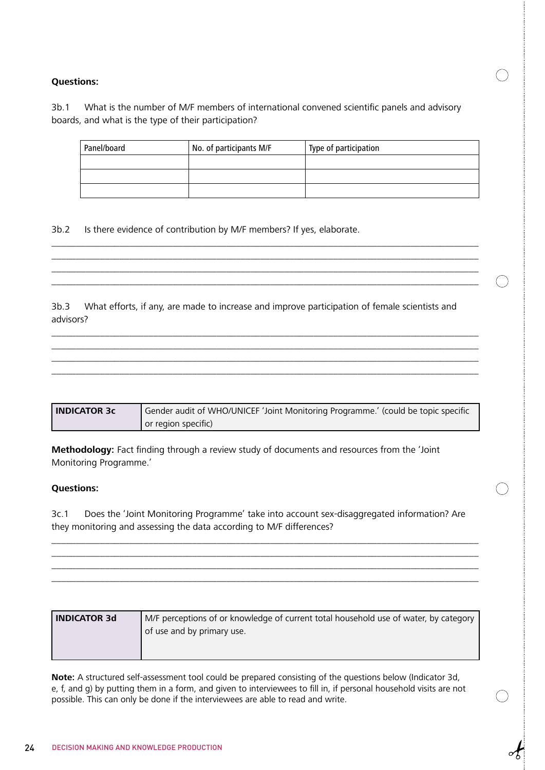3b.1 What is the number of M/F members of international convened scientific panels and advisory boards, and what is the type of their participation?

| Panel/board | No. of participants M/F | Type of participation |
|-------------|-------------------------|-----------------------|
|             |                         |                       |
|             |                         |                       |
|             |                         |                       |

3b.2 Is there evidence of contribution by M/F members? If yes, elaborate.

3b.3 What efforts, if any, are made to increase and improve participation of female scientists and advisors?

\_\_\_\_\_\_\_\_\_\_\_\_\_\_\_\_\_\_\_\_\_\_\_\_\_\_\_\_\_\_\_\_\_\_\_\_\_\_\_\_\_\_\_\_\_\_\_\_\_\_\_\_\_\_\_\_\_\_\_\_\_\_\_\_\_\_\_\_\_\_\_\_\_\_\_\_\_\_\_\_\_\_\_\_\_\_\_\_ \_\_\_\_\_\_\_\_\_\_\_\_\_\_\_\_\_\_\_\_\_\_\_\_\_\_\_\_\_\_\_\_\_\_\_\_\_\_\_\_\_\_\_\_\_\_\_\_\_\_\_\_\_\_\_\_\_\_\_\_\_\_\_\_\_\_\_\_\_\_\_\_\_\_\_\_\_\_\_\_\_\_\_\_\_\_\_\_ \_\_\_\_\_\_\_\_\_\_\_\_\_\_\_\_\_\_\_\_\_\_\_\_\_\_\_\_\_\_\_\_\_\_\_\_\_\_\_\_\_\_\_\_\_\_\_\_\_\_\_\_\_\_\_\_\_\_\_\_\_\_\_\_\_\_\_\_\_\_\_\_\_\_\_\_\_\_\_\_\_\_\_\_\_\_\_\_ \_\_\_\_\_\_\_\_\_\_\_\_\_\_\_\_\_\_\_\_\_\_\_\_\_\_\_\_\_\_\_\_\_\_\_\_\_\_\_\_\_\_\_\_\_\_\_\_\_\_\_\_\_\_\_\_\_\_\_\_\_\_\_\_\_\_\_\_\_\_\_\_\_\_\_\_\_\_\_\_\_\_\_\_\_\_\_\_

\_\_\_\_\_\_\_\_\_\_\_\_\_\_\_\_\_\_\_\_\_\_\_\_\_\_\_\_\_\_\_\_\_\_\_\_\_\_\_\_\_\_\_\_\_\_\_\_\_\_\_\_\_\_\_\_\_\_\_\_\_\_\_\_\_\_\_\_\_\_\_\_\_\_\_\_\_\_\_\_\_\_\_\_\_\_\_\_ \_\_\_\_\_\_\_\_\_\_\_\_\_\_\_\_\_\_\_\_\_\_\_\_\_\_\_\_\_\_\_\_\_\_\_\_\_\_\_\_\_\_\_\_\_\_\_\_\_\_\_\_\_\_\_\_\_\_\_\_\_\_\_\_\_\_\_\_\_\_\_\_\_\_\_\_\_\_\_\_\_\_\_\_\_\_\_\_ \_\_\_\_\_\_\_\_\_\_\_\_\_\_\_\_\_\_\_\_\_\_\_\_\_\_\_\_\_\_\_\_\_\_\_\_\_\_\_\_\_\_\_\_\_\_\_\_\_\_\_\_\_\_\_\_\_\_\_\_\_\_\_\_\_\_\_\_\_\_\_\_\_\_\_\_\_\_\_\_\_\_\_\_\_\_\_\_

| <b>INDICATOR 3c</b> | Gender audit of WHO/UNICEF 'Joint Monitoring Programme.' (could be topic specific |
|---------------------|-----------------------------------------------------------------------------------|
|                     | or region specific)                                                               |

**Methodology:** Fact finding through a review study of documents and resources from the 'Joint Monitoring Programme.'

#### **Questions:**

3c.1 Does the 'Joint Monitoring Programme' take into account sex-disaggregated information? Are they monitoring and assessing the data according to M/F differences?

\_\_\_\_\_\_\_\_\_\_\_\_\_\_\_\_\_\_\_\_\_\_\_\_\_\_\_\_\_\_\_\_\_\_\_\_\_\_\_\_\_\_\_\_\_\_\_\_\_\_\_\_\_\_\_\_\_\_\_\_\_\_\_\_\_\_\_\_\_\_\_\_\_\_\_\_\_\_\_\_\_\_\_\_\_\_\_\_ \_\_\_\_\_\_\_\_\_\_\_\_\_\_\_\_\_\_\_\_\_\_\_\_\_\_\_\_\_\_\_\_\_\_\_\_\_\_\_\_\_\_\_\_\_\_\_\_\_\_\_\_\_\_\_\_\_\_\_\_\_\_\_\_\_\_\_\_\_\_\_\_\_\_\_\_\_\_\_\_\_\_\_\_\_\_\_\_ \_\_\_\_\_\_\_\_\_\_\_\_\_\_\_\_\_\_\_\_\_\_\_\_\_\_\_\_\_\_\_\_\_\_\_\_\_\_\_\_\_\_\_\_\_\_\_\_\_\_\_\_\_\_\_\_\_\_\_\_\_\_\_\_\_\_\_\_\_\_\_\_\_\_\_\_\_\_\_\_\_\_\_\_\_\_\_\_ \_\_\_\_\_\_\_\_\_\_\_\_\_\_\_\_\_\_\_\_\_\_\_\_\_\_\_\_\_\_\_\_\_\_\_\_\_\_\_\_\_\_\_\_\_\_\_\_\_\_\_\_\_\_\_\_\_\_\_\_\_\_\_\_\_\_\_\_\_\_\_\_\_\_\_\_\_\_\_\_\_\_\_\_\_\_\_\_

| <b>INDICATOR 3d</b> | M/F perceptions of or knowledge of current total household use of water, by category<br>of use and by primary use. |
|---------------------|--------------------------------------------------------------------------------------------------------------------|
|---------------------|--------------------------------------------------------------------------------------------------------------------|

**Note:** A structured self-assessment tool could be prepared consisting of the questions below (Indicator 3d, e, f, and g) by putting them in a form, and given to interviewees to fill in, if personal household visits are not possible. This can only be done if the interviewees are able to read and write.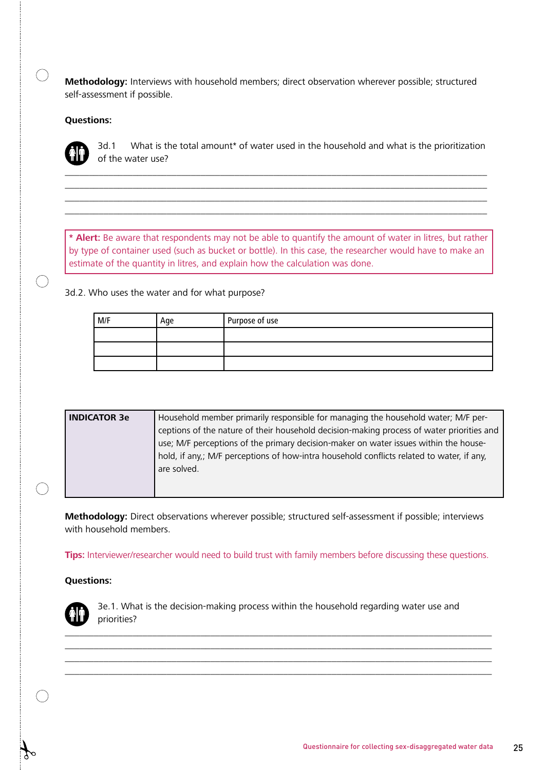**Methodology:** Interviews with household members; direct observation wherever possible; structured self-assessment if possible.

#### **Questions:**



 $\bigcap$ 

 $\bigcap$ 

3d.1 What is the total amount\* of water used in the household and what is the prioritization of the water use?

**\* Alert:** Be aware that respondents may not be able to quantify the amount of water in litres, but rather by type of container used (such as bucket or bottle). In this case, the researcher would have to make an estimate of the quantity in litres, and explain how the calculation was done.

\_\_\_\_\_\_\_\_\_\_\_\_\_\_\_\_\_\_\_\_\_\_\_\_\_\_\_\_\_\_\_\_\_\_\_\_\_\_\_\_\_\_\_\_\_\_\_\_\_\_\_\_\_\_\_\_\_\_\_\_\_\_\_\_\_\_\_\_\_\_\_\_\_\_\_\_\_\_\_\_\_\_\_\_\_\_\_ \_\_\_\_\_\_\_\_\_\_\_\_\_\_\_\_\_\_\_\_\_\_\_\_\_\_\_\_\_\_\_\_\_\_\_\_\_\_\_\_\_\_\_\_\_\_\_\_\_\_\_\_\_\_\_\_\_\_\_\_\_\_\_\_\_\_\_\_\_\_\_\_\_\_\_\_\_\_\_\_\_\_\_\_\_\_\_ \_\_\_\_\_\_\_\_\_\_\_\_\_\_\_\_\_\_\_\_\_\_\_\_\_\_\_\_\_\_\_\_\_\_\_\_\_\_\_\_\_\_\_\_\_\_\_\_\_\_\_\_\_\_\_\_\_\_\_\_\_\_\_\_\_\_\_\_\_\_\_\_\_\_\_\_\_\_\_\_\_\_\_\_\_\_\_

#### 3d.2. Who uses the water and for what purpose?

| M/F | Age | Purpose of use |
|-----|-----|----------------|
|     |     |                |
|     |     |                |
|     |     |                |

| <b>INDICATOR 3e</b>                                                                  | Household member primarily responsible for managing the household water; M/F per-         |  |  |  |
|--------------------------------------------------------------------------------------|-------------------------------------------------------------------------------------------|--|--|--|
|                                                                                      | ceptions of the nature of their household decision-making process of water priorities and |  |  |  |
| use; M/F perceptions of the primary decision-maker on water issues within the house- |                                                                                           |  |  |  |
|                                                                                      | hold, if any,; M/F perceptions of how-intra household conflicts related to water, if any, |  |  |  |
|                                                                                      | are solved.                                                                               |  |  |  |
|                                                                                      |                                                                                           |  |  |  |
|                                                                                      |                                                                                           |  |  |  |

**Methodology:** Direct observations wherever possible; structured self-assessment if possible; interviews with household members.

**Tips:** Interviewer/researcher would need to build trust with family members before discussing these questions.

#### **Questions:**



3e.1. What is the decision-making process within the household regarding water use and priorities?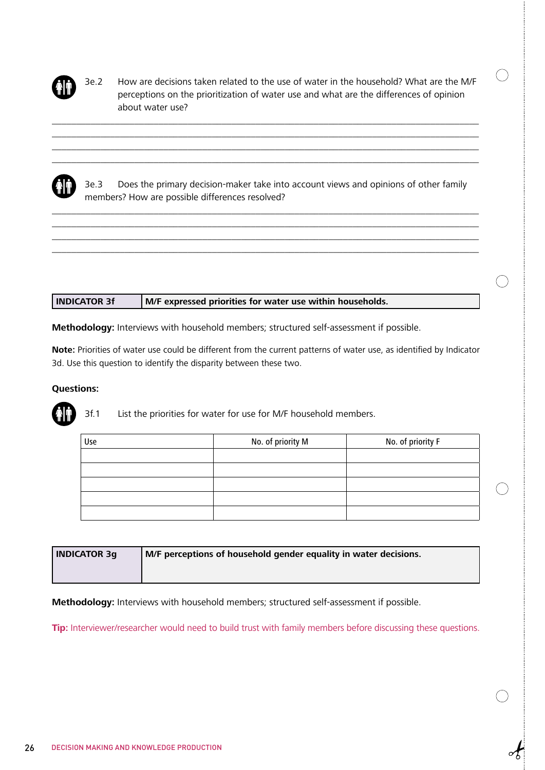

3e.2 How are decisions taken related to the use of water in the household? What are the M/F perceptions on the prioritization of water use and what are the differences of opinion about water use?

 $(\ )$ 



3e.3 Does the primary decision-maker take into account views and opinions of other family members? How are possible differences resolved?

\_\_\_\_\_\_\_\_\_\_\_\_\_\_\_\_\_\_\_\_\_\_\_\_\_\_\_\_\_\_\_\_\_\_\_\_\_\_\_\_\_\_\_\_\_\_\_\_\_\_\_\_\_\_\_\_\_\_\_\_\_\_\_\_\_\_\_\_\_\_\_\_\_\_\_\_\_\_\_\_\_\_\_\_\_\_\_\_ \_\_\_\_\_\_\_\_\_\_\_\_\_\_\_\_\_\_\_\_\_\_\_\_\_\_\_\_\_\_\_\_\_\_\_\_\_\_\_\_\_\_\_\_\_\_\_\_\_\_\_\_\_\_\_\_\_\_\_\_\_\_\_\_\_\_\_\_\_\_\_\_\_\_\_\_\_\_\_\_\_\_\_\_\_\_\_\_ \_\_\_\_\_\_\_\_\_\_\_\_\_\_\_\_\_\_\_\_\_\_\_\_\_\_\_\_\_\_\_\_\_\_\_\_\_\_\_\_\_\_\_\_\_\_\_\_\_\_\_\_\_\_\_\_\_\_\_\_\_\_\_\_\_\_\_\_\_\_\_\_\_\_\_\_\_\_\_\_\_\_\_\_\_\_\_\_ \_\_\_\_\_\_\_\_\_\_\_\_\_\_\_\_\_\_\_\_\_\_\_\_\_\_\_\_\_\_\_\_\_\_\_\_\_\_\_\_\_\_\_\_\_\_\_\_\_\_\_\_\_\_\_\_\_\_\_\_\_\_\_\_\_\_\_\_\_\_\_\_\_\_\_\_\_\_\_\_\_\_\_\_\_\_\_\_

\_\_\_\_\_\_\_\_\_\_\_\_\_\_\_\_\_\_\_\_\_\_\_\_\_\_\_\_\_\_\_\_\_\_\_\_\_\_\_\_\_\_\_\_\_\_\_\_\_\_\_\_\_\_\_\_\_\_\_\_\_\_\_\_\_\_\_\_\_\_\_\_\_\_\_\_\_\_\_\_\_\_\_\_\_\_\_\_ \_\_\_\_\_\_\_\_\_\_\_\_\_\_\_\_\_\_\_\_\_\_\_\_\_\_\_\_\_\_\_\_\_\_\_\_\_\_\_\_\_\_\_\_\_\_\_\_\_\_\_\_\_\_\_\_\_\_\_\_\_\_\_\_\_\_\_\_\_\_\_\_\_\_\_\_\_\_\_\_\_\_\_\_\_\_\_\_ \_\_\_\_\_\_\_\_\_\_\_\_\_\_\_\_\_\_\_\_\_\_\_\_\_\_\_\_\_\_\_\_\_\_\_\_\_\_\_\_\_\_\_\_\_\_\_\_\_\_\_\_\_\_\_\_\_\_\_\_\_\_\_\_\_\_\_\_\_\_\_\_\_\_\_\_\_\_\_\_\_\_\_\_\_\_\_\_ \_\_\_\_\_\_\_\_\_\_\_\_\_\_\_\_\_\_\_\_\_\_\_\_\_\_\_\_\_\_\_\_\_\_\_\_\_\_\_\_\_\_\_\_\_\_\_\_\_\_\_\_\_\_\_\_\_\_\_\_\_\_\_\_\_\_\_\_\_\_\_\_\_\_\_\_\_\_\_\_\_\_\_\_\_\_\_\_

| <b>INDICATOR 3f</b> | M/F expressed priorities for water use within households. |
|---------------------|-----------------------------------------------------------|
|                     |                                                           |

**Methodology:** Interviews with household members; structured self-assessment if possible.

**Note:** Priorities of water use could be different from the current patterns of water use, as identified by Indicator 3d. Use this question to identify the disparity between these two.

#### **Questions:**



3f.1 List the priorities for water for use for M/F household members.

| Use | No. of priority M | No. of priority F |
|-----|-------------------|-------------------|
|     |                   |                   |
|     |                   |                   |
|     |                   |                   |
|     |                   |                   |
|     |                   |                   |

| <b>INDICATOR 3g</b> | M/F perceptions of household gender equality in water decisions. |
|---------------------|------------------------------------------------------------------|
|                     |                                                                  |

**Methodology:** Interviews with household members; structured self-assessment if possible.

**Tip:** Interviewer/researcher would need to build trust with family members before discussing these questions.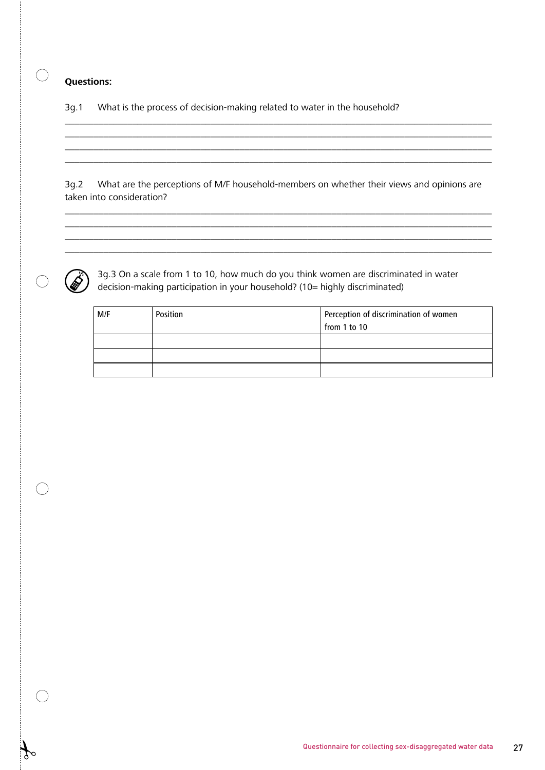$\bigcirc$ 

3g.1 What is the process of decision-making related to water in the household?

3g.2 What are the perceptions of M/F household-members on whether their views and opinions are taken into consideration?

\_\_\_\_\_\_\_\_\_\_\_\_\_\_\_\_\_\_\_\_\_\_\_\_\_\_\_\_\_\_\_\_\_\_\_\_\_\_\_\_\_\_\_\_\_\_\_\_\_\_\_\_\_\_\_\_\_\_\_\_\_\_\_\_\_\_\_\_\_\_\_\_\_\_\_\_\_\_\_\_\_\_\_\_\_\_\_\_ \_\_\_\_\_\_\_\_\_\_\_\_\_\_\_\_\_\_\_\_\_\_\_\_\_\_\_\_\_\_\_\_\_\_\_\_\_\_\_\_\_\_\_\_\_\_\_\_\_\_\_\_\_\_\_\_\_\_\_\_\_\_\_\_\_\_\_\_\_\_\_\_\_\_\_\_\_\_\_\_\_\_\_\_\_\_\_\_ \_\_\_\_\_\_\_\_\_\_\_\_\_\_\_\_\_\_\_\_\_\_\_\_\_\_\_\_\_\_\_\_\_\_\_\_\_\_\_\_\_\_\_\_\_\_\_\_\_\_\_\_\_\_\_\_\_\_\_\_\_\_\_\_\_\_\_\_\_\_\_\_\_\_\_\_\_\_\_\_\_\_\_\_\_\_\_\_ \_\_\_\_\_\_\_\_\_\_\_\_\_\_\_\_\_\_\_\_\_\_\_\_\_\_\_\_\_\_\_\_\_\_\_\_\_\_\_\_\_\_\_\_\_\_\_\_\_\_\_\_\_\_\_\_\_\_\_\_\_\_\_\_\_\_\_\_\_\_\_\_\_\_\_\_\_\_\_\_\_\_\_\_\_\_\_\_

\_\_\_\_\_\_\_\_\_\_\_\_\_\_\_\_\_\_\_\_\_\_\_\_\_\_\_\_\_\_\_\_\_\_\_\_\_\_\_\_\_\_\_\_\_\_\_\_\_\_\_\_\_\_\_\_\_\_\_\_\_\_\_\_\_\_\_\_\_\_\_\_\_\_\_\_\_\_\_\_\_\_\_\_\_\_\_\_ \_\_\_\_\_\_\_\_\_\_\_\_\_\_\_\_\_\_\_\_\_\_\_\_\_\_\_\_\_\_\_\_\_\_\_\_\_\_\_\_\_\_\_\_\_\_\_\_\_\_\_\_\_\_\_\_\_\_\_\_\_\_\_\_\_\_\_\_\_\_\_\_\_\_\_\_\_\_\_\_\_\_\_\_\_\_\_\_ \_\_\_\_\_\_\_\_\_\_\_\_\_\_\_\_\_\_\_\_\_\_\_\_\_\_\_\_\_\_\_\_\_\_\_\_\_\_\_\_\_\_\_\_\_\_\_\_\_\_\_\_\_\_\_\_\_\_\_\_\_\_\_\_\_\_\_\_\_\_\_\_\_\_\_\_\_\_\_\_\_\_\_\_\_\_\_\_ \_\_\_\_\_\_\_\_\_\_\_\_\_\_\_\_\_\_\_\_\_\_\_\_\_\_\_\_\_\_\_\_\_\_\_\_\_\_\_\_\_\_\_\_\_\_\_\_\_\_\_\_\_\_\_\_\_\_\_\_\_\_\_\_\_\_\_\_\_\_\_\_\_\_\_\_\_\_\_\_\_\_\_\_\_\_\_\_



 $\bigcirc$ 

 3g.3 On a scale from 1 to 10, how much do you think women are discriminated in water decision-making participation in your household? (10= highly discriminated)

| M/F | Position | Perception of discrimination of women<br>$\sqrt{\frac{1}{10}}$ from 1 to 10 |
|-----|----------|-----------------------------------------------------------------------------|
|     |          |                                                                             |
|     |          |                                                                             |
|     |          |                                                                             |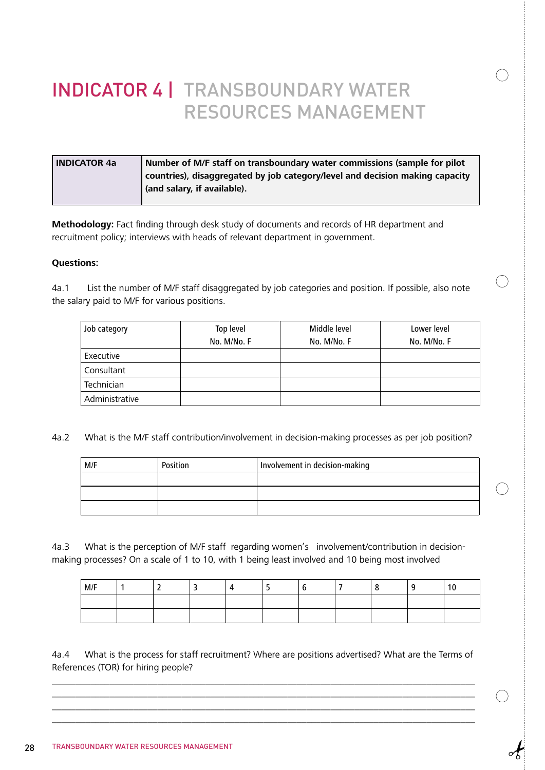# INDICATOR 4 | TRANSBOUNDARY WATER RESOURCES MANAGEMENT

| <b>INDICATOR 4a</b> | Number of M/F staff on transboundary water commissions (sample for pilot     |
|---------------------|------------------------------------------------------------------------------|
|                     | countries), disaggregated by job category/level and decision making capacity |
|                     | (and salary, if available).                                                  |
|                     |                                                                              |

**Methodology:** Fact finding through desk study of documents and records of HR department and recruitment policy; interviews with heads of relevant department in government.

#### **Questions:**

4a.1 List the number of M/F staff disaggregated by job categories and position. If possible, also note the salary paid to M/F for various positions.

| Job category   | Top level   | Middle level | Lower level |
|----------------|-------------|--------------|-------------|
|                | No. M/No. F | No. M/No. F  | No. M/No. F |
| Executive      |             |              |             |
| Consultant     |             |              |             |
| Technician     |             |              |             |
| Administrative |             |              |             |

 $\bigcirc$ 

4a.2 What is the M/F staff contribution/involvement in decision-making processes as per job position?

| M/F | Position | Involvement in decision-making |
|-----|----------|--------------------------------|
|     |          |                                |
|     |          |                                |
|     |          |                                |

4a.3 What is the perception of M/F staff regarding women's involvement/contribution in decisionmaking processes? On a scale of 1 to 10, with 1 being least involved and 10 being most involved

| M/F |  |  |  |  | $\sim$<br>10 |
|-----|--|--|--|--|--------------|
|     |  |  |  |  |              |
|     |  |  |  |  |              |

4a.4 What is the process for staff recruitment? Where are positions advertised? What are the Terms of References (TOR) for hiring people?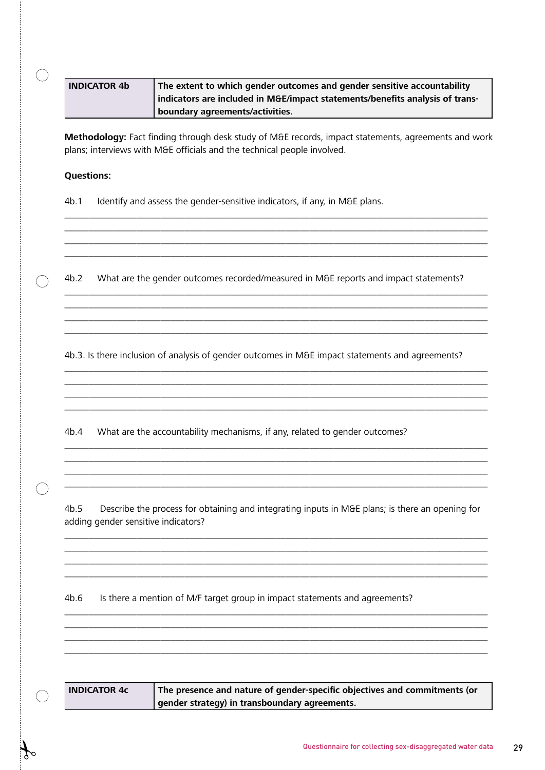|                   | <b>INDICATOR 4b</b>                 | The extent to which gender outcomes and gender sensitive accountability<br>indicators are included in M&E/impact statements/benefits analysis of trans-<br>boundary agreements/activities. |
|-------------------|-------------------------------------|--------------------------------------------------------------------------------------------------------------------------------------------------------------------------------------------|
|                   |                                     | Methodology: Fact finding through desk study of M&E records, impact statements, agreements and work<br>plans; interviews with M&E officials and the technical people involved.             |
| <b>Questions:</b> |                                     |                                                                                                                                                                                            |
| 4b.1              |                                     | Identify and assess the gender-sensitive indicators, if any, in M&E plans.                                                                                                                 |
| 4b.2              |                                     | What are the gender outcomes recorded/measured in M&E reports and impact statements?                                                                                                       |
|                   |                                     | 4b.3. Is there inclusion of analysis of gender outcomes in M&E impact statements and agreements?                                                                                           |
| 4b.4              |                                     | What are the accountability mechanisms, if any, related to gender outcomes?                                                                                                                |
| 4b.5              | adding gender sensitive indicators? | Describe the process for obtaining and integrating inputs in M&E plans; is there an opening for                                                                                            |
| 4b.6              |                                     | Is there a mention of M/F target group in impact statements and agreements?                                                                                                                |
|                   | <b>INDICATOR 4c</b>                 | The presence and nature of gender-specific objectives and commitments (or<br>gender strategy) in transboundary agreements.                                                                 |

 $\mathcal{F}$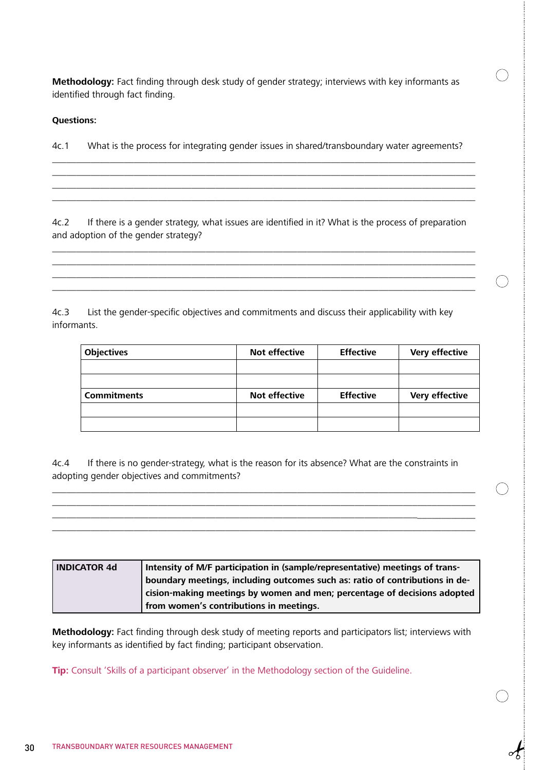**Methodology:** Fact finding through desk study of gender strategy; interviews with key informants as identified through fact finding.

#### **Questions:**

4c.1 What is the process for integrating gender issues in shared/transboundary water agreements?

\_\_\_\_\_\_\_\_\_\_\_\_\_\_\_\_\_\_\_\_\_\_\_\_\_\_\_\_\_\_\_\_\_\_\_\_\_\_\_\_\_\_\_\_\_\_\_\_\_\_\_\_\_\_\_\_\_\_\_\_\_\_\_\_\_\_\_\_\_\_\_\_\_\_\_\_\_\_\_\_\_\_\_\_\_\_\_\_ \_\_\_\_\_\_\_\_\_\_\_\_\_\_\_\_\_\_\_\_\_\_\_\_\_\_\_\_\_\_\_\_\_\_\_\_\_\_\_\_\_\_\_\_\_\_\_\_\_\_\_\_\_\_\_\_\_\_\_\_\_\_\_\_\_\_\_\_\_\_\_\_\_\_\_\_\_\_\_\_\_\_\_\_\_\_\_\_

\_\_\_\_\_\_\_\_\_\_\_\_\_\_\_\_\_\_\_\_\_\_\_\_\_\_\_\_\_\_\_\_\_\_\_\_\_\_\_\_\_\_\_\_\_\_\_\_\_\_\_\_\_\_\_\_\_\_\_\_\_\_\_\_\_\_\_\_\_\_\_\_\_\_\_\_\_\_\_\_\_\_\_\_\_\_\_\_

4c.2 If there is a gender strategy, what issues are identified in it? What is the process of preparation and adoption of the gender strategy?

\_\_\_\_\_\_\_\_\_\_\_\_\_\_\_\_\_\_\_\_\_\_\_\_\_\_\_\_\_\_\_\_\_\_\_\_\_\_\_\_\_\_\_\_\_\_\_\_\_\_\_\_\_\_\_\_\_\_\_\_\_\_\_\_\_\_\_\_\_\_\_\_\_\_\_\_\_\_\_\_\_\_\_\_\_\_\_\_ \_\_\_\_\_\_\_\_\_\_\_\_\_\_\_\_\_\_\_\_\_\_\_\_\_\_\_\_\_\_\_\_\_\_\_\_\_\_\_\_\_\_\_\_\_\_\_\_\_\_\_\_\_\_\_\_\_\_\_\_\_\_\_\_\_\_\_\_\_\_\_\_\_\_\_\_\_\_\_\_\_\_\_\_\_\_\_\_ \_\_\_\_\_\_\_\_\_\_\_\_\_\_\_\_\_\_\_\_\_\_\_\_\_\_\_\_\_\_\_\_\_\_\_\_\_\_\_\_\_\_\_\_\_\_\_\_\_\_\_\_\_\_\_\_\_\_\_\_\_\_\_\_\_\_\_\_\_\_\_\_\_\_\_\_\_\_\_\_\_\_\_\_\_\_\_\_

4c.3 List the gender-specific objectives and commitments and discuss their applicability with key informants.

| <b>Objectives</b>  | <b>Not effective</b> | <b>Effective</b> | <b>Very effective</b> |
|--------------------|----------------------|------------------|-----------------------|
|                    |                      |                  |                       |
|                    |                      |                  |                       |
| <b>Commitments</b> | <b>Not effective</b> | <b>Effective</b> | <b>Very effective</b> |
|                    |                      |                  |                       |
|                    |                      |                  |                       |

4c.4 If there is no gender-strategy, what is the reason for its absence? What are the constraints in adopting gender objectives and commitments?

\_\_\_\_\_\_\_\_\_\_\_\_\_\_\_\_\_\_\_\_\_\_\_\_\_\_\_\_\_\_\_\_\_\_\_\_\_\_\_\_\_\_\_\_\_\_\_\_\_\_\_\_\_\_\_\_\_\_\_\_\_\_\_\_\_\_\_\_\_\_\_\_\_\_\_\_\_\_\_\_\_\_\_\_\_\_\_\_

\_\_\_\_\_\_\_\_\_\_\_\_\_\_\_\_\_\_\_\_\_\_\_\_\_\_\_\_\_\_\_\_\_\_\_\_\_\_\_\_\_\_\_\_\_\_\_\_\_\_\_\_\_\_\_\_\_\_\_\_\_\_\_\_\_\_\_\_\_\_\_\_\_\_\_\_\_\_\_\_\_\_\_\_\_\_\_\_ \_\_\_\_\_\_\_\_\_\_\_\_\_\_\_\_\_\_\_\_\_\_\_\_\_\_\_\_\_\_\_\_\_\_\_\_\_\_\_\_\_\_\_\_\_\_\_\_\_\_\_\_\_\_\_\_\_\_\_\_\_\_\_\_\_\_\_\_\_\_\_\_\_\_\_\_\_\_\_\_\_\_\_\_\_\_\_\_

\_\_\_\_\_\_\_\_\_\_\_\_\_\_\_\_\_\_\_\_\_\_\_\_\_\_\_\_\_\_\_\_\_\_\_\_\_\_\_\_\_\_\_\_\_\_\_\_\_\_\_\_\_\_\_\_\_\_\_\_\_\_\_\_\_\_\_\_\_\_\_\_\_\_\_\_\_\_\_\_\_\_\_\_\_\_\_\_

| <b>INDICATOR 4d</b> | Intensity of M/F participation in (sample/representative) meetings of trans- |
|---------------------|------------------------------------------------------------------------------|
|                     | boundary meetings, including outcomes such as: ratio of contributions in de- |
|                     | cision-making meetings by women and men; percentage of decisions adopted     |
|                     | from women's contributions in meetings.                                      |

**Methodology:** Fact finding through desk study of meeting reports and participators list; interviews with key informants as identified by fact finding; participant observation.

**Tip:** Consult 'Skills of a participant observer' in the Methodology section of the Guideline.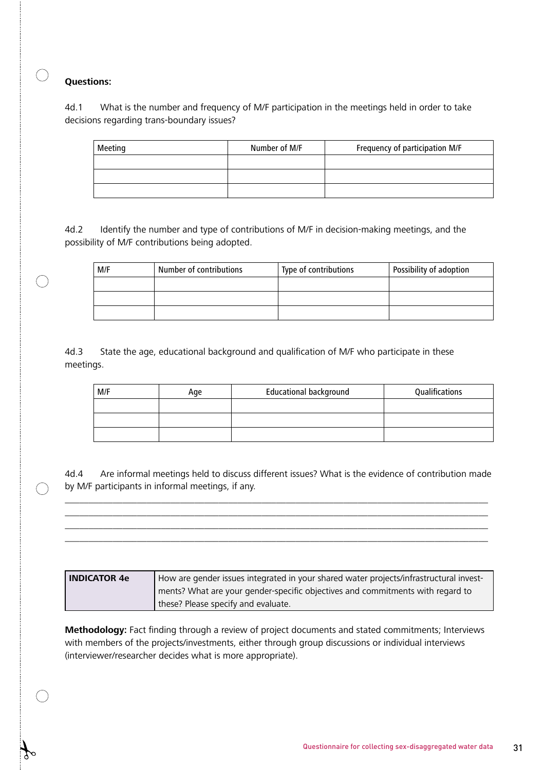$\bigcap$ 

4d.1 What is the number and frequency of M/F participation in the meetings held in order to take decisions regarding trans-boundary issues?

| Meeting | Number of M/F | Frequency of participation M/F |
|---------|---------------|--------------------------------|
|         |               |                                |
|         |               |                                |
|         |               |                                |

4d.2 Identify the number and type of contributions of M/F in decision-making meetings, and the possibility of M/F contributions being adopted.

| M/F | Number of contributions | Type of contributions | Possibility of adoption |
|-----|-------------------------|-----------------------|-------------------------|
|     |                         |                       |                         |
|     |                         |                       |                         |
|     |                         |                       |                         |

4d.3 State the age, educational background and qualification of M/F who participate in these meetings.

| M/F | Age | <b>Educational background</b> | Qualifications |
|-----|-----|-------------------------------|----------------|
|     |     |                               |                |
|     |     |                               |                |
|     |     |                               |                |

4d.4 Are informal meetings held to discuss different issues? What is the evidence of contribution made by M/F participants in informal meetings, if any.

\_\_\_\_\_\_\_\_\_\_\_\_\_\_\_\_\_\_\_\_\_\_\_\_\_\_\_\_\_\_\_\_\_\_\_\_\_\_\_\_\_\_\_\_\_\_\_\_\_\_\_\_\_\_\_\_\_\_\_\_\_\_\_\_\_\_\_\_\_\_\_\_\_\_\_\_\_\_\_\_\_\_\_\_\_\_\_\_ \_\_\_\_\_\_\_\_\_\_\_\_\_\_\_\_\_\_\_\_\_\_\_\_\_\_\_\_\_\_\_\_\_\_\_\_\_\_\_\_\_\_\_\_\_\_\_\_\_\_\_\_\_\_\_\_\_\_\_\_\_\_\_\_\_\_\_\_\_\_\_\_\_\_\_\_\_\_\_\_\_\_\_\_\_\_\_\_ \_\_\_\_\_\_\_\_\_\_\_\_\_\_\_\_\_\_\_\_\_\_\_\_\_\_\_\_\_\_\_\_\_\_\_\_\_\_\_\_\_\_\_\_\_\_\_\_\_\_\_\_\_\_\_\_\_\_\_\_\_\_\_\_\_\_\_\_\_\_\_\_\_\_\_\_\_\_\_\_\_\_\_\_\_\_\_\_ \_\_\_\_\_\_\_\_\_\_\_\_\_\_\_\_\_\_\_\_\_\_\_\_\_\_\_\_\_\_\_\_\_\_\_\_\_\_\_\_\_\_\_\_\_\_\_\_\_\_\_\_\_\_\_\_\_\_\_\_\_\_\_\_\_\_\_\_\_\_\_\_\_\_\_\_\_\_\_\_\_\_\_\_\_\_\_\_

| l INDICATOR 4e | How are gender issues integrated in your shared water projects/infrastructural invest- |
|----------------|----------------------------------------------------------------------------------------|
|                | ments? What are your gender-specific objectives and commitments with regard to         |
|                | these? Please specify and evaluate.                                                    |

**Methodology:** Fact finding through a review of project documents and stated commitments; Interviews with members of the projects/investments, either through group discussions or individual interviews (interviewer/researcher decides what is more appropriate).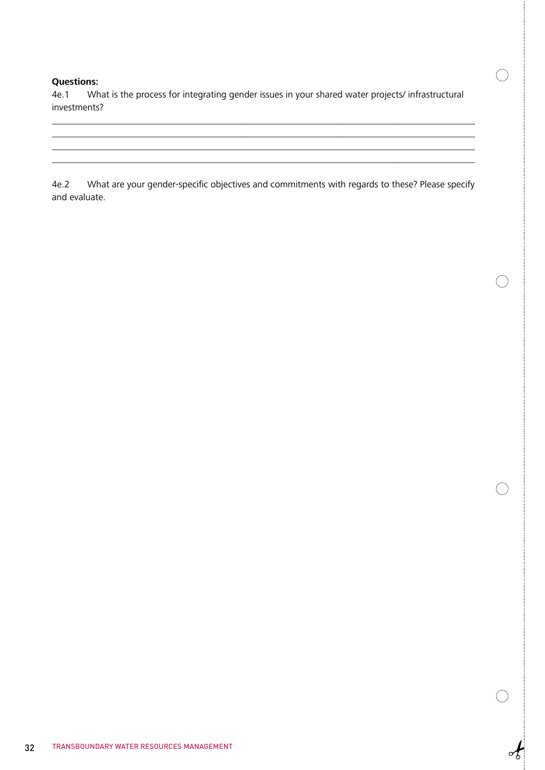4e.1 What is the process for integrating gender issues in your shared water projects/ infrastructural investments?

 $\_$  , and the set of the set of the set of the set of the set of the set of the set of the set of the set of the set of the set of the set of the set of the set of the set of the set of the set of the set of the set of th  $\_$  , and the set of the set of the set of the set of the set of the set of the set of the set of the set of the set of the set of the set of the set of the set of the set of the set of the set of the set of the set of th \_\_\_\_\_\_\_\_\_\_\_\_\_\_\_\_\_\_\_\_\_\_\_\_\_\_\_\_\_\_\_\_\_\_\_\_\_\_\_\_\_\_\_\_\_\_\_\_\_\_\_\_\_\_\_\_\_\_\_\_\_\_\_\_\_\_\_\_\_\_\_\_\_\_\_\_\_\_\_\_\_\_\_\_\_\_\_\_  $\left( \begin{array}{c} \end{array} \right)$ 

 $\begin{array}{c} \circ \\ \bullet \\ \bullet \end{array}$ 

4e.2 What are your gender-specific objectives and commitments with regards to these? Please specify and evaluate.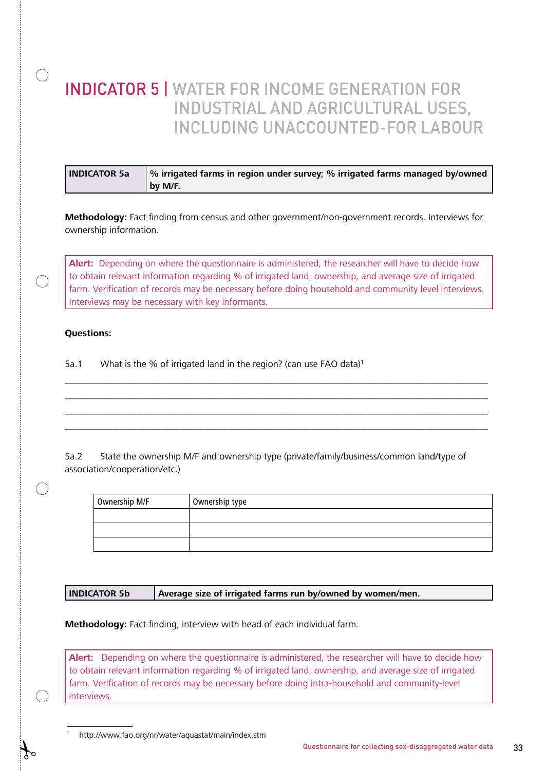### INDICATOR 5 | WATER FOR INCOME GENERATION FOR INDUSTRIAL AND AGRICULTURAL USES, INCLUDING UNACCOUNTED-FOR LABOUR

| <b>INDICATOR 5a</b> | % irrigated farms in region under survey; % irrigated farms managed by/owned |
|---------------------|------------------------------------------------------------------------------|
|                     | by M/F.                                                                      |

**Methodology:** Fact finding from census and other government/non-government records. Interviews for ownership information.

**Alert:** Depending on where the questionnaire is administered, the researcher will have to decide how to obtain relevant information regarding % of irrigated land, ownership, and average size of irrigated farm. Verification of records may be necessary before doing household and community level interviews. Interviews may be necessary with key informants.

\_\_\_\_\_\_\_\_\_\_\_\_\_\_\_\_\_\_\_\_\_\_\_\_\_\_\_\_\_\_\_\_\_\_\_\_\_\_\_\_\_\_\_\_\_\_\_\_\_\_\_\_\_\_\_\_\_\_\_\_\_\_\_\_\_\_\_\_\_\_\_\_\_\_\_\_\_\_\_\_\_\_\_\_\_\_\_\_ \_\_\_\_\_\_\_\_\_\_\_\_\_\_\_\_\_\_\_\_\_\_\_\_\_\_\_\_\_\_\_\_\_\_\_\_\_\_\_\_\_\_\_\_\_\_\_\_\_\_\_\_\_\_\_\_\_\_\_\_\_\_\_\_\_\_\_\_\_\_\_\_\_\_\_\_\_\_\_\_\_\_\_\_\_\_\_\_ \_\_\_\_\_\_\_\_\_\_\_\_\_\_\_\_\_\_\_\_\_\_\_\_\_\_\_\_\_\_\_\_\_\_\_\_\_\_\_\_\_\_\_\_\_\_\_\_\_\_\_\_\_\_\_\_\_\_\_\_\_\_\_\_\_\_\_\_\_\_\_\_\_\_\_\_\_\_\_\_\_\_\_\_\_\_\_\_ \_\_\_\_\_\_\_\_\_\_\_\_\_\_\_\_\_\_\_\_\_\_\_\_\_\_\_\_\_\_\_\_\_\_\_\_\_\_\_\_\_\_\_\_\_\_\_\_\_\_\_\_\_\_\_\_\_\_\_\_\_\_\_\_\_\_\_\_\_\_\_\_\_\_\_\_\_\_\_\_\_\_\_\_\_\_\_\_

#### **Questions:**

 $\left(\begin{array}{c}\right)$ 

 $\bigcirc$ 

5a.1 What is the % of irrigated land in the region? (can use FAO data)<sup>1</sup>

5a.2 State the ownership M/F and ownership type (private/family/business/common land/type of association/cooperation/etc.)

| Ownership M/F | Ownership type |
|---------------|----------------|
|               |                |
|               |                |
|               |                |

| <b>INDICATOR 5b</b> | Average size of irrigated farms run by/owned by women/men. |
|---------------------|------------------------------------------------------------|
|---------------------|------------------------------------------------------------|

**Methodology:** Fact finding; interview with head of each individual farm.

**Alert:** Depending on where the questionnaire is administered, the researcher will have to decide how to obtain relevant information regarding % of irrigated land, ownership, and average size of irrigated farm. Verification of records may be necessary before doing intra-household and community-level interviews.

1 http://www.fao.org/nr/water/aquastat/main/index.stm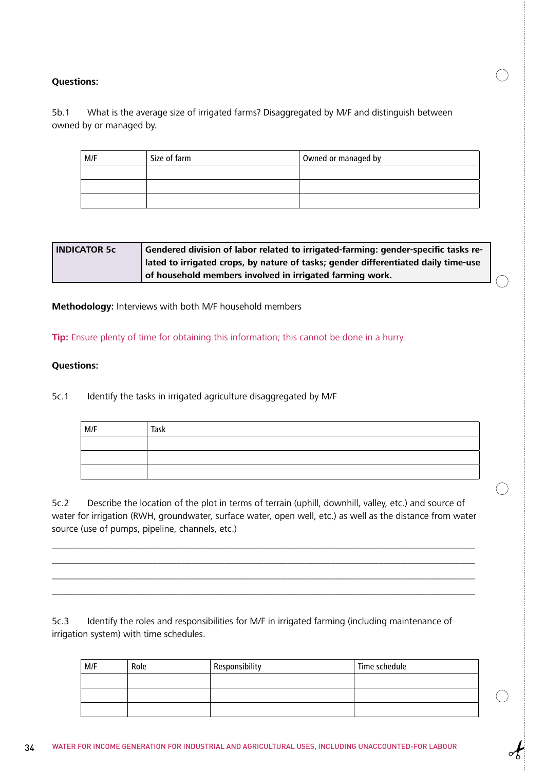#### 5b.1 What is the average size of irrigated farms? Disaggregated by M/F and distinguish between owned by or managed by.

| M/F | Size of farm | Owned or managed by |
|-----|--------------|---------------------|
|     |              |                     |
|     |              |                     |
|     |              |                     |

| <b>INDICATOR 5c</b> | Gendered division of labor related to irrigated-farming: gender-specific tasks re-   |
|---------------------|--------------------------------------------------------------------------------------|
|                     | I lated to irrigated crops, by nature of tasks; gender differentiated daily time-use |
|                     | of household members involved in irrigated farming work.                             |

**Methodology:** Interviews with both M/F household members

**Tip:** Ensure plenty of time for obtaining this information; this cannot be done in a hurry.

#### **Questions:**

5c.1 Identify the tasks in irrigated agriculture disaggregated by M/F

| M/F | Task |
|-----|------|
|     |      |
|     |      |
|     |      |

5c.2 Describe the location of the plot in terms of terrain (uphill, downhill, valley, etc.) and source of water for irrigation (RWH, groundwater, surface water, open well, etc.) as well as the distance from water source (use of pumps, pipeline, channels, etc.)

\_\_\_\_\_\_\_\_\_\_\_\_\_\_\_\_\_\_\_\_\_\_\_\_\_\_\_\_\_\_\_\_\_\_\_\_\_\_\_\_\_\_\_\_\_\_\_\_\_\_\_\_\_\_\_\_\_\_\_\_\_\_\_\_\_\_\_\_\_\_\_\_\_\_\_\_\_\_\_\_\_\_\_\_\_\_\_\_ \_\_\_\_\_\_\_\_\_\_\_\_\_\_\_\_\_\_\_\_\_\_\_\_\_\_\_\_\_\_\_\_\_\_\_\_\_\_\_\_\_\_\_\_\_\_\_\_\_\_\_\_\_\_\_\_\_\_\_\_\_\_\_\_\_\_\_\_\_\_\_\_\_\_\_\_\_\_\_\_\_\_\_\_\_\_\_\_ \_\_\_\_\_\_\_\_\_\_\_\_\_\_\_\_\_\_\_\_\_\_\_\_\_\_\_\_\_\_\_\_\_\_\_\_\_\_\_\_\_\_\_\_\_\_\_\_\_\_\_\_\_\_\_\_\_\_\_\_\_\_\_\_\_\_\_\_\_\_\_\_\_\_\_\_\_\_\_\_\_\_\_\_\_\_\_\_ \_\_\_\_\_\_\_\_\_\_\_\_\_\_\_\_\_\_\_\_\_\_\_\_\_\_\_\_\_\_\_\_\_\_\_\_\_\_\_\_\_\_\_\_\_\_\_\_\_\_\_\_\_\_\_\_\_\_\_\_\_\_\_\_\_\_\_\_\_\_\_\_\_\_\_\_\_\_\_\_\_\_\_\_\_\_\_\_

5c.3 Identify the roles and responsibilities for M/F in irrigated farming (including maintenance of irrigation system) with time schedules.

| M/F | Role | Responsibility | Time schedule |
|-----|------|----------------|---------------|
|     |      |                |               |
|     |      |                |               |
|     |      |                |               |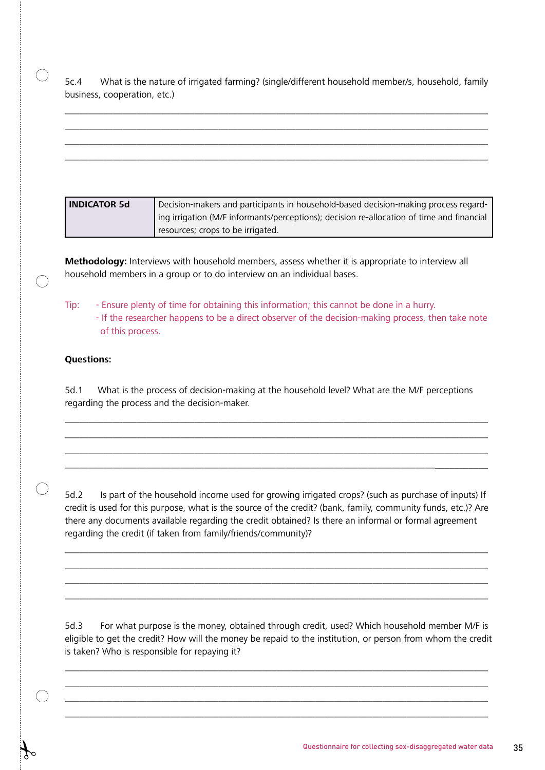5c.4 What is the nature of irrigated farming? (single/different household member/s, household, family business, cooperation, etc.)

\_\_\_\_\_\_\_\_\_\_\_\_\_\_\_\_\_\_\_\_\_\_\_\_\_\_\_\_\_\_\_\_\_\_\_\_\_\_\_\_\_\_\_\_\_\_\_\_\_\_\_\_\_\_\_\_\_\_\_\_\_\_\_\_\_\_\_\_\_\_\_\_\_\_\_\_\_\_\_\_\_\_\_\_\_\_\_\_ \_\_\_\_\_\_\_\_\_\_\_\_\_\_\_\_\_\_\_\_\_\_\_\_\_\_\_\_\_\_\_\_\_\_\_\_\_\_\_\_\_\_\_\_\_\_\_\_\_\_\_\_\_\_\_\_\_\_\_\_\_\_\_\_\_\_\_\_\_\_\_\_\_\_\_\_\_\_\_\_\_\_\_\_\_\_\_\_ \_\_\_\_\_\_\_\_\_\_\_\_\_\_\_\_\_\_\_\_\_\_\_\_\_\_\_\_\_\_\_\_\_\_\_\_\_\_\_\_\_\_\_\_\_\_\_\_\_\_\_\_\_\_\_\_\_\_\_\_\_\_\_\_\_\_\_\_\_\_\_\_\_\_\_\_\_\_\_\_\_\_\_\_\_\_\_\_ \_\_\_\_\_\_\_\_\_\_\_\_\_\_\_\_\_\_\_\_\_\_\_\_\_\_\_\_\_\_\_\_\_\_\_\_\_\_\_\_\_\_\_\_\_\_\_\_\_\_\_\_\_\_\_\_\_\_\_\_\_\_\_\_\_\_\_\_\_\_\_\_\_\_\_\_\_\_\_\_\_\_\_\_\_\_\_\_

| l INDICATOR 5d | Decision-makers and participants in household-based decision-making process regard-       |
|----------------|-------------------------------------------------------------------------------------------|
|                | ing irrigation (M/F informants/perceptions); decision re-allocation of time and financial |
|                | resources; crops to be irrigated.                                                         |

**Methodology:** Interviews with household members, assess whether it is appropriate to interview all household members in a group or to do interview on an individual bases.

Tip: - Ensure plenty of time for obtaining this information; this cannot be done in a hurry. - If the researcher happens to be a direct observer of the decision-making process, then take note of this process.

#### **Questions:**

 $\left(\begin{array}{c}\right)$ 

 $\bigcap$ 

5d.1 What is the process of decision-making at the household level? What are the M/F perceptions regarding the process and the decision-maker.

\_\_\_\_\_\_\_\_\_\_\_\_\_\_\_\_\_\_\_\_\_\_\_\_\_\_\_\_\_\_\_\_\_\_\_\_\_\_\_\_\_\_\_\_\_\_\_\_\_\_\_\_\_\_\_\_\_\_\_\_\_\_\_\_\_\_\_\_\_\_\_\_\_\_\_\_\_\_\_\_\_\_\_\_\_\_\_\_ \_\_\_\_\_\_\_\_\_\_\_\_\_\_\_\_\_\_\_\_\_\_\_\_\_\_\_\_\_\_\_\_\_\_\_\_\_\_\_\_\_\_\_\_\_\_\_\_\_\_\_\_\_\_\_\_\_\_\_\_\_\_\_\_\_\_\_\_\_\_\_\_\_\_\_\_\_\_\_\_\_\_\_\_\_\_\_\_ \_\_\_\_\_\_\_\_\_\_\_\_\_\_\_\_\_\_\_\_\_\_\_\_\_\_\_\_\_\_\_\_\_\_\_\_\_\_\_\_\_\_\_\_\_\_\_\_\_\_\_\_\_\_\_\_\_\_\_\_\_\_\_\_\_\_\_\_\_\_\_\_\_\_\_\_\_\_\_\_\_\_\_\_\_\_\_\_ \_\_\_\_\_\_\_\_\_\_\_\_\_\_\_\_\_\_\_\_\_\_\_\_\_\_\_\_\_\_\_\_\_\_\_\_\_\_\_\_\_\_\_\_\_\_\_\_\_\_\_\_\_\_\_\_\_\_\_\_\_\_\_\_\_\_\_\_\_\_\_\_\_\_\_\_\_\_\_\_\_\_\_\_\_\_\_\_

5d.2 Is part of the household income used for growing irrigated crops? (such as purchase of inputs) If credit is used for this purpose, what is the source of the credit? (bank, family, community funds, etc.)? Are there any documents available regarding the credit obtained? Is there an informal or formal agreement regarding the credit (if taken from family/friends/community)?

 $\_$  . The contribution of the contribution of the contribution of the contribution of  $\mathcal{L}_1$  $\_$  . The contribution of the contribution of the contribution of the contribution of  $\mathcal{L}_1$  $\_$  . The contribution of the contribution of the contribution of the contribution of  $\mathcal{L}_1$  $\_$  . The contribution of the contribution of the contribution of the contribution of  $\mathcal{L}_\text{max}$ 

5d.3 For what purpose is the money, obtained through credit, used? Which household member M/F is eligible to get the credit? How will the money be repaid to the institution, or person from whom the credit is taken? Who is responsible for repaying it?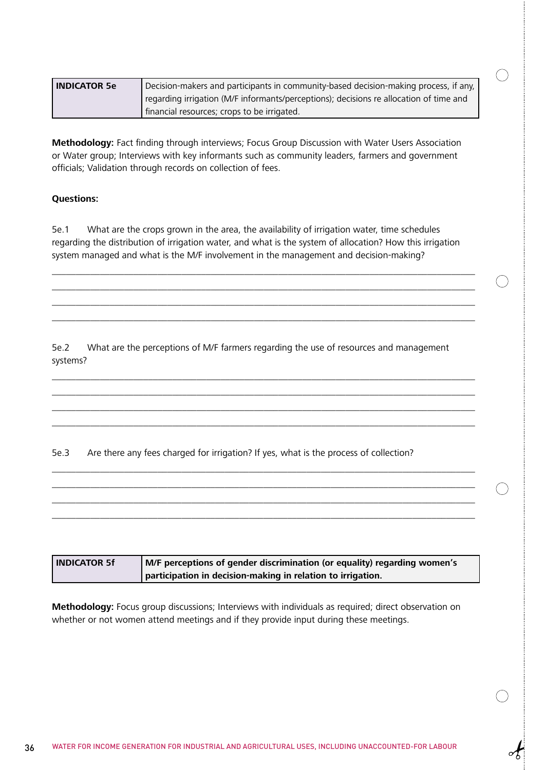| l INDICATOR 5e | Decision-makers and participants in community-based decision-making process, if any,   |
|----------------|----------------------------------------------------------------------------------------|
|                | regarding irrigation (M/F informants/perceptions); decisions re allocation of time and |
|                | financial resources; crops to be irrigated.                                            |

**Methodology:** Fact finding through interviews; Focus Group Discussion with Water Users Association or Water group; Interviews with key informants such as community leaders, farmers and government officials; Validation through records on collection of fees.

#### **Questions:**

5e.1 What are the crops grown in the area, the availability of irrigation water, time schedules regarding the distribution of irrigation water, and what is the system of allocation? How this irrigation system managed and what is the M/F involvement in the management and decision-making?

\_\_\_\_\_\_\_\_\_\_\_\_\_\_\_\_\_\_\_\_\_\_\_\_\_\_\_\_\_\_\_\_\_\_\_\_\_\_\_\_\_\_\_\_\_\_\_\_\_\_\_\_\_\_\_\_\_\_\_\_\_\_\_\_\_\_\_\_\_\_\_\_\_\_\_\_\_\_\_\_\_\_\_\_\_\_\_\_ \_\_\_\_\_\_\_\_\_\_\_\_\_\_\_\_\_\_\_\_\_\_\_\_\_\_\_\_\_\_\_\_\_\_\_\_\_\_\_\_\_\_\_\_\_\_\_\_\_\_\_\_\_\_\_\_\_\_\_\_\_\_\_\_\_\_\_\_\_\_\_\_\_\_\_\_\_\_\_\_\_\_\_\_\_\_\_\_ \_\_\_\_\_\_\_\_\_\_\_\_\_\_\_\_\_\_\_\_\_\_\_\_\_\_\_\_\_\_\_\_\_\_\_\_\_\_\_\_\_\_\_\_\_\_\_\_\_\_\_\_\_\_\_\_\_\_\_\_\_\_\_\_\_\_\_\_\_\_\_\_\_\_\_\_\_\_\_\_\_\_\_\_\_\_\_\_ \_\_\_\_\_\_\_\_\_\_\_\_\_\_\_\_\_\_\_\_\_\_\_\_\_\_\_\_\_\_\_\_\_\_\_\_\_\_\_\_\_\_\_\_\_\_\_\_\_\_\_\_\_\_\_\_\_\_\_\_\_\_\_\_\_\_\_\_\_\_\_\_\_\_\_\_\_\_\_\_\_\_\_\_\_\_\_\_

5e.2 What are the perceptions of M/F farmers regarding the use of resources and management systems?

\_\_\_\_\_\_\_\_\_\_\_\_\_\_\_\_\_\_\_\_\_\_\_\_\_\_\_\_\_\_\_\_\_\_\_\_\_\_\_\_\_\_\_\_\_\_\_\_\_\_\_\_\_\_\_\_\_\_\_\_\_\_\_\_\_\_\_\_\_\_\_\_\_\_\_\_\_\_\_\_\_\_\_\_\_\_\_\_ \_\_\_\_\_\_\_\_\_\_\_\_\_\_\_\_\_\_\_\_\_\_\_\_\_\_\_\_\_\_\_\_\_\_\_\_\_\_\_\_\_\_\_\_\_\_\_\_\_\_\_\_\_\_\_\_\_\_\_\_\_\_\_\_\_\_\_\_\_\_\_\_\_\_\_\_\_\_\_\_\_\_\_\_\_\_\_\_ \_\_\_\_\_\_\_\_\_\_\_\_\_\_\_\_\_\_\_\_\_\_\_\_\_\_\_\_\_\_\_\_\_\_\_\_\_\_\_\_\_\_\_\_\_\_\_\_\_\_\_\_\_\_\_\_\_\_\_\_\_\_\_\_\_\_\_\_\_\_\_\_\_\_\_\_\_\_\_\_\_\_\_\_\_\_\_\_ \_\_\_\_\_\_\_\_\_\_\_\_\_\_\_\_\_\_\_\_\_\_\_\_\_\_\_\_\_\_\_\_\_\_\_\_\_\_\_\_\_\_\_\_\_\_\_\_\_\_\_\_\_\_\_\_\_\_\_\_\_\_\_\_\_\_\_\_\_\_\_\_\_\_\_\_\_\_\_\_\_\_\_\_\_\_\_\_

\_\_\_\_\_\_\_\_\_\_\_\_\_\_\_\_\_\_\_\_\_\_\_\_\_\_\_\_\_\_\_\_\_\_\_\_\_\_\_\_\_\_\_\_\_\_\_\_\_\_\_\_\_\_\_\_\_\_\_\_\_\_\_\_\_\_\_\_\_\_\_\_\_\_\_\_\_\_\_\_\_\_\_\_\_\_\_\_  $\overline{\phantom{a}}$  , and the contribution of the contribution of the contribution of the contribution of the contribution of the contribution of the contribution of the contribution of the contribution of the contribution of the \_\_\_\_\_\_\_\_\_\_\_\_\_\_\_\_\_\_\_\_\_\_\_\_\_\_\_\_\_\_\_\_\_\_\_\_\_\_\_\_\_\_\_\_\_\_\_\_\_\_\_\_\_\_\_\_\_\_\_\_\_\_\_\_\_\_\_\_\_\_\_\_\_\_\_\_\_\_\_\_\_\_\_\_\_\_\_\_ \_\_\_\_\_\_\_\_\_\_\_\_\_\_\_\_\_\_\_\_\_\_\_\_\_\_\_\_\_\_\_\_\_\_\_\_\_\_\_\_\_\_\_\_\_\_\_\_\_\_\_\_\_\_\_\_\_\_\_\_\_\_\_\_\_\_\_\_\_\_\_\_\_\_\_\_\_\_\_\_\_\_\_\_\_\_\_\_

5e.3 Are there any fees charged for irrigation? If yes, what is the process of collection?

| <b>INDICATOR 5f</b> | M/F perceptions of gender discrimination (or equality) regarding women's |
|---------------------|--------------------------------------------------------------------------|
|                     | participation in decision-making in relation to irrigation.              |

**Methodology:** Focus group discussions; Interviews with individuals as required; direct observation on whether or not women attend meetings and if they provide input during these meetings.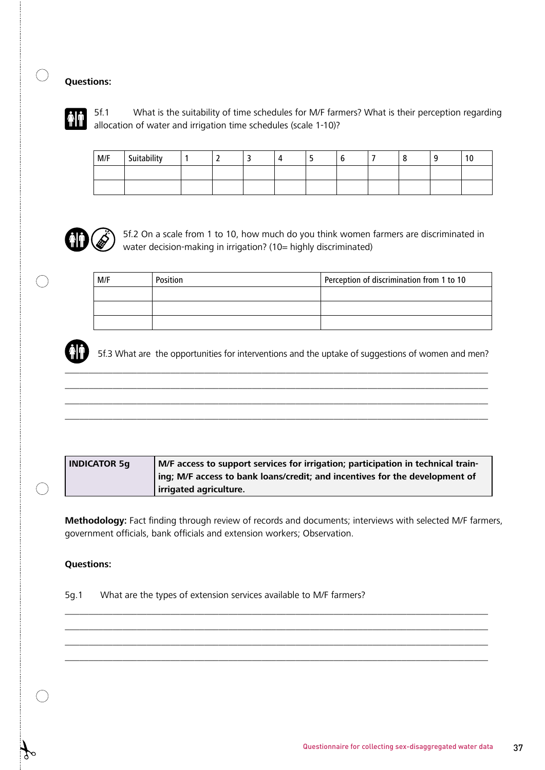

5f.1 What is the suitability of time schedules for M/F farmers? What is their perception regarding allocation of water and irrigation time schedules (scale 1-10)?

| M/F | Suitability |  |  |  |  | 10 |
|-----|-------------|--|--|--|--|----|
|     |             |  |  |  |  |    |
|     |             |  |  |  |  |    |



5f.2 On a scale from 1 to 10, how much do you think women farmers are discriminated in water decision-making in irrigation? (10= highly discriminated)

M/F Position Perception of discrimination from 1 to 10



5f.3 What are the opportunities for interventions and the uptake of suggestions of women and men?

\_\_\_\_\_\_\_\_\_\_\_\_\_\_\_\_\_\_\_\_\_\_\_\_\_\_\_\_\_\_\_\_\_\_\_\_\_\_\_\_\_\_\_\_\_\_\_\_\_\_\_\_\_\_\_\_\_\_\_\_\_\_\_\_\_\_\_\_\_\_\_\_\_\_\_\_\_\_\_\_\_\_\_\_\_\_\_\_ \_\_\_\_\_\_\_\_\_\_\_\_\_\_\_\_\_\_\_\_\_\_\_\_\_\_\_\_\_\_\_\_\_\_\_\_\_\_\_\_\_\_\_\_\_\_\_\_\_\_\_\_\_\_\_\_\_\_\_\_\_\_\_\_\_\_\_\_\_\_\_\_\_\_\_\_\_\_\_\_\_\_\_\_\_\_\_\_ \_\_\_\_\_\_\_\_\_\_\_\_\_\_\_\_\_\_\_\_\_\_\_\_\_\_\_\_\_\_\_\_\_\_\_\_\_\_\_\_\_\_\_\_\_\_\_\_\_\_\_\_\_\_\_\_\_\_\_\_\_\_\_\_\_\_\_\_\_\_\_\_\_\_\_\_\_\_\_\_\_\_\_\_\_\_\_\_ \_\_\_\_\_\_\_\_\_\_\_\_\_\_\_\_\_\_\_\_\_\_\_\_\_\_\_\_\_\_\_\_\_\_\_\_\_\_\_\_\_\_\_\_\_\_\_\_\_\_\_\_\_\_\_\_\_\_\_\_\_\_\_\_\_\_\_\_\_\_\_\_\_\_\_\_\_\_\_\_\_\_\_\_\_\_\_\_



**Methodology:** Fact finding through review of records and documents; interviews with selected M/F farmers, government officials, bank officials and extension workers; Observation.

 $\_$  , and the set of the set of the set of the set of the set of the set of the set of the set of the set of the set of the set of the set of the set of the set of the set of the set of the set of the set of the set of th \_\_\_\_\_\_\_\_\_\_\_\_\_\_\_\_\_\_\_\_\_\_\_\_\_\_\_\_\_\_\_\_\_\_\_\_\_\_\_\_\_\_\_\_\_\_\_\_\_\_\_\_\_\_\_\_\_\_\_\_\_\_\_\_\_\_\_\_\_\_\_\_\_\_\_\_\_\_\_\_\_\_\_\_\_\_\_\_ \_\_\_\_\_\_\_\_\_\_\_\_\_\_\_\_\_\_\_\_\_\_\_\_\_\_\_\_\_\_\_\_\_\_\_\_\_\_\_\_\_\_\_\_\_\_\_\_\_\_\_\_\_\_\_\_\_\_\_\_\_\_\_\_\_\_\_\_\_\_\_\_\_\_\_\_\_\_\_\_\_\_\_\_\_\_\_\_ \_\_\_\_\_\_\_\_\_\_\_\_\_\_\_\_\_\_\_\_\_\_\_\_\_\_\_\_\_\_\_\_\_\_\_\_\_\_\_\_\_\_\_\_\_\_\_\_\_\_\_\_\_\_\_\_\_\_\_\_\_\_\_\_\_\_\_\_\_\_\_\_\_\_\_\_\_\_\_\_\_\_\_\_\_\_\_\_

#### **Questions:**

5g.1 What are the types of extension services available to M/F farmers?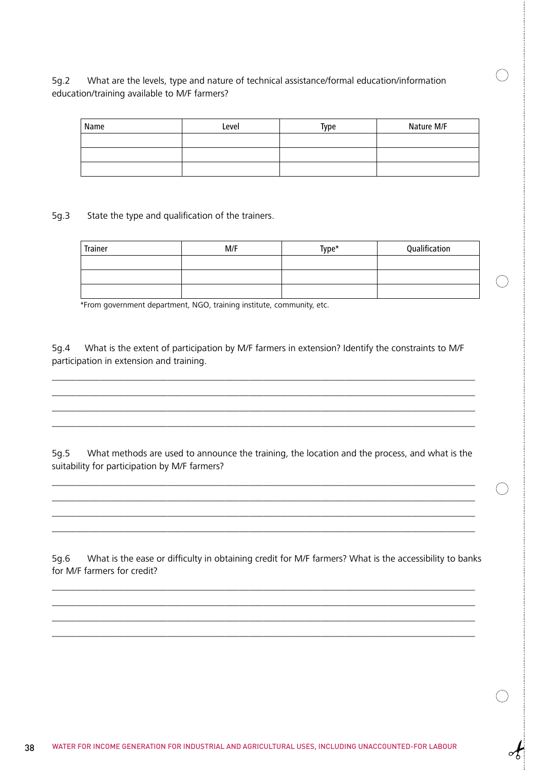#### 5g.2 What are the levels, type and nature of technical assistance/formal education/information education/training available to M/F farmers?

| Name | Level | Type | Nature M/F |
|------|-------|------|------------|
|      |       |      |            |
|      |       |      |            |
|      |       |      |            |

5g.3 State the type and qualification of the trainers.

| Trainer | M/F | Type* | Qualification |
|---------|-----|-------|---------------|
|         |     |       |               |
|         |     |       |               |
|         |     |       |               |

\*From government department, NGO, training institute, community, etc.

5g.4 What is the extent of participation by M/F farmers in extension? Identify the constraints to M/F participation in extension and training.

 $\_$  ,  $\_$  ,  $\_$  ,  $\_$  ,  $\_$  ,  $\_$  ,  $\_$  ,  $\_$  ,  $\_$  ,  $\_$  ,  $\_$  ,  $\_$  ,  $\_$  ,  $\_$  ,  $\_$  ,  $\_$  ,  $\_$  ,  $\_$  ,  $\_$  ,  $\_$  ,  $\_$  ,  $\_$  ,  $\_$  ,  $\_$  ,  $\_$  ,  $\_$  ,  $\_$  ,  $\_$  ,  $\_$  ,  $\_$  ,  $\_$  ,  $\_$  ,  $\_$  ,  $\_$  ,  $\_$  ,  $\_$  ,  $\_$  ,  $\_$  ,  $\_$  ,  $\_$  ,  $\_$  ,  $\_$  ,  $\_$  ,  $\_$  ,  $\_$  ,  $\_$  ,  $\_$  ,  $\_$  ,  $\_$  ,  $\_$  ,  $\_$  ,  $\_$  ,  $\_$  ,  $\_$  ,  $\_$  ,  $\_$  ,  $\_$  ,  $\_$  ,  $\_$  ,  $\_$  ,  $\_$  ,  $\_$  ,  $\_$  ,  $\_$  ,  $\_$  ,  $\_$  ,  $\_$  ,  $\_$  ,  $\_$  ,  $\_$  ,  $\_$  ,  $\_$  ,  $\_$  ,  $\_$  , \_\_\_\_\_\_\_\_\_\_\_\_\_\_\_\_\_\_\_\_\_\_\_\_\_\_\_\_\_\_\_\_\_\_\_\_\_\_\_\_\_\_\_\_\_\_\_\_\_\_\_\_\_\_\_\_\_\_\_\_\_\_\_\_\_\_\_\_\_\_\_\_\_\_\_\_\_\_\_\_\_\_\_\_\_\_\_\_  $\_$  , and the set of the set of the set of the set of the set of the set of the set of the set of the set of the set of the set of the set of the set of the set of the set of the set of the set of the set of the set of th

5g.5 What methods are used to announce the training, the location and the process, and what is the suitability for participation by M/F farmers?

\_\_\_\_\_\_\_\_\_\_\_\_\_\_\_\_\_\_\_\_\_\_\_\_\_\_\_\_\_\_\_\_\_\_\_\_\_\_\_\_\_\_\_\_\_\_\_\_\_\_\_\_\_\_\_\_\_\_\_\_\_\_\_\_\_\_\_\_\_\_\_\_\_\_\_\_\_\_\_\_\_\_\_\_\_\_\_\_  $\overline{\phantom{a}}$  , and the contribution of the contribution of the contribution of the contribution of the contribution of the contribution of the contribution of the contribution of the contribution of the contribution of the \_\_\_\_\_\_\_\_\_\_\_\_\_\_\_\_\_\_\_\_\_\_\_\_\_\_\_\_\_\_\_\_\_\_\_\_\_\_\_\_\_\_\_\_\_\_\_\_\_\_\_\_\_\_\_\_\_\_\_\_\_\_\_\_\_\_\_\_\_\_\_\_\_\_\_\_\_\_\_\_\_\_\_\_\_\_\_\_ \_\_\_\_\_\_\_\_\_\_\_\_\_\_\_\_\_\_\_\_\_\_\_\_\_\_\_\_\_\_\_\_\_\_\_\_\_\_\_\_\_\_\_\_\_\_\_\_\_\_\_\_\_\_\_\_\_\_\_\_\_\_\_\_\_\_\_\_\_\_\_\_\_\_\_\_\_\_\_\_\_\_\_\_\_\_\_\_

5g.6 What is the ease or difficulty in obtaining credit for M/F farmers? What is the accessibility to banks for M/F farmers for credit?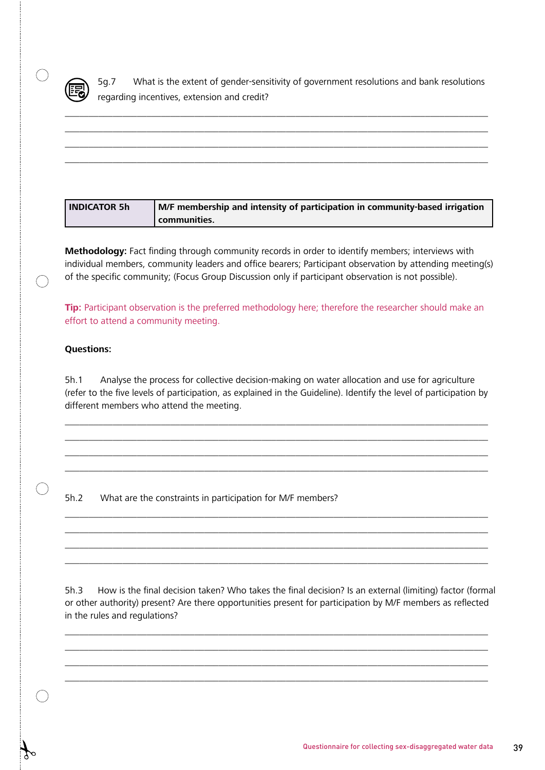

 $\bigcap$ 

 $\bigcap$ 

5g.7 What is the extent of gender-sensitivity of government resolutions and bank resolutions regarding incentives, extension and credit?

\_\_\_\_\_\_\_\_\_\_\_\_\_\_\_\_\_\_\_\_\_\_\_\_\_\_\_\_\_\_\_\_\_\_\_\_\_\_\_\_\_\_\_\_\_\_\_\_\_\_\_\_\_\_\_\_\_\_\_\_\_\_\_\_\_\_\_\_\_\_\_\_\_\_\_\_\_\_\_\_\_\_\_\_\_\_\_\_ \_\_\_\_\_\_\_\_\_\_\_\_\_\_\_\_\_\_\_\_\_\_\_\_\_\_\_\_\_\_\_\_\_\_\_\_\_\_\_\_\_\_\_\_\_\_\_\_\_\_\_\_\_\_\_\_\_\_\_\_\_\_\_\_\_\_\_\_\_\_\_\_\_\_\_\_\_\_\_\_\_\_\_\_\_\_\_\_ \_\_\_\_\_\_\_\_\_\_\_\_\_\_\_\_\_\_\_\_\_\_\_\_\_\_\_\_\_\_\_\_\_\_\_\_\_\_\_\_\_\_\_\_\_\_\_\_\_\_\_\_\_\_\_\_\_\_\_\_\_\_\_\_\_\_\_\_\_\_\_\_\_\_\_\_\_\_\_\_\_\_\_\_\_\_\_\_ \_\_\_\_\_\_\_\_\_\_\_\_\_\_\_\_\_\_\_\_\_\_\_\_\_\_\_\_\_\_\_\_\_\_\_\_\_\_\_\_\_\_\_\_\_\_\_\_\_\_\_\_\_\_\_\_\_\_\_\_\_\_\_\_\_\_\_\_\_\_\_\_\_\_\_\_\_\_\_\_\_\_\_\_\_\_\_\_

| l INDICATOR 5h | M/F membership and intensity of participation in community-based irrigation |
|----------------|-----------------------------------------------------------------------------|
|                | <b>L</b> communities.                                                       |

**Methodology:** Fact finding through community records in order to identify members; interviews with individual members, community leaders and office bearers; Participant observation by attending meeting(s) of the specific community; (Focus Group Discussion only if participant observation is not possible).

**Tip:** Participant observation is the preferred methodology here; therefore the researcher should make an effort to attend a community meeting.

#### **Questions:**

5h.1 Analyse the process for collective decision-making on water allocation and use for agriculture (refer to the five levels of participation, as explained in the Guideline). Identify the level of participation by different members who attend the meeting.

\_\_\_\_\_\_\_\_\_\_\_\_\_\_\_\_\_\_\_\_\_\_\_\_\_\_\_\_\_\_\_\_\_\_\_\_\_\_\_\_\_\_\_\_\_\_\_\_\_\_\_\_\_\_\_\_\_\_\_\_\_\_\_\_\_\_\_\_\_\_\_\_\_\_\_\_\_\_\_\_\_\_\_\_\_\_\_\_ \_\_\_\_\_\_\_\_\_\_\_\_\_\_\_\_\_\_\_\_\_\_\_\_\_\_\_\_\_\_\_\_\_\_\_\_\_\_\_\_\_\_\_\_\_\_\_\_\_\_\_\_\_\_\_\_\_\_\_\_\_\_\_\_\_\_\_\_\_\_\_\_\_\_\_\_\_\_\_\_\_\_\_\_\_\_\_\_ \_\_\_\_\_\_\_\_\_\_\_\_\_\_\_\_\_\_\_\_\_\_\_\_\_\_\_\_\_\_\_\_\_\_\_\_\_\_\_\_\_\_\_\_\_\_\_\_\_\_\_\_\_\_\_\_\_\_\_\_\_\_\_\_\_\_\_\_\_\_\_\_\_\_\_\_\_\_\_\_\_\_\_\_\_\_\_\_ \_\_\_\_\_\_\_\_\_\_\_\_\_\_\_\_\_\_\_\_\_\_\_\_\_\_\_\_\_\_\_\_\_\_\_\_\_\_\_\_\_\_\_\_\_\_\_\_\_\_\_\_\_\_\_\_\_\_\_\_\_\_\_\_\_\_\_\_\_\_\_\_\_\_\_\_\_\_\_\_\_\_\_\_\_\_\_\_

\_\_\_\_\_\_\_\_\_\_\_\_\_\_\_\_\_\_\_\_\_\_\_\_\_\_\_\_\_\_\_\_\_\_\_\_\_\_\_\_\_\_\_\_\_\_\_\_\_\_\_\_\_\_\_\_\_\_\_\_\_\_\_\_\_\_\_\_\_\_\_\_\_\_\_\_\_\_\_\_\_\_\_\_\_\_\_\_ \_\_\_\_\_\_\_\_\_\_\_\_\_\_\_\_\_\_\_\_\_\_\_\_\_\_\_\_\_\_\_\_\_\_\_\_\_\_\_\_\_\_\_\_\_\_\_\_\_\_\_\_\_\_\_\_\_\_\_\_\_\_\_\_\_\_\_\_\_\_\_\_\_\_\_\_\_\_\_\_\_\_\_\_\_\_\_\_ \_\_\_\_\_\_\_\_\_\_\_\_\_\_\_\_\_\_\_\_\_\_\_\_\_\_\_\_\_\_\_\_\_\_\_\_\_\_\_\_\_\_\_\_\_\_\_\_\_\_\_\_\_\_\_\_\_\_\_\_\_\_\_\_\_\_\_\_\_\_\_\_\_\_\_\_\_\_\_\_\_\_\_\_\_\_\_\_ \_\_\_\_\_\_\_\_\_\_\_\_\_\_\_\_\_\_\_\_\_\_\_\_\_\_\_\_\_\_\_\_\_\_\_\_\_\_\_\_\_\_\_\_\_\_\_\_\_\_\_\_\_\_\_\_\_\_\_\_\_\_\_\_\_\_\_\_\_\_\_\_\_\_\_\_\_\_\_\_\_\_\_\_\_\_\_\_

5h.2 What are the constraints in participation for M/F members?

5h.3 How is the final decision taken? Who takes the final decision? Is an external (limiting) factor (formal or other authority) present? Are there opportunities present for participation by M/F members as reflected in the rules and regulations?

 $\_$  . The contribution of the contribution of the contribution of the contribution of the contribution of the contribution of the contribution of the contribution of the contribution of the contribution of the contributio \_\_\_\_\_\_\_\_\_\_\_\_\_\_\_\_\_\_\_\_\_\_\_\_\_\_\_\_\_\_\_\_\_\_\_\_\_\_\_\_\_\_\_\_\_\_\_\_\_\_\_\_\_\_\_\_\_\_\_\_\_\_\_\_\_\_\_\_\_\_\_\_\_\_\_\_\_\_\_\_\_\_\_\_\_\_\_\_ \_\_\_\_\_\_\_\_\_\_\_\_\_\_\_\_\_\_\_\_\_\_\_\_\_\_\_\_\_\_\_\_\_\_\_\_\_\_\_\_\_\_\_\_\_\_\_\_\_\_\_\_\_\_\_\_\_\_\_\_\_\_\_\_\_\_\_\_\_\_\_\_\_\_\_\_\_\_\_\_\_\_\_\_\_\_\_\_ \_\_\_\_\_\_\_\_\_\_\_\_\_\_\_\_\_\_\_\_\_\_\_\_\_\_\_\_\_\_\_\_\_\_\_\_\_\_\_\_\_\_\_\_\_\_\_\_\_\_\_\_\_\_\_\_\_\_\_\_\_\_\_\_\_\_\_\_\_\_\_\_\_\_\_\_\_\_\_\_\_\_\_\_\_\_\_\_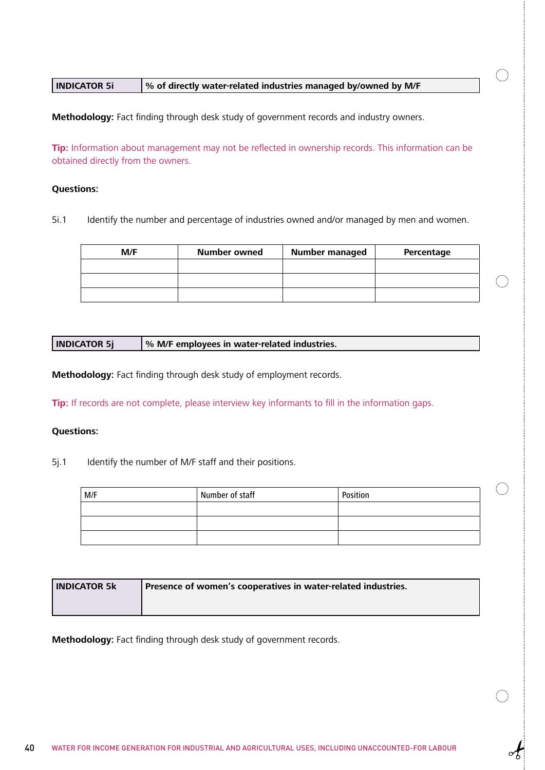#### **INDICATOR 5i % of directly water-related industries managed by/owned by M/F**

**Methodology:** Fact finding through desk study of government records and industry owners.

**Tip:** Information about management may not be reflected in ownership records. This information can be obtained directly from the owners.

 $(\ )$ 

#### **Questions:**

5i.1 Identify the number and percentage of industries owned and/or managed by men and women.

| M/F | Number owned | <b>Number managed</b> | Percentage |
|-----|--------------|-----------------------|------------|
|     |              |                       |            |
|     |              |                       |            |
|     |              |                       |            |

**INDICATOR 5j % M/F employees in water-related industries.**

**Methodology:** Fact finding through desk study of employment records.

**Tip:** If records are not complete, please interview key informants to fill in the information gaps.

#### **Questions:**

5j.1 Identify the number of M/F staff and their positions.

| M/F | Number of staff | Position |
|-----|-----------------|----------|
|     |                 |          |
|     |                 |          |
|     |                 |          |

| l INDICATOR 5k | Presence of women's cooperatives in water-related industries. |
|----------------|---------------------------------------------------------------|
|                |                                                               |

**Methodology:** Fact finding through desk study of government records.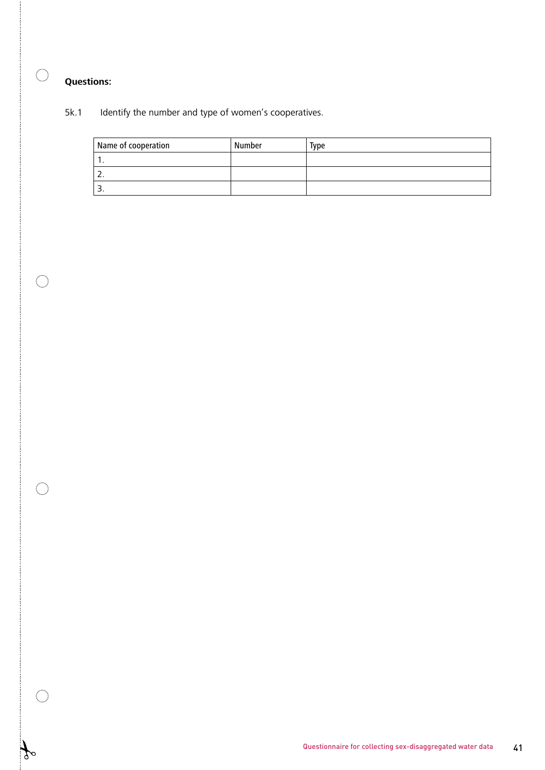$\bigcirc$ 

 $\bigcirc$ 

 $\bigcirc$ 

 $\bigcirc$ 

 $\mathcal{L}$  $\circ$ 

### 5k.1 Identify the number and type of women's cooperatives.

| Name of cooperation | Number | <b>Type</b> |
|---------------------|--------|-------------|
|                     |        |             |
| <u>.</u>            |        |             |
|                     |        |             |